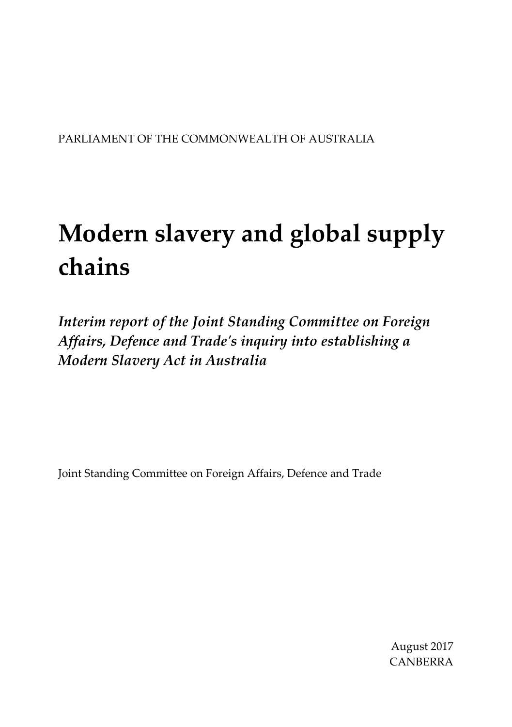### PARLIAMENT OF THE COMMONWEALTH OF AUSTRALIA

# **Modern slavery and global supply chains**

*Interim report of the Joint Standing Committee on Foreign Affairs, Defence and Trade's inquiry into establishing a Modern Slavery Act in Australia*

Joint Standing Committee on Foreign Affairs, Defence and Trade

August 2017 CANBERRA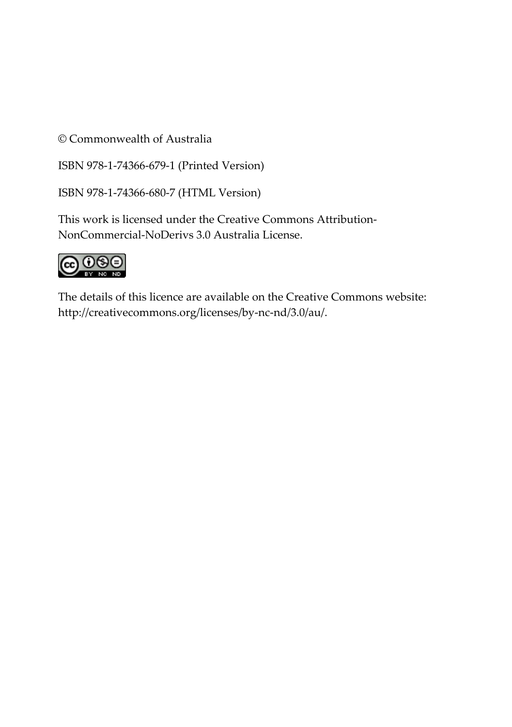© Commonwealth of Australia

ISBN 978-1-74366-679-1 (Printed Version)

ISBN 978-1-74366-680-7 (HTML Version)

This work is licensed under the Creative Commons Attribution-NonCommercial-NoDerivs 3.0 Australia License.



The details of this licence are available on the Creative Commons website: [http://creativecommons.org/licenses/by-nc-nd/3.0/au/.](http://creativecommons.org/licenses/by-nc-nd/3.0/au/)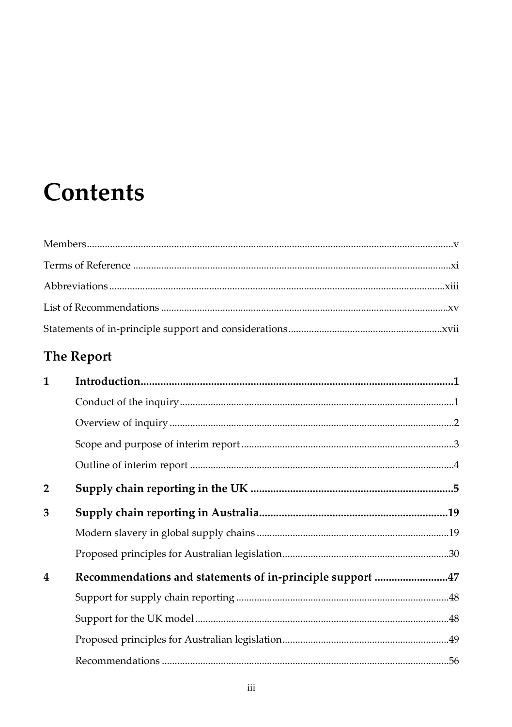# **Contents**

# The Report

| $\mathbf{1}$   |                                                           |  |
|----------------|-----------------------------------------------------------|--|
|                |                                                           |  |
|                |                                                           |  |
|                |                                                           |  |
|                |                                                           |  |
| $\overline{2}$ |                                                           |  |
| 3              |                                                           |  |
|                |                                                           |  |
|                |                                                           |  |
| 4              | Recommendations and statements of in-principle support 47 |  |
|                |                                                           |  |
|                |                                                           |  |
|                |                                                           |  |
|                |                                                           |  |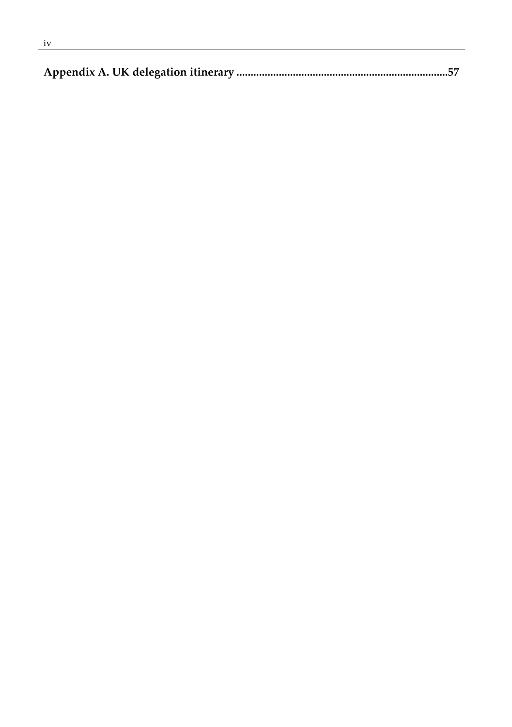|--|--|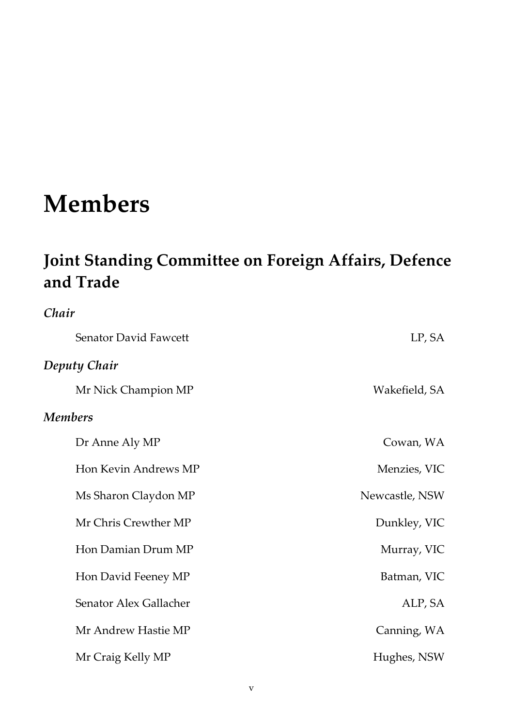# <span id="page-4-0"></span>**Members**

*Chair*

# **Joint Standing Committee on Foreign Affairs, Defence and Trade**

| Senator David Fawcett  | LP, SA         |
|------------------------|----------------|
| Deputy Chair           |                |
| Mr Nick Champion MP    | Wakefield, SA  |
| Members                |                |
| Dr Anne Aly MP         | Cowan, WA      |
| Hon Kevin Andrews MP   | Menzies, VIC   |
| Ms Sharon Claydon MP   | Newcastle, NSW |
| Mr Chris Crewther MP   | Dunkley, VIC   |
| Hon Damian Drum MP     | Murray, VIC    |
| Hon David Feeney MP    | Batman, VIC    |
| Senator Alex Gallacher | ALP, SA        |
| Mr Andrew Hastie MP    | Canning, WA    |
| Mr Craig Kelly MP      | Hughes, NSW    |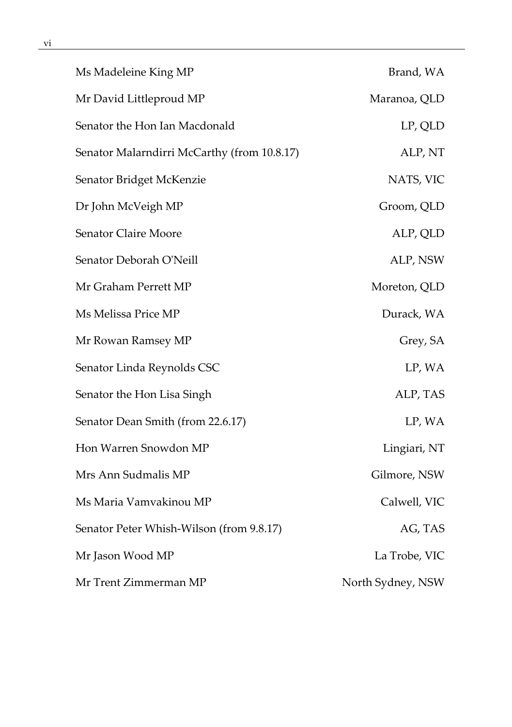| Ms Madeleine King MP                        | Brand, WA         |
|---------------------------------------------|-------------------|
| Mr David Littleproud MP                     | Maranoa, QLD      |
| Senator the Hon Ian Macdonald               | LP, QLD           |
| Senator Malarndirri McCarthy (from 10.8.17) | ALP, NT           |
| Senator Bridget McKenzie                    | NATS, VIC         |
| Dr John McVeigh MP                          | Groom, QLD        |
| Senator Claire Moore                        | ALP, QLD          |
| Senator Deborah O'Neill                     | ALP, NSW          |
| Mr Graham Perrett MP                        | Moreton, QLD      |
| Ms Melissa Price MP                         | Durack, WA        |
| Mr Rowan Ramsey MP                          | Grey, SA          |
| Senator Linda Reynolds CSC                  | LP, WA            |
| Senator the Hon Lisa Singh                  | ALP, TAS          |
| Senator Dean Smith (from 22.6.17)           | LP, WA            |
| Hon Warren Snowdon MP                       | Lingiari, NT      |
| Mrs Ann Sudmalis MP                         | Gilmore, NSW      |
| Ms Maria Vamvakinou MP                      | Calwell, VIC      |
| Senator Peter Whish-Wilson (from 9.8.17)    | AG, TAS           |
| Mr Jason Wood MP                            | La Trobe, VIC     |
| Mr Trent Zimmerman MP                       | North Sydney, NSW |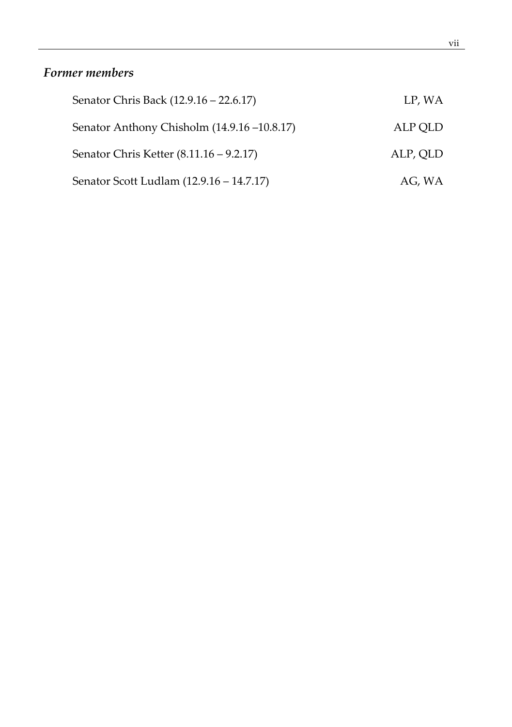#### vii

### *Former members*

| Senator Chris Back (12.9.16 – 22.6.17)      | LP, WA   |
|---------------------------------------------|----------|
| Senator Anthony Chisholm (14.9.16 –10.8.17) | ALP QLD  |
| Senator Chris Ketter (8.11.16 – 9.2.17)     | ALP, QLD |
| Senator Scott Ludlam (12.9.16 – 14.7.17)    | AG, WA   |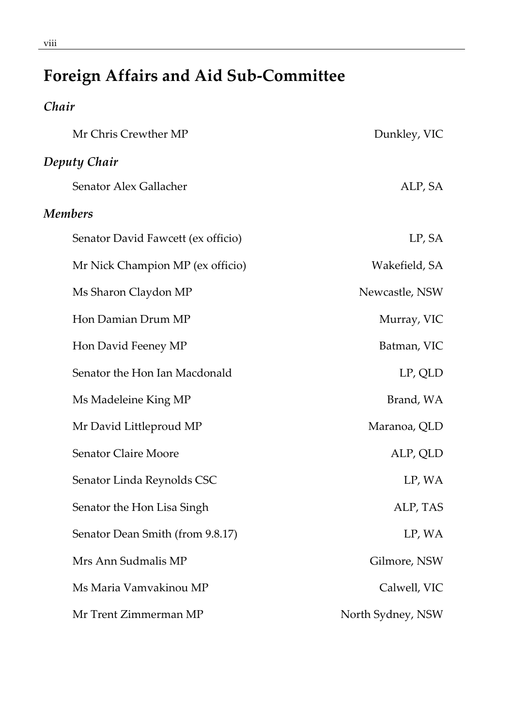# **Foreign Affairs and Aid Sub-Committee**

## *Chair*

| Mr Chris Crewther MP               | Dunkley, VIC      |
|------------------------------------|-------------------|
| Deputy Chair                       |                   |
| Senator Alex Gallacher             | ALP, SA           |
| <b>Members</b>                     |                   |
| Senator David Fawcett (ex officio) | LP, SA            |
| Mr Nick Champion MP (ex officio)   | Wakefield, SA     |
| Ms Sharon Claydon MP               | Newcastle, NSW    |
| Hon Damian Drum MP                 | Murray, VIC       |
| Hon David Feeney MP                | Batman, VIC       |
| Senator the Hon Ian Macdonald      | LP, QLD           |
| Ms Madeleine King MP               | Brand, WA         |
| Mr David Littleproud MP            | Maranoa, QLD      |
| Senator Claire Moore               | ALP, QLD          |
| Senator Linda Reynolds CSC         | LP, WA            |
| Senator the Hon Lisa Singh         | ALP, TAS          |
| Senator Dean Smith (from 9.8.17)   | LP, WA            |
| Mrs Ann Sudmalis MP                | Gilmore, NSW      |
| Ms Maria Vamvakinou MP             | Calwell, VIC      |
| Mr Trent Zimmerman MP              | North Sydney, NSW |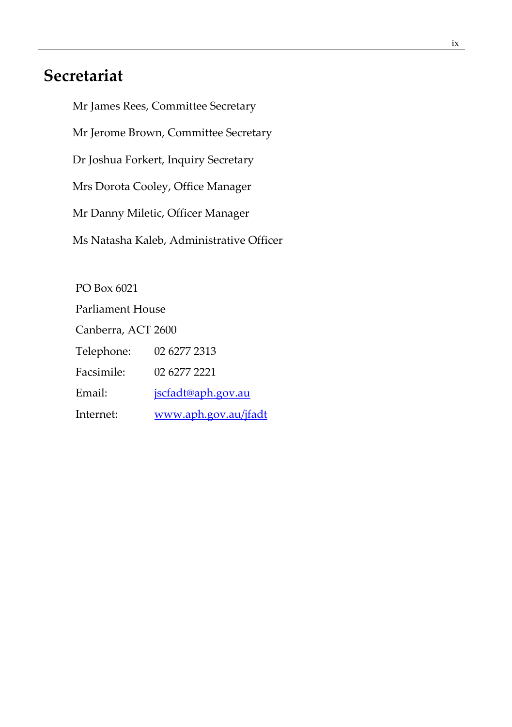## **Secretariat**

Mr James Rees, Committee Secretary Mr Jerome Brown, Committee Secretary Dr Joshua Forkert, Inquiry Secretary Mrs Dorota Cooley, Office Manager Mr Danny Miletic, Officer Manager Ms Natasha Kaleb, Administrative Officer

PO Box 6021 Parliament House Canberra, ACT 2600 Telephone: 02 6277 2313 Facsimile: 02 6277 2221 Email: [jscfadt@aph.gov.au](mailto:jscfadt@aph.gov.au) Internet: [www.aph.gov.au/jfadt](http://www.aph.gov.au/jfadt)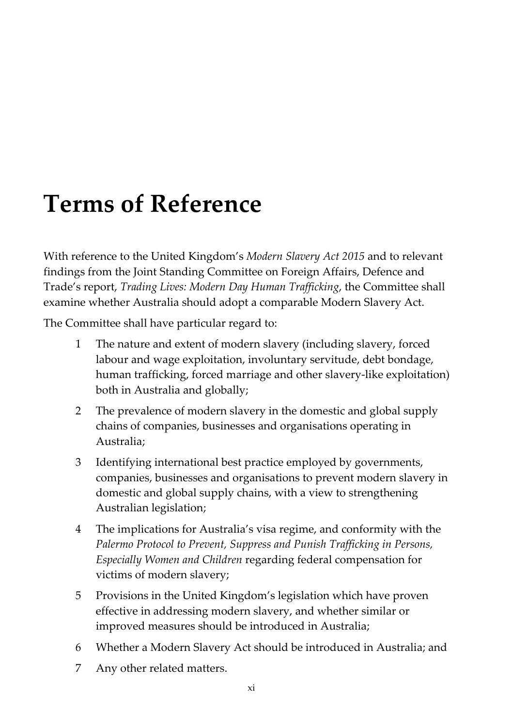# <span id="page-10-0"></span>**Terms of Reference**

With reference to the United Kingdom's *Modern Slavery Act 2015* and to relevant findings from the Joint Standing Committee on Foreign Affairs, Defence and Trade's report, *Trading Lives: Modern Day Human Trafficking*, the Committee shall examine whether Australia should adopt a comparable Modern Slavery Act.

The Committee shall have particular regard to:

- 1 The nature and extent of modern slavery (including slavery, forced labour and wage exploitation, involuntary servitude, debt bondage, human trafficking, forced marriage and other slavery-like exploitation) both in Australia and globally;
- 2 The prevalence of modern slavery in the domestic and global supply chains of companies, businesses and organisations operating in Australia;
- 3 Identifying international best practice employed by governments, companies, businesses and organisations to prevent modern slavery in domestic and global supply chains, with a view to strengthening Australian legislation;
- 4 The implications for Australia's visa regime, and conformity with the *Palermo Protocol to Prevent, Suppress and Punish Trafficking in Persons, Especially Women and Children* regarding federal compensation for victims of modern slavery;
- 5 Provisions in the United Kingdom's legislation which have proven effective in addressing modern slavery, and whether similar or improved measures should be introduced in Australia;
- 6 Whether a Modern Slavery Act should be introduced in Australia; and
- 7 Any other related matters.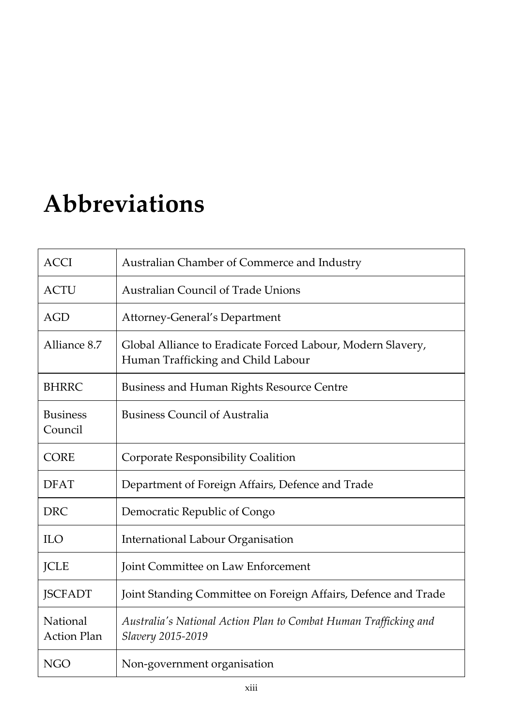# <span id="page-12-0"></span>**Abbreviations**

| <b>ACCI</b>                    | Australian Chamber of Commerce and Industry                                                       |
|--------------------------------|---------------------------------------------------------------------------------------------------|
| ACTU                           | <b>Australian Council of Trade Unions</b>                                                         |
| AGD                            | Attorney-General's Department                                                                     |
| Alliance 8.7                   | Global Alliance to Eradicate Forced Labour, Modern Slavery,<br>Human Trafficking and Child Labour |
| <b>BHRRC</b>                   | <b>Business and Human Rights Resource Centre</b>                                                  |
| <b>Business</b><br>Council     | <b>Business Council of Australia</b>                                                              |
| <b>CORE</b>                    | Corporate Responsibility Coalition                                                                |
| <b>DFAT</b>                    | Department of Foreign Affairs, Defence and Trade                                                  |
| <b>DRC</b>                     | Democratic Republic of Congo                                                                      |
| <b>ILO</b>                     | International Labour Organisation                                                                 |
| <b>JCLE</b>                    | Joint Committee on Law Enforcement                                                                |
| <b>JSCFADT</b>                 | Joint Standing Committee on Foreign Affairs, Defence and Trade                                    |
| National<br><b>Action Plan</b> | Australia's National Action Plan to Combat Human Trafficking and<br>Slavery 2015-2019             |
| <b>NGO</b>                     | Non-government organisation                                                                       |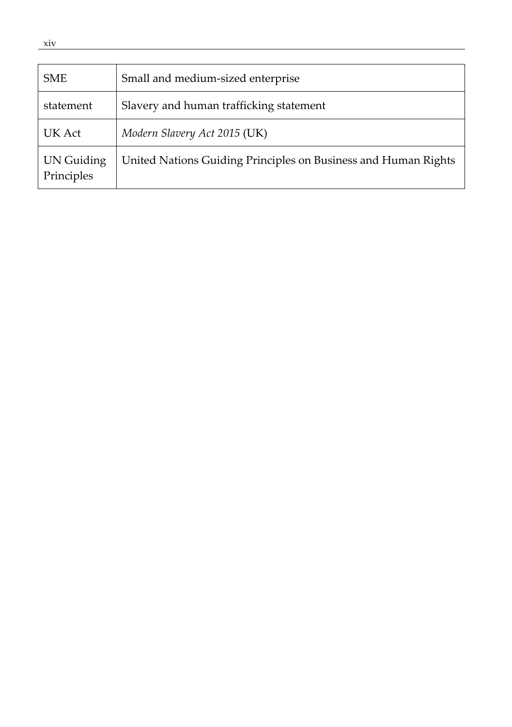| <b>SME</b>               | Small and medium-sized enterprise                              |
|--------------------------|----------------------------------------------------------------|
| statement                | Slavery and human trafficking statement                        |
| UK Act                   | Modern Slavery Act 2015 (UK)                                   |
| UN Guiding<br>Principles | United Nations Guiding Principles on Business and Human Rights |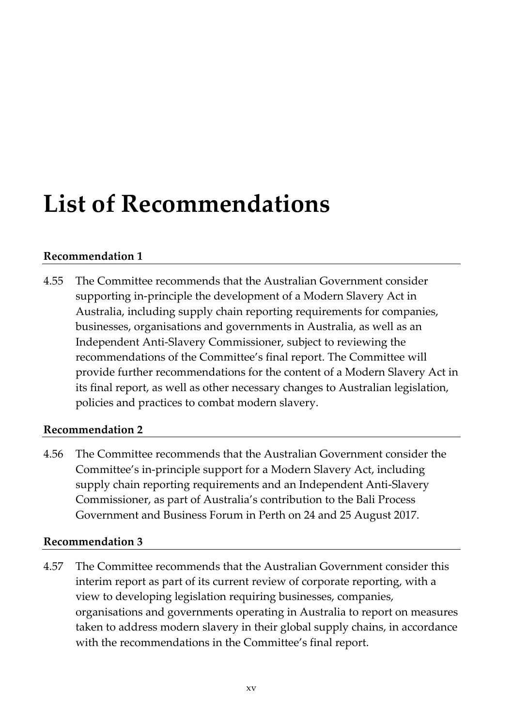# <span id="page-14-0"></span>**List of Recommendations**

#### **[Recommendation 1](#page-77-1)**

4.55 The Committee recommends that the Australian Government consider supporting in-principle the development of a Modern Slavery Act in Australia, including supply chain reporting requirements for companies, businesses, organisations and governments in Australia, as well as an Independent Anti-Slavery Commissioner, subject to reviewing the recommendations of the Committee's final report. The Committee will provide further recommendations for the content of a Modern Slavery Act in its final report, as well as other necessary changes to Australian legislation, policies and practices to combat modern slavery.

#### **[Recommendation 2](#page-77-2)**

4.56 The Committee recommends that the Australian Government consider the Committee's in-principle support for a Modern Slavery Act, including supply chain reporting requirements and an Independent Anti-Slavery Commissioner, as part of Australia's contribution to the Bali Process Government and Business Forum in Perth on 24 and 25 August 2017.

#### **[Recommendation 3](#page-77-3)**

4.57 The Committee recommends that the Australian Government consider this interim report as part of its current review of corporate reporting, with a view to developing legislation requiring businesses, companies, organisations and governments operating in Australia to report on measures taken to address modern slavery in their global supply chains, in accordance with the recommendations in the Committee's final report.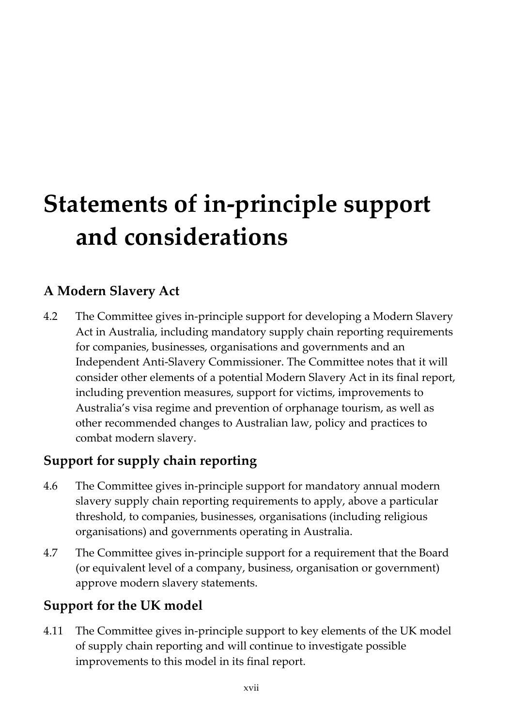# <span id="page-16-0"></span>**Statements of in-principle support and considerations**

## **A Modern Slavery Act**

4.2 The Committee gives in-principle support for developing a Modern Slavery Act in Australia, including mandatory supply chain reporting requirements for companies, businesses, organisations and governments and an Independent Anti-Slavery Commissioner. The Committee notes that it will consider other elements of a potential Modern Slavery Act in its final report, including prevention measures, support for victims, improvements to Australia's visa regime and prevention of orphanage tourism, as well as other recommended changes to Australian law, policy and practices to combat modern slavery.

## **Support for supply chain reporting**

- 4.6 The Committee gives in-principle support for mandatory annual modern slavery supply chain reporting requirements to apply, above a particular threshold, to companies, businesses, organisations (including religious organisations) and governments operating in Australia.
- 4.7 The Committee gives in-principle support for a requirement that the Board (or equivalent level of a company, business, organisation or government) approve modern slavery statements.

## **Support for the UK model**

4.11 The Committee gives in-principle support to key elements of the UK model of supply chain reporting and will continue to investigate possible improvements to this model in its final report.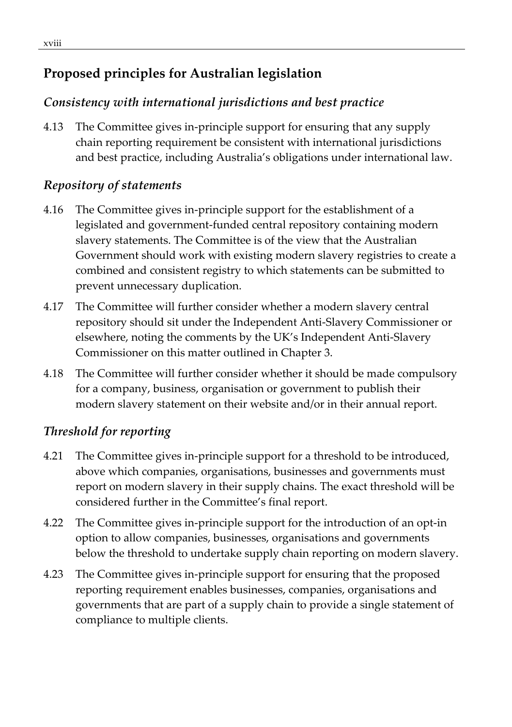## **Proposed principles for Australian legislation**

## *Consistency with international jurisdictions and best practice*

4.13 The Committee gives in-principle support for ensuring that any supply chain reporting requirement be consistent with international jurisdictions and best practice, including Australia's obligations under international law.

## *Repository of statements*

- 4.16 The Committee gives in-principle support for the establishment of a legislated and government-funded central repository containing modern slavery statements. The Committee is of the view that the Australian Government should work with existing modern slavery registries to create a combined and consistent registry to which statements can be submitted to prevent unnecessary duplication.
- 4.17 The Committee will further consider whether a modern slavery central repository should sit under the Independent Anti-Slavery Commissioner or elsewhere, noting the comments by the UK's Independent Anti-Slavery Commissioner on this matter outlined in Chapter 3.
- 4.18 The Committee will further consider whether it should be made compulsory for a company, business, organisation or government to publish their modern slavery statement on their website and/or in their annual report.

## *Threshold for reporting*

- 4.21 The Committee gives in-principle support for a threshold to be introduced, above which companies, organisations, businesses and governments must report on modern slavery in their supply chains. The exact threshold will be considered further in the Committee's final report.
- 4.22 The Committee gives in-principle support for the introduction of an opt-in option to allow companies, businesses, organisations and governments below the threshold to undertake supply chain reporting on modern slavery.
- 4.23 The Committee gives in-principle support for ensuring that the proposed reporting requirement enables businesses, companies, organisations and governments that are part of a supply chain to provide a single statement of compliance to multiple clients.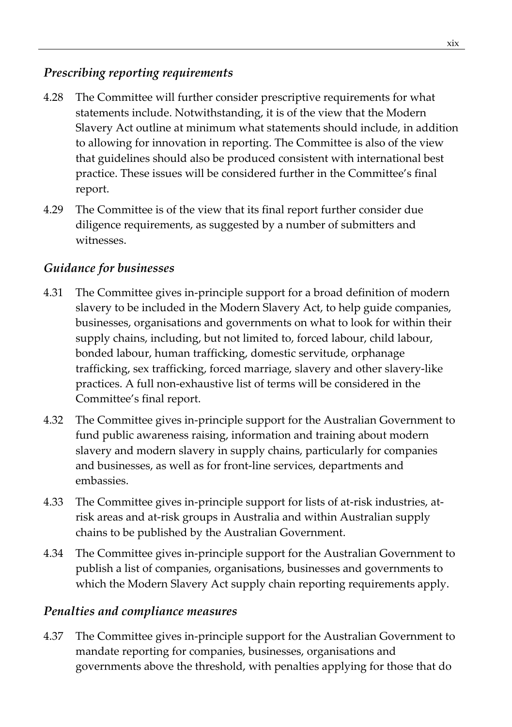#### *Prescribing reporting requirements*

- 4.28 The Committee will further consider prescriptive requirements for what statements include. Notwithstanding, it is of the view that the Modern Slavery Act outline at minimum what statements should include, in addition to allowing for innovation in reporting. The Committee is also of the view that guidelines should also be produced consistent with international best practice. These issues will be considered further in the Committee's final report.
- 4.29 The Committee is of the view that its final report further consider due diligence requirements, as suggested by a number of submitters and witnesses.

### *Guidance for businesses*

- 4.31 The Committee gives in-principle support for a broad definition of modern slavery to be included in the Modern Slavery Act, to help guide companies, businesses, organisations and governments on what to look for within their supply chains, including, but not limited to, forced labour, child labour, bonded labour, human trafficking, domestic servitude, orphanage trafficking, sex trafficking, forced marriage, slavery and other slavery-like practices. A full non-exhaustive list of terms will be considered in the Committee's final report.
- 4.32 The Committee gives in-principle support for the Australian Government to fund public awareness raising, information and training about modern slavery and modern slavery in supply chains, particularly for companies and businesses, as well as for front-line services, departments and embassies.
- 4.33 The Committee gives in-principle support for lists of at-risk industries, atrisk areas and at-risk groups in Australia and within Australian supply chains to be published by the Australian Government.
- 4.34 The Committee gives in-principle support for the Australian Government to publish a list of companies, organisations, businesses and governments to which the Modern Slavery Act supply chain reporting requirements apply.

#### *Penalties and compliance measures*

4.37 The Committee gives in-principle support for the Australian Government to mandate reporting for companies, businesses, organisations and governments above the threshold, with penalties applying for those that do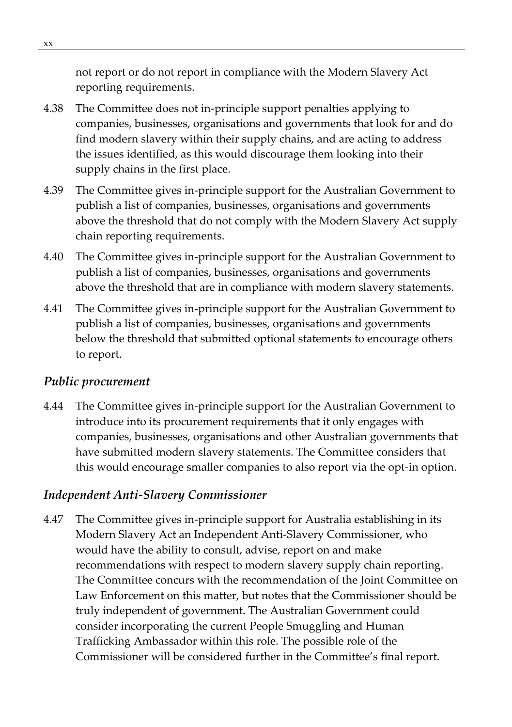not report or do not report in compliance with the Modern Slavery Act reporting requirements.

- 4.38 The Committee does not in-principle support penalties applying to companies, businesses, organisations and governments that look for and do find modern slavery within their supply chains, and are acting to address the issues identified, as this would discourage them looking into their supply chains in the first place.
- 4.39 The Committee gives in-principle support for the Australian Government to publish a list of companies, businesses, organisations and governments above the threshold that do not comply with the Modern Slavery Act supply chain reporting requirements.
- 4.40 The Committee gives in-principle support for the Australian Government to publish a list of companies, businesses, organisations and governments above the threshold that are in compliance with modern slavery statements.
- 4.41 The Committee gives in-principle support for the Australian Government to publish a list of companies, businesses, organisations and governments below the threshold that submitted optional statements to encourage others to report.

#### *Public procurement*

4.44 The Committee gives in-principle support for the Australian Government to introduce into its procurement requirements that it only engages with companies, businesses, organisations and other Australian governments that have submitted modern slavery statements. The Committee considers that this would encourage smaller companies to also report via the opt-in option.

#### *Independent Anti-Slavery Commissioner*

4.47 The Committee gives in-principle support for Australia establishing in its Modern Slavery Act an Independent Anti-Slavery Commissioner, who would have the ability to consult, advise, report on and make recommendations with respect to modern slavery supply chain reporting. The Committee concurs with the recommendation of the Joint Committee on Law Enforcement on this matter, but notes that the Commissioner should be truly independent of government. The Australian Government could consider incorporating the current People Smuggling and Human Trafficking Ambassador within this role. The possible role of the Commissioner will be considered further in the Committee's final report.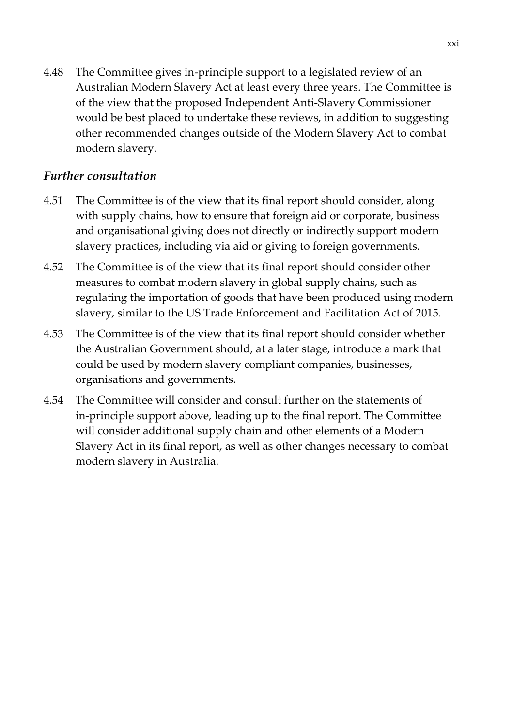4.48 The Committee gives in-principle support to a legislated review of an Australian Modern Slavery Act at least every three years. The Committee is of the view that the proposed Independent Anti-Slavery Commissioner would be best placed to undertake these reviews, in addition to suggesting other recommended changes outside of the Modern Slavery Act to combat modern slavery.

#### *Further consultation*

- 4.51 The Committee is of the view that its final report should consider, along with supply chains, how to ensure that foreign aid or corporate, business and organisational giving does not directly or indirectly support modern slavery practices, including via aid or giving to foreign governments.
- 4.52 The Committee is of the view that its final report should consider other measures to combat modern slavery in global supply chains, such as regulating the importation of goods that have been produced using modern slavery, similar to the US Trade Enforcement and Facilitation Act of 2015.
- 4.53 The Committee is of the view that its final report should consider whether the Australian Government should, at a later stage, introduce a mark that could be used by modern slavery compliant companies, businesses, organisations and governments.
- 4.54 The Committee will consider and consult further on the statements of in-principle support above, leading up to the final report. The Committee will consider additional supply chain and other elements of a Modern Slavery Act in its final report, as well as other changes necessary to combat modern slavery in Australia.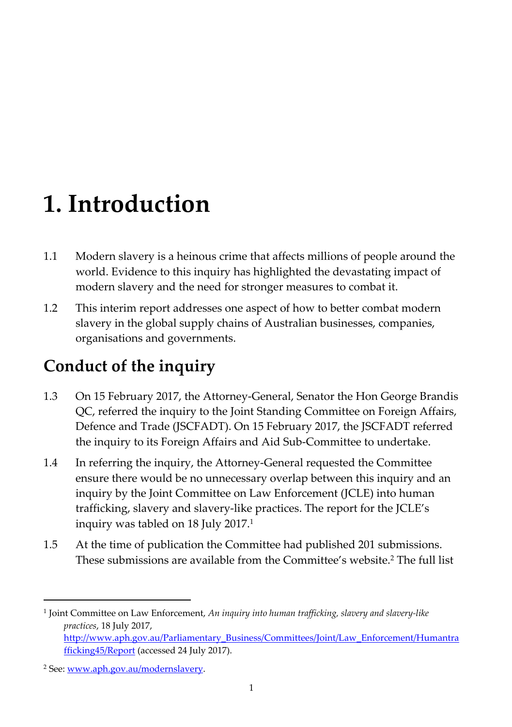# <span id="page-22-0"></span>**1. Introduction**

- 1.1 Modern slavery is a heinous crime that affects millions of people around the world. Evidence to this inquiry has highlighted the devastating impact of modern slavery and the need for stronger measures to combat it.
- 1.2 This interim report addresses one aspect of how to better combat modern slavery in the global supply chains of Australian businesses, companies, organisations and governments.

# <span id="page-22-1"></span>**Conduct of the inquiry**

- 1.3 On 15 February 2017, the Attorney-General, Senator the Hon George Brandis QC, referred the inquiry to the Joint Standing Committee on Foreign Affairs, Defence and Trade (JSCFADT). On 15 February 2017, the JSCFADT referred the inquiry to its Foreign Affairs and Aid Sub-Committee to undertake.
- 1.4 In referring the inquiry, the Attorney-General requested the Committee ensure there would be no unnecessary overlap between this inquiry and an inquiry by the Joint Committee on Law Enforcement (JCLE) into human trafficking, slavery and slavery-like practices. The report for the JCLE's inquiry was tabled on 18 July 2017.<sup>1</sup>
- 1.5 At the time of publication the Committee had published 201 submissions. These submissions are available from the Committee's website.<sup>2</sup> The full list

<sup>1</sup> Joint Committee on Law Enforcement, *An inquiry into human trafficking, slavery and slavery-like practices*, 18 July 2017, [http://www.aph.gov.au/Parliamentary\\_Business/Committees/Joint/Law\\_Enforcement/Humantra](http://www.aph.gov.au/Parliamentary_Business/Committees/Joint/Law_Enforcement/Humantrafficking45/Report) [fficking45/Report](http://www.aph.gov.au/Parliamentary_Business/Committees/Joint/Law_Enforcement/Humantrafficking45/Report) (accessed 24 July 2017).

<sup>&</sup>lt;sup>2</sup> See: [www.aph.gov.au/modernslavery](http://www.aph.gov.au/modernslavery).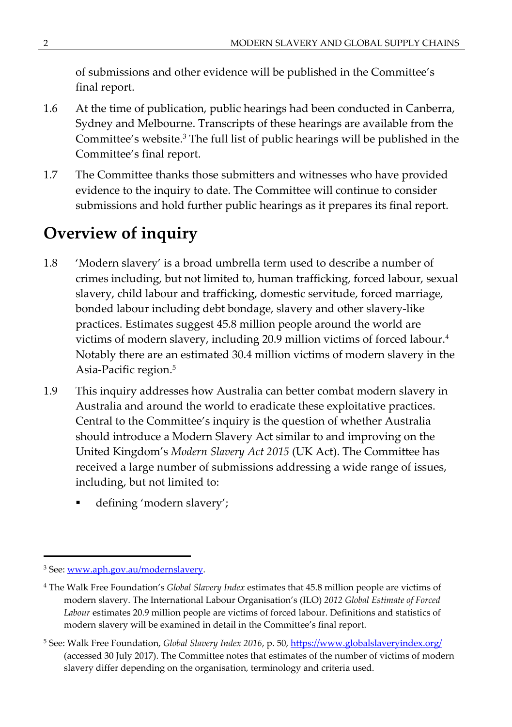of submissions and other evidence will be published in the Committee's final report.

- 1.6 At the time of publication, public hearings had been conducted in Canberra, Sydney and Melbourne. Transcripts of these hearings are available from the Committee's website.<sup>3</sup> The full list of public hearings will be published in the Committee's final report.
- 1.7 The Committee thanks those submitters and witnesses who have provided evidence to the inquiry to date. The Committee will continue to consider submissions and hold further public hearings as it prepares its final report.

# <span id="page-23-0"></span>**Overview of inquiry**

- 1.8 'Modern slavery' is a broad umbrella term used to describe a number of crimes including, but not limited to, human trafficking, forced labour, sexual slavery, child labour and trafficking, domestic servitude, forced marriage, bonded labour including debt bondage, slavery and other slavery-like practices. Estimates suggest 45.8 million people around the world are victims of modern slavery, including 20.9 million victims of forced labour.<sup>4</sup> Notably there are an estimated 30.4 million victims of modern slavery in the Asia-Pacific region.<sup>5</sup>
- 1.9 This inquiry addresses how Australia can better combat modern slavery in Australia and around the world to eradicate these exploitative practices. Central to the Committee's inquiry is the question of whether Australia should introduce a Modern Slavery Act similar to and improving on the United Kingdom's *Modern Slavery Act 2015* (UK Act). The Committee has received a large number of submissions addressing a wide range of issues, including, but not limited to:
	- defining 'modern slavery';

<sup>&</sup>lt;sup>3</sup> See: [www.aph.gov.au/modernslavery](http://www.aph.gov.au/modernslavery).

<sup>4</sup> The Walk Free Foundation's *Global Slavery Index* estimates that 45.8 million people are victims of modern slavery. The International Labour Organisation's (ILO) *2012 Global Estimate of Forced Labour* estimates 20.9 million people are victims of forced labour. Definitions and statistics of modern slavery will be examined in detail in the Committee's final report.

<sup>&</sup>lt;sup>5</sup> See: Walk Free Foundation, *Global Slavery Index 2016*, p. 50, <https://www.globalslaveryindex.org/> (accessed 30 July 2017). The Committee notes that estimates of the number of victims of modern slavery differ depending on the organisation, terminology and criteria used.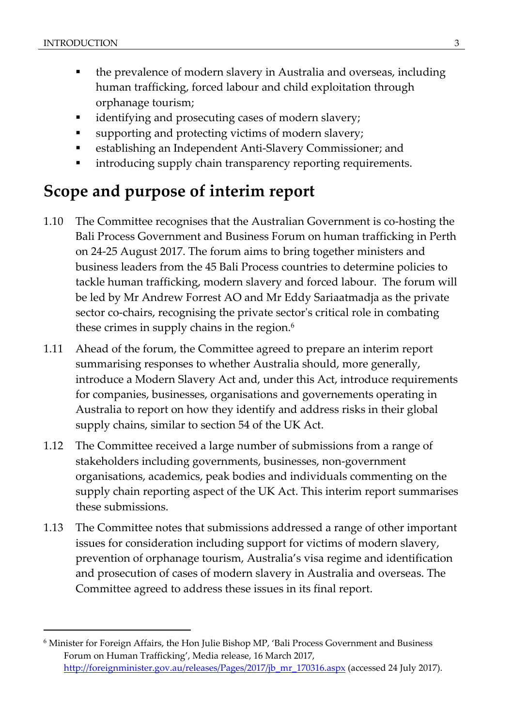- the prevalence of modern slavery in Australia and overseas, including human trafficking, forced labour and child exploitation through orphanage tourism;
- identifying and prosecuting cases of modern slavery;
- supporting and protecting victims of modern slavery;
- establishing an Independent Anti-Slavery Commissioner; and
- **•** introducing supply chain transparency reporting requirements.

# <span id="page-24-0"></span>**Scope and purpose of interim report**

- 1.10 The Committee recognises that the Australian Government is co-hosting the Bali Process Government and Business Forum on human trafficking in Perth on 24-25 August 2017. The forum aims to bring together ministers and business leaders from the 45 Bali Process countries to determine policies to tackle human trafficking, modern slavery and forced labour. The forum will be led by Mr Andrew Forrest AO and Mr Eddy Sariaatmadja as the private sector co-chairs, recognising the private sector's critical role in combating these crimes in supply chains in the region.<sup>6</sup>
- 1.11 Ahead of the forum, the Committee agreed to prepare an interim report summarising responses to whether Australia should, more generally, introduce a Modern Slavery Act and, under this Act, introduce requirements for companies, businesses, organisations and governements operating in Australia to report on how they identify and address risks in their global supply chains, similar to section 54 of the UK Act.
- 1.12 The Committee received a large number of submissions from a range of stakeholders including governments, businesses, non-government organisations, academics, peak bodies and individuals commenting on the supply chain reporting aspect of the UK Act. This interim report summarises these submissions.
- 1.13 The Committee notes that submissions addressed a range of other important issues for consideration including support for victims of modern slavery, prevention of orphanage tourism, Australia's visa regime and identification and prosecution of cases of modern slavery in Australia and overseas. The Committee agreed to address these issues in its final report.

<sup>6</sup> Minister for Foreign Affairs, the Hon Julie Bishop MP, 'Bali Process Government and Business Forum on Human Trafficking', Media release, 16 March 2017, [http://foreignminister.gov.au/releases/Pages/2017/jb\\_mr\\_170316.aspx](http://foreignminister.gov.au/releases/Pages/2017/jb_mr_170316.aspx) (accessed 24 July 2017).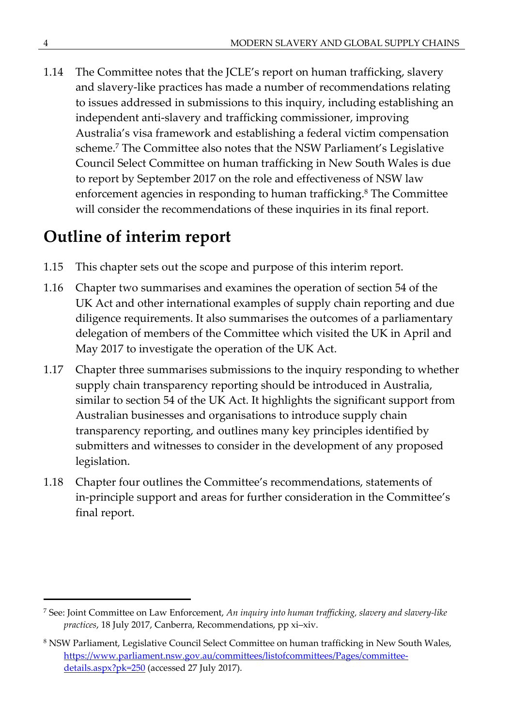1.14 The Committee notes that the JCLE's report on human trafficking, slavery and slavery-like practices has made a number of recommendations relating to issues addressed in submissions to this inquiry, including establishing an independent anti-slavery and trafficking commissioner, improving Australia's visa framework and establishing a federal victim compensation scheme.<sup>7</sup> The Committee also notes that the NSW Parliament's Legislative Council Select Committee on human trafficking in New South Wales is due to report by September 2017 on the role and effectiveness of NSW law enforcement agencies in responding to human trafficking.<sup>8</sup> The Committee will consider the recommendations of these inquiries in its final report.

# <span id="page-25-0"></span>**Outline of interim report**

- 1.15 This chapter sets out the scope and purpose of this interim report.
- 1.16 Chapter two summarises and examines the operation of section 54 of the UK Act and other international examples of supply chain reporting and due diligence requirements. It also summarises the outcomes of a parliamentary delegation of members of the Committee which visited the UK in April and May 2017 to investigate the operation of the UK Act.
- 1.17 Chapter three summarises submissions to the inquiry responding to whether supply chain transparency reporting should be introduced in Australia, similar to section 54 of the UK Act. It highlights the significant support from Australian businesses and organisations to introduce supply chain transparency reporting, and outlines many key principles identified by submitters and witnesses to consider in the development of any proposed legislation.
- 1.18 Chapter four outlines the Committee's recommendations, statements of in-principle support and areas for further consideration in the Committee's final report.

<sup>7</sup> See: Joint Committee on Law Enforcement, *An inquiry into human trafficking, slavery and slavery-like practices*, 18 July 2017, Canberra, Recommendations, pp xi–xiv.

<sup>&</sup>lt;sup>8</sup> NSW Parliament, Legislative Council Select Committee on human trafficking in New South Wales, [https://www.parliament.nsw.gov.au/committees/listofcommittees/Pages/committee](https://www.parliament.nsw.gov.au/committees/listofcommittees/Pages/committee-details.aspx?pk=250)[details.aspx?pk=250](https://www.parliament.nsw.gov.au/committees/listofcommittees/Pages/committee-details.aspx?pk=250) (accessed 27 July 2017).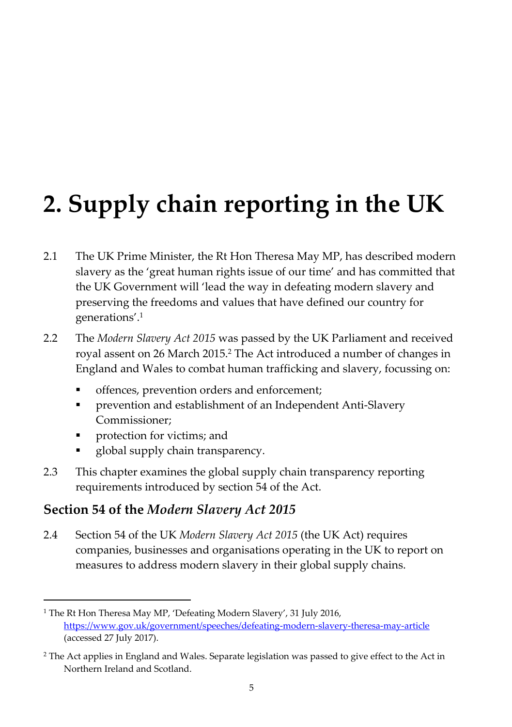# <span id="page-26-0"></span>**2. Supply chain reporting in the UK**

- 2.1 The UK Prime Minister, the Rt Hon Theresa May MP, has described modern slavery as the 'great human rights issue of our time' and has committed that the UK Government will 'lead the way in defeating modern slavery and preserving the freedoms and values that have defined our country for generations'.<sup>1</sup>
- 2.2 The *Modern Slavery Act 2015* was passed by the UK Parliament and received royal assent on 26 March 2015.<sup>2</sup> The Act introduced a number of changes in England and Wales to combat human trafficking and slavery, focussing on:
	- offences, prevention orders and enforcement;
	- prevention and establishment of an Independent Anti-Slavery Commissioner;
	- protection for victims; and
	- global supply chain transparency.
- 2.3 This chapter examines the global supply chain transparency reporting requirements introduced by section 54 of the Act.

### **Section 54 of the** *Modern Slavery Act 2015*

2.4 Section 54 of the UK *Modern Slavery Act 2015* (the UK Act) requires companies, businesses and organisations operating in the UK to report on measures to address modern slavery in their global supply chains.

<sup>&</sup>lt;sup>1</sup> The Rt Hon Theresa May MP, 'Defeating Modern Slavery', 31 July 2016, <https://www.gov.uk/government/speeches/defeating-modern-slavery-theresa-may-article> (accessed 27 July 2017).

<sup>2</sup> The Act applies in England and Wales. Separate legislation was passed to give effect to the Act in Northern Ireland and Scotland.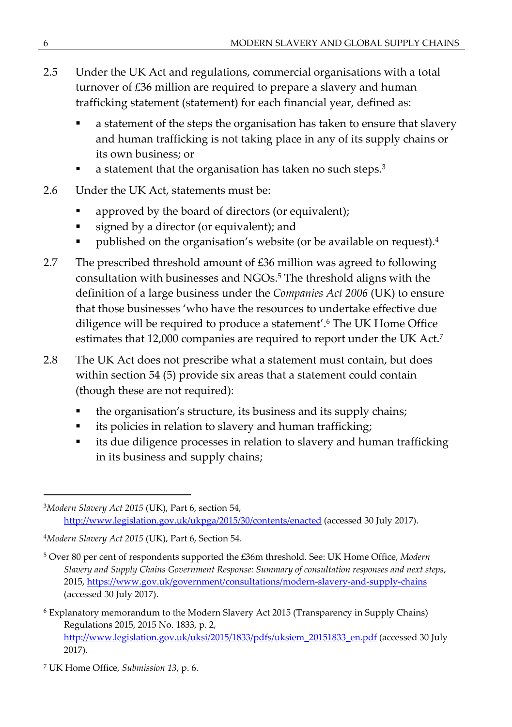- 2.5 Under the UK Act and regulations, commercial organisations with a total turnover of £36 million are required to prepare a slavery and human trafficking statement (statement) for each financial year, defined as:
	- a statement of the steps the organisation has taken to ensure that slavery and human trafficking is not taking place in any of its supply chains or its own business; or
	- a statement that the organisation has taken no such steps.<sup>3</sup>
- 2.6 Under the UK Act, statements must be:
	- approved by the board of directors (or equivalent);
	- signed by a director (or equivalent); and
	- published on the organisation's website (or be available on request).<sup>4</sup>
- 2.7 The prescribed threshold amount of  $\text{\pounds}36$  million was agreed to following consultation with businesses and NGOs.<sup>5</sup> The threshold aligns with the definition of a large business under the *Companies Act 2006* (UK) to ensure that those businesses 'who have the resources to undertake effective due diligence will be required to produce a statement'.<sup>6</sup> The UK Home Office estimates that 12,000 companies are required to report under the UK Act.<sup>7</sup>
- 2.8 The UK Act does not prescribe what a statement must contain, but does within section 54 (5) provide six areas that a statement could contain (though these are not required):
	- the organisation's structure, its business and its supply chains;
	- **i** its policies in relation to slavery and human trafficking;
	- **i** its due diligence processes in relation to slavery and human trafficking in its business and supply chains;

<sup>3</sup>*Modern Slavery Act 2015* (UK), Part 6, section 54, <http://www.legislation.gov.uk/ukpga/2015/30/contents/enacted>(accessed 30 July 2017).

<sup>4</sup>*Modern Slavery Act 2015* (UK), Part 6, Section 54.

<sup>5</sup> Over 80 per cent of respondents supported the £36m threshold. See: UK Home Office, *Modern Slavery and Supply Chains Government Response: Summary of consultation responses and next steps*, 2015, <https://www.gov.uk/government/consultations/modern-slavery-and-supply-chains> (accessed 30 July 2017).

<sup>6</sup> Explanatory memorandum to the Modern Slavery Act 2015 (Transparency in Supply Chains) Regulations 2015, 2015 No. 1833, p. 2, [http://www.legislation.gov.uk/uksi/2015/1833/pdfs/uksiem\\_20151833\\_en.pdf](http://www.legislation.gov.uk/uksi/2015/1833/pdfs/uksiem_20151833_en.pdf) (accessed 30 July 2017).

<sup>7</sup> UK Home Office, *Submission 13*, p. 6.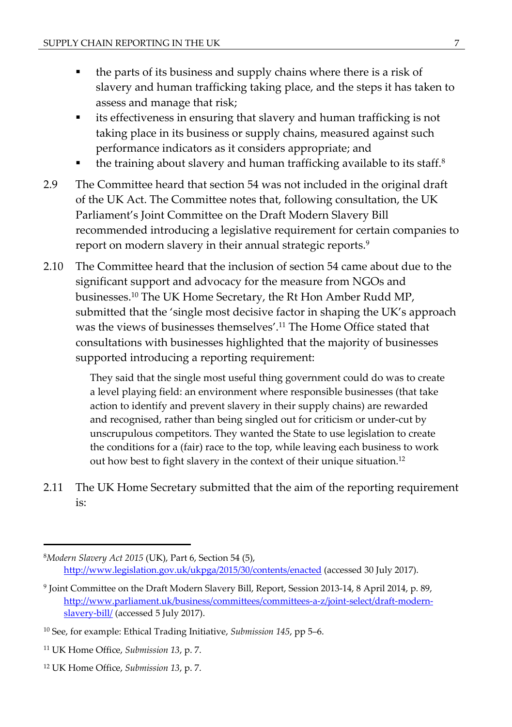- the parts of its business and supply chains where there is a risk of slavery and human trafficking taking place, and the steps it has taken to assess and manage that risk;
- its effectiveness in ensuring that slavery and human trafficking is not taking place in its business or supply chains, measured against such performance indicators as it considers appropriate; and
- the training about slavery and human trafficking available to its staff.<sup>8</sup>
- 2.9 The Committee heard that section 54 was not included in the original draft of the UK Act. The Committee notes that, following consultation, the UK Parliament's Joint Committee on the Draft Modern Slavery Bill recommended introducing a legislative requirement for certain companies to report on modern slavery in their annual strategic reports.<sup>9</sup>
- 2.10 The Committee heard that the inclusion of section 54 came about due to the significant support and advocacy for the measure from NGOs and businesses.<sup>10</sup> The UK Home Secretary, the Rt Hon Amber Rudd MP, submitted that the 'single most decisive factor in shaping the UK's approach was the views of businesses themselves'.<sup>11</sup> The Home Office stated that consultations with businesses highlighted that the majority of businesses supported introducing a reporting requirement:

They said that the single most useful thing government could do was to create a level playing field: an environment where responsible businesses (that take action to identify and prevent slavery in their supply chains) are rewarded and recognised, rather than being singled out for criticism or under-cut by unscrupulous competitors. They wanted the State to use legislation to create the conditions for a (fair) race to the top, while leaving each business to work out how best to fight slavery in the context of their unique situation.<sup>12</sup>

2.11 The UK Home Secretary submitted that the aim of the reporting requirement is:

<sup>8</sup>*Modern Slavery Act 2015* (UK), Part 6, Section 54 (5), <http://www.legislation.gov.uk/ukpga/2015/30/contents/enacted>(accessed 30 July 2017).

<sup>9</sup> Joint Committee on the Draft Modern Slavery Bill, Report, Session 2013-14, 8 April 2014, p. 89, [http://www.parliament.uk/business/committees/committees-a-z/joint-select/draft-modern](http://www.parliament.uk/business/committees/committees-a-z/joint-select/draft-modern-slavery-bill/)[slavery-bill/](http://www.parliament.uk/business/committees/committees-a-z/joint-select/draft-modern-slavery-bill/) (accessed 5 July 2017).

<sup>10</sup> See, for example: Ethical Trading Initiative, *Submission 145*, pp 5–6.

<sup>11</sup> UK Home Office, *Submission 13*, p. 7.

<sup>12</sup> UK Home Office, *Submission 13*, p. 7.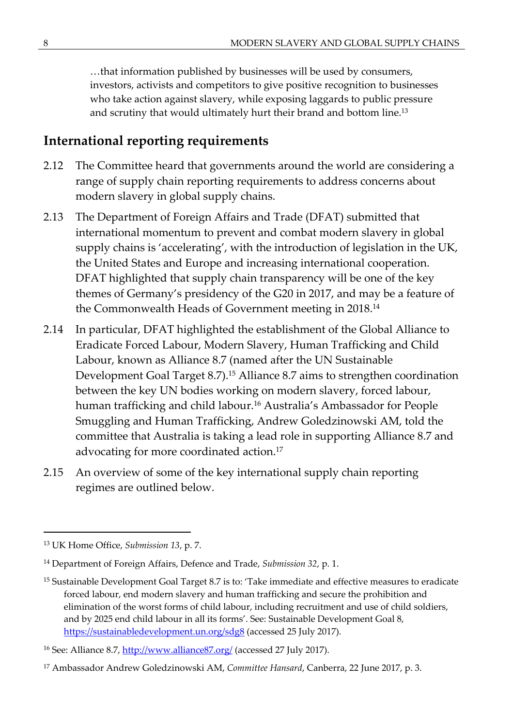…that information published by businesses will be used by consumers, investors, activists and competitors to give positive recognition to businesses who take action against slavery, while exposing laggards to public pressure and scrutiny that would ultimately hurt their brand and bottom line.<sup>13</sup>

### **International reporting requirements**

- 2.12 The Committee heard that governments around the world are considering a range of supply chain reporting requirements to address concerns about modern slavery in global supply chains.
- 2.13 The Department of Foreign Affairs and Trade (DFAT) submitted that international momentum to prevent and combat modern slavery in global supply chains is 'accelerating', with the introduction of legislation in the UK, the United States and Europe and increasing international cooperation. DFAT highlighted that supply chain transparency will be one of the key themes of Germany's presidency of the G20 in 2017, and may be a feature of the Commonwealth Heads of Government meeting in 2018.<sup>14</sup>
- 2.14 In particular, DFAT highlighted the establishment of the Global Alliance to Eradicate Forced Labour, Modern Slavery, Human Trafficking and Child Labour, known as Alliance 8.7 (named after the UN Sustainable Development Goal Target 8.7).<sup>15</sup> Alliance 8.7 aims to strengthen coordination between the key UN bodies working on modern slavery, forced labour, human trafficking and child labour.<sup>16</sup> Australia's Ambassador for People Smuggling and Human Trafficking, Andrew Goledzinowski AM, told the committee that Australia is taking a lead role in supporting Alliance 8.7 and advocating for more coordinated action.<sup>17</sup>
- 2.15 An overview of some of the key international supply chain reporting regimes are outlined below.

<sup>13</sup> UK Home Office, *Submission 13*, p. 7.

<sup>14</sup> Department of Foreign Affairs, Defence and Trade, *Submission 32*, p. 1.

<sup>&</sup>lt;sup>15</sup> Sustainable Development Goal Target 8.7 is to: 'Take immediate and effective measures to eradicate forced labour, end modern slavery and human trafficking and secure the prohibition and elimination of the worst forms of child labour, including recruitment and use of child soldiers, and by 2025 end child labour in all its forms'. See: Sustainable Development Goal 8, <https://sustainabledevelopment.un.org/sdg8> (accessed 25 July 2017).

<sup>&</sup>lt;sup>16</sup> See: Alliance 8.7,<http://www.alliance87.org/>(accessed 27 July 2017).

<sup>17</sup> Ambassador Andrew Goledzinowski AM, *Committee Hansard*, Canberra, 22 June 2017, p. 3.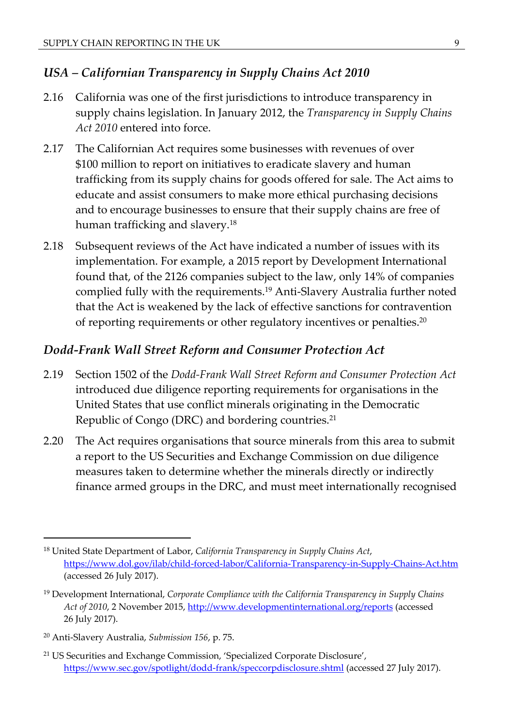#### *USA – Californian Transparency in Supply Chains Act 2010*

- 2.16 California was one of the first jurisdictions to introduce transparency in supply chains legislation. In January 2012, the *Transparency in Supply Chains Act 2010* entered into force.
- 2.17 The Californian Act requires some businesses with revenues of over \$100 million to report on initiatives to eradicate slavery and human trafficking from its supply chains for goods offered for sale. The Act aims to educate and assist consumers to make more ethical purchasing decisions and to encourage businesses to ensure that their supply chains are free of human trafficking and slavery.<sup>18</sup>
- 2.18 Subsequent reviews of the Act have indicated a number of issues with its implementation. For example, a 2015 report by Development International found that, of the 2126 companies subject to the law, only 14% of companies complied fully with the requirements.<sup>19</sup> Anti-Slavery Australia further noted that the Act is weakened by the lack of effective sanctions for contravention of reporting requirements or other regulatory incentives or penalties.<sup>20</sup>

#### *Dodd-Frank Wall Street Reform and Consumer Protection Act*

- 2.19 Section 1502 of the *Dodd-Frank Wall Street Reform and Consumer Protection Act*  introduced due diligence reporting requirements for organisations in the United States that use conflict minerals originating in the Democratic Republic of Congo (DRC) and bordering countries.<sup>21</sup>
- 2.20 The Act requires organisations that source minerals from this area to submit a report to the US Securities and Exchange Commission on due diligence measures taken to determine whether the minerals directly or indirectly finance armed groups in the DRC, and must meet internationally recognised

<sup>18</sup> United State Department of Labor, *California Transparency in Supply Chains Act*, <https://www.dol.gov/ilab/child-forced-labor/California-Transparency-in-Supply-Chains-Act.htm> (accessed 26 July 2017).

<sup>19</sup> Development International, *Corporate Compliance with the California Transparency in Supply Chains Act of 2010*, 2 November 2015,<http://www.developmentinternational.org/reports> (accessed 26 July 2017).

<sup>20</sup> Anti-Slavery Australia, *Submission 156*, p. 75.

<sup>21</sup> US Securities and Exchange Commission, 'Specialized Corporate Disclosure', <https://www.sec.gov/spotlight/dodd-frank/speccorpdisclosure.shtml> (accessed 27 July 2017).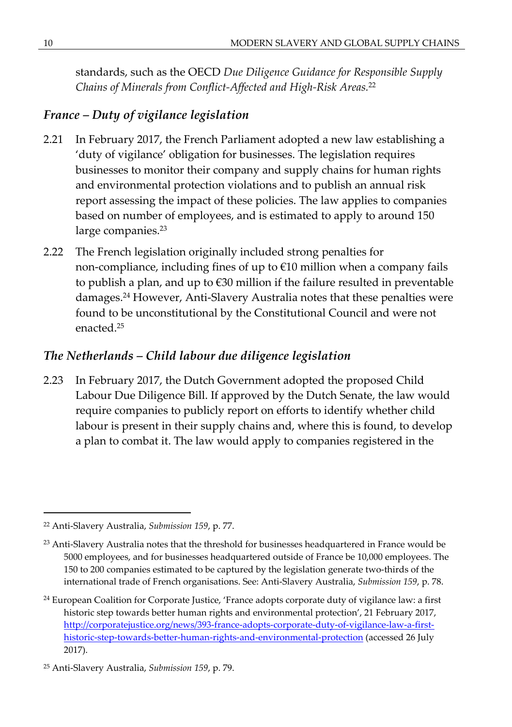standards, such as the OECD *Due Diligence Guidance for Responsible Supply Chains of Minerals from Conflict-Affected and High-Risk Areas.*<sup>22</sup>

#### *France – Duty of vigilance legislation*

- 2.21 In February 2017, the French Parliament adopted a new law establishing a 'duty of vigilance' obligation for businesses. The legislation requires businesses to monitor their company and supply chains for human rights and environmental protection violations and to publish an annual risk report assessing the impact of these policies. The law applies to companies based on number of employees, and is estimated to apply to around 150 large companies.<sup>23</sup>
- 2.22 The French legislation originally included strong penalties for non-compliance, including fines of up to €10 million when a company fails to publish a plan, and up to €30 million if the failure resulted in preventable damages.<sup>24</sup> However, Anti-Slavery Australia notes that these penalties were found to be unconstitutional by the Constitutional Council and were not enacted<sup>25</sup>

### *The Netherlands – Child labour due diligence legislation*

2.23 In February 2017, the Dutch Government adopted the proposed Child Labour Due Diligence Bill. If approved by the Dutch Senate, the law would require companies to publicly report on efforts to identify whether child labour is present in their supply chains and, where this is found, to develop a plan to combat it. The law would apply to companies registered in the

<sup>22</sup> Anti-Slavery Australia, *Submission 159*, p. 77.

<sup>&</sup>lt;sup>23</sup> Anti-Slavery Australia notes that the threshold for businesses headquartered in France would be 5000 employees, and for businesses headquartered outside of France be 10,000 employees. The 150 to 200 companies estimated to be captured by the legislation generate two-thirds of the international trade of French organisations. See: Anti-Slavery Australia, *Submission 159*, p. 78.

<sup>&</sup>lt;sup>24</sup> European Coalition for Corporate Justice, 'France adopts corporate duty of vigilance law: a first historic step towards better human rights and environmental protection', 21 February 2017, [http://corporatejustice.org/news/393-france-adopts-corporate-duty-of-vigilance-law-a-first](http://corporatejustice.org/news/393-france-adopts-corporate-duty-of-vigilance-law-a-first-historic-step-towards-better-human-rights-and-environmental-protection)[historic-step-towards-better-human-rights-and-environmental-protection](http://corporatejustice.org/news/393-france-adopts-corporate-duty-of-vigilance-law-a-first-historic-step-towards-better-human-rights-and-environmental-protection) (accessed 26 July 2017).

<sup>25</sup> Anti-Slavery Australia, *Submission 159*, p. 79.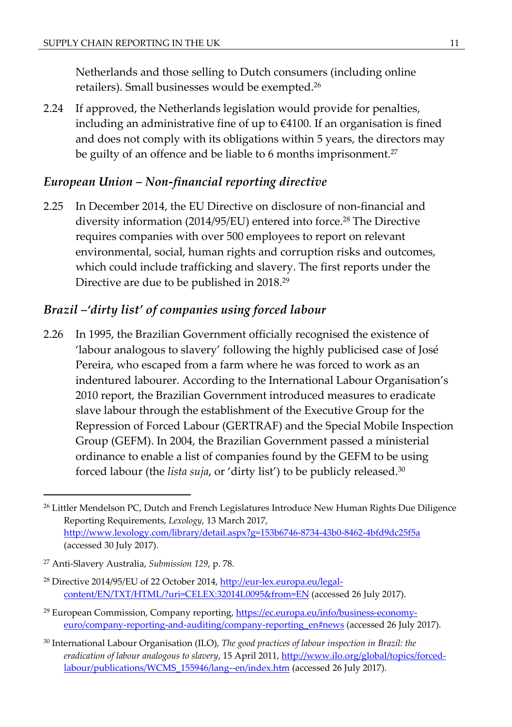Netherlands and those selling to Dutch consumers (including online retailers). Small businesses would be exempted.<sup>26</sup>

2.24 If approved, the Netherlands legislation would provide for penalties, including an administrative fine of up to  $\epsilon$ 4100. If an organisation is fined and does not comply with its obligations within 5 years, the directors may be guilty of an offence and be liable to 6 months imprisonment.<sup>27</sup>

#### *European Union – Non-financial reporting directive*

2.25 In December 2014, the EU Directive on disclosure of non-financial and diversity information (2014/95/EU) entered into force.<sup>28</sup> The Directive requires companies with over 500 employees to report on relevant environmental, social, human rights and corruption risks and outcomes, which could include trafficking and slavery. The first reports under the Directive are due to be published in 2018.<sup>29</sup>

#### *Brazil –'dirty list' of companies using forced labour*

2.26 In 1995, the Brazilian Government officially recognised the existence of 'labour analogous to slavery' following the highly publicised case of José Pereira, who escaped from a farm where he was forced to work as an indentured labourer. According to the International Labour Organisation's 2010 report, the Brazilian Government introduced measures to eradicate slave labour through the establishment of the Executive Group for the Repression of Forced Labour (GERTRAF) and the Special Mobile Inspection Group (GEFM). In 2004, the Brazilian Government passed a ministerial ordinance to enable a list of companies found by the GEFM to be using forced labour (the *lista suja*, or 'dirty list') to be publicly released.<sup>30</sup>

<sup>29</sup> European Commission, Company reporting, [https://ec.europa.eu/info/business-economy](https://ec.europa.eu/info/business-economy-euro/company-reporting-and-auditing/company-reporting_en)[euro/company-reporting-and-auditing/company-reporting\\_en#news](https://ec.europa.eu/info/business-economy-euro/company-reporting-and-auditing/company-reporting_en) (accessed 26 July 2017).

<sup>&</sup>lt;sup>26</sup> Littler Mendelson PC, Dutch and French Legislatures Introduce New Human Rights Due Diligence Reporting Requirements, *Lexology*, 13 March 2017, <http://www.lexology.com/library/detail.aspx?g=153b6746-8734-43b0-8462-4bfd9dc25f5a> (accessed 30 July 2017).

<sup>27</sup> Anti-Slavery Australia, *Submission 129*, p. 78.

<sup>&</sup>lt;sup>28</sup> Directive 2014/95/EU of 22 October 2014, [http://eur-lex.europa.eu/legal](http://eur-lex.europa.eu/legal-content/EN/TXT/HTML/?uri=CELEX:32014L0095&from=EN)[content/EN/TXT/HTML/?uri=CELEX:32014L0095&from=EN](http://eur-lex.europa.eu/legal-content/EN/TXT/HTML/?uri=CELEX:32014L0095&from=EN) (accessed 26 July 2017).

<sup>30</sup> International Labour Organisation (ILO), *The good practices of labour inspection in Brazil: the eradication of labour analogous to slavery*, 15 April 2011, [http://www.ilo.org/global/topics/forced](http://www.ilo.org/global/topics/forced-labour/publications/WCMS_155946/lang--en/index.htm)[labour/publications/WCMS\\_155946/lang--en/index.htm](http://www.ilo.org/global/topics/forced-labour/publications/WCMS_155946/lang--en/index.htm) (accessed 26 July 2017).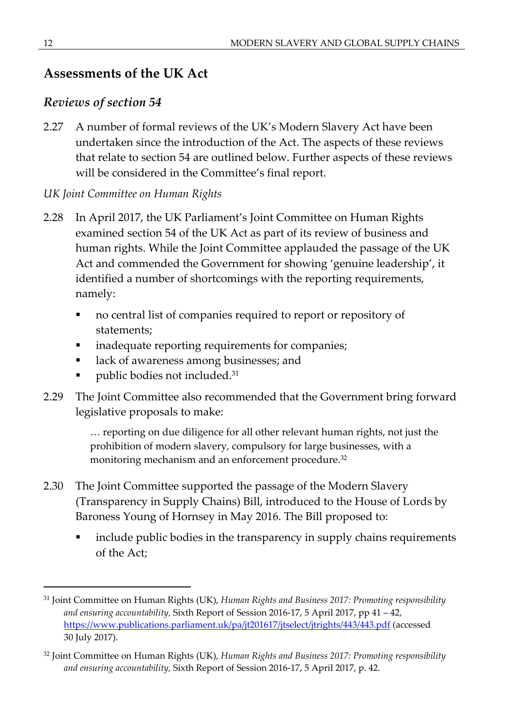### **Assessments of the UK Act**

#### *Reviews of section 54*

2.27 A number of formal reviews of the UK's Modern Slavery Act have been undertaken since the introduction of the Act. The aspects of these reviews that relate to section 54 are outlined below. Further aspects of these reviews will be considered in the Committee's final report.

#### *UK Joint Committee on Human Rights*

- 2.28 In April 2017, the UK Parliament's Joint Committee on Human Rights examined section 54 of the UK Act as part of its review of business and human rights. While the Joint Committee applauded the passage of the UK Act and commended the Government for showing 'genuine leadership', it identified a number of shortcomings with the reporting requirements, namely:
	- no central list of companies required to report or repository of statements;
	- **•** inadequate reporting requirements for companies;
	- **lack of awareness among businesses; and**
	- **•** public bodies not included.<sup>31</sup>
- 2.29 The Joint Committee also recommended that the Government bring forward legislative proposals to make:

… reporting on due diligence for all other relevant human rights, not just the prohibition of modern slavery, compulsory for large businesses, with a monitoring mechanism and an enforcement procedure.<sup>32</sup>

- 2.30 The Joint Committee supported the passage of the Modern Slavery (Transparency in Supply Chains) Bill, introduced to the House of Lords by Baroness Young of Hornsey in May 2016. The Bill proposed to:
	- include public bodies in the transparency in supply chains requirements of the Act;

<sup>31</sup> Joint Committee on Human Rights (UK), *Human Rights and Business 2017: Promoting responsibility and ensuring accountability,* Sixth Report of Session 2016-17, 5 April 2017, pp 41 – 42, <https://www.publications.parliament.uk/pa/jt201617/jtselect/jtrights/443/443.pdf>(accessed 30 July 2017).

<sup>32</sup> Joint Committee on Human Rights (UK), *Human Rights and Business 2017: Promoting responsibility and ensuring accountability*, Sixth Report of Session 2016-17, 5 April 2017, p. 42.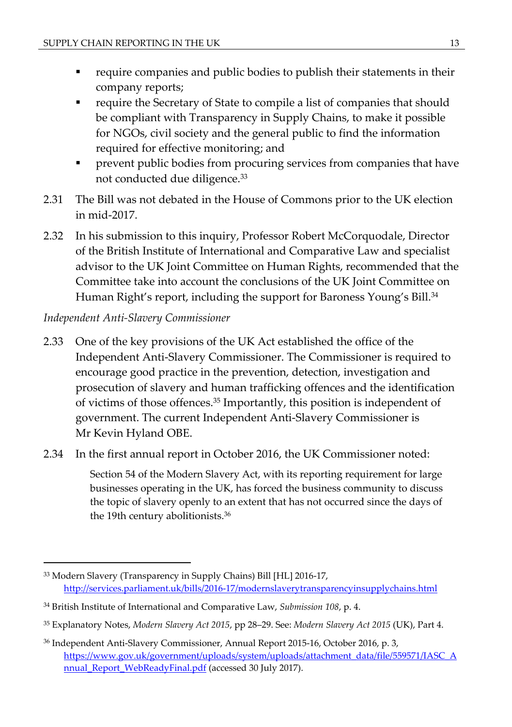- require companies and public bodies to publish their statements in their company reports;
- require the Secretary of State to compile a list of companies that should be compliant with Transparency in Supply Chains, to make it possible for NGOs, civil society and the general public to find the information required for effective monitoring; and
- prevent public bodies from procuring services from companies that have not conducted due diligence.<sup>33</sup>
- 2.31 The Bill was not debated in the House of Commons prior to the UK election in mid-2017.
- 2.32 In his submission to this inquiry, Professor Robert McCorquodale, Director of the British Institute of International and Comparative Law and specialist advisor to the UK Joint Committee on Human Rights, recommended that the Committee take into account the conclusions of the UK Joint Committee on Human Right's report, including the support for Baroness Young's Bill.<sup>34</sup>

#### *Independent Anti-Slavery Commissioner*

- 2.33 One of the key provisions of the UK Act established the office of the Independent Anti-Slavery Commissioner. The Commissioner is required to encourage good practice in the prevention, detection, investigation and prosecution of slavery and human trafficking offences and the identification of victims of those offences.<sup>35</sup> Importantly, this position is independent of government. The current Independent Anti-Slavery Commissioner is Mr Kevin Hyland OBE.
- 2.34 In the first annual report in October 2016, the UK Commissioner noted:

Section 54 of the Modern Slavery Act, with its reporting requirement for large businesses operating in the UK, has forced the business community to discuss the topic of slavery openly to an extent that has not occurred since the days of the 19th century abolitionists.<sup>36</sup>

<sup>33</sup> Modern Slavery (Transparency in Supply Chains) Bill [HL] 2016-17, <http://services.parliament.uk/bills/2016-17/modernslaverytransparencyinsupplychains.html>

<sup>34</sup> British Institute of International and Comparative Law, *Submission 108*, p. 4.

<sup>35</sup> Explanatory Notes, *Modern Slavery Act 2015*, pp 28–29. See: *Modern Slavery Act 2015* (UK), Part 4.

<sup>36</sup> Independent Anti-Slavery Commissioner, Annual Report 2015-16, October 2016, p. 3, [https://www.gov.uk/government/uploads/system/uploads/attachment\\_data/file/559571/IASC\\_A](https://www.gov.uk/government/uploads/system/uploads/attachment_data/file/559571/IASC_Annual_Report_WebReadyFinal.pdf) [nnual\\_Report\\_WebReadyFinal.pdf](https://www.gov.uk/government/uploads/system/uploads/attachment_data/file/559571/IASC_Annual_Report_WebReadyFinal.pdf) (accessed 30 July 2017).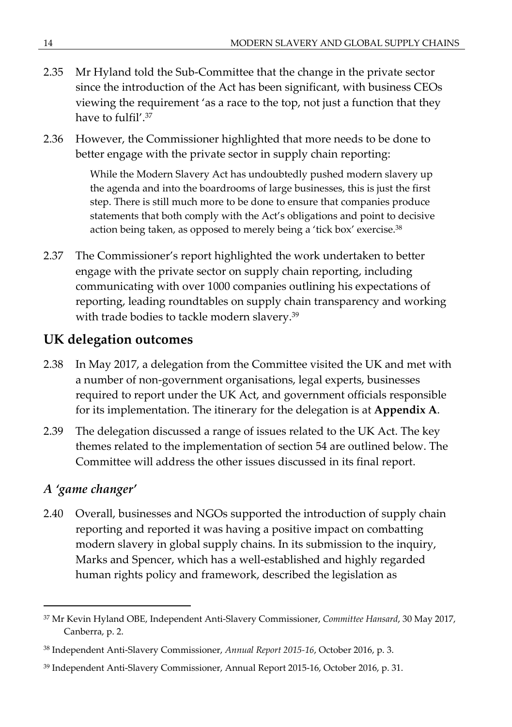- 2.35 Mr Hyland told the Sub-Committee that the change in the private sector since the introduction of the Act has been significant, with business CEOs viewing the requirement 'as a race to the top, not just a function that they have to fulfil'.<sup>37</sup>
- 2.36 However, the Commissioner highlighted that more needs to be done to better engage with the private sector in supply chain reporting:

While the Modern Slavery Act has undoubtedly pushed modern slavery up the agenda and into the boardrooms of large businesses, this is just the first step. There is still much more to be done to ensure that companies produce statements that both comply with the Act's obligations and point to decisive action being taken, as opposed to merely being a 'tick box' exercise.<sup>38</sup>

2.37 The Commissioner's report highlighted the work undertaken to better engage with the private sector on supply chain reporting, including communicating with over 1000 companies outlining his expectations of reporting, leading roundtables on supply chain transparency and working with trade bodies to tackle modern slavery.<sup>39</sup>

### **UK delegation outcomes**

- 2.38 In May 2017, a delegation from the Committee visited the UK and met with a number of non-government organisations, legal experts, businesses required to report under the UK Act, and government officials responsible for its implementation. The itinerary for the delegation is at **Appendix A**.
- 2.39 The delegation discussed a range of issues related to the UK Act. The key themes related to the implementation of section 54 are outlined below. The Committee will address the other issues discussed in its final report.

### *A 'game changer'*

2.40 Overall, businesses and NGOs supported the introduction of supply chain reporting and reported it was having a positive impact on combatting modern slavery in global supply chains. In its submission to the inquiry, Marks and Spencer, which has a well-established and highly regarded human rights policy and framework, described the legislation as

<sup>37</sup> Mr Kevin Hyland OBE, Independent Anti-Slavery Commissioner, *Committee Hansard*, 30 May 2017, Canberra, p. 2.

<sup>38</sup> Independent Anti-Slavery Commissioner, *Annual Report 2015-16*, October 2016, p. 3.

<sup>39</sup> Independent Anti-Slavery Commissioner, Annual Report 2015-16, October 2016, p. 31.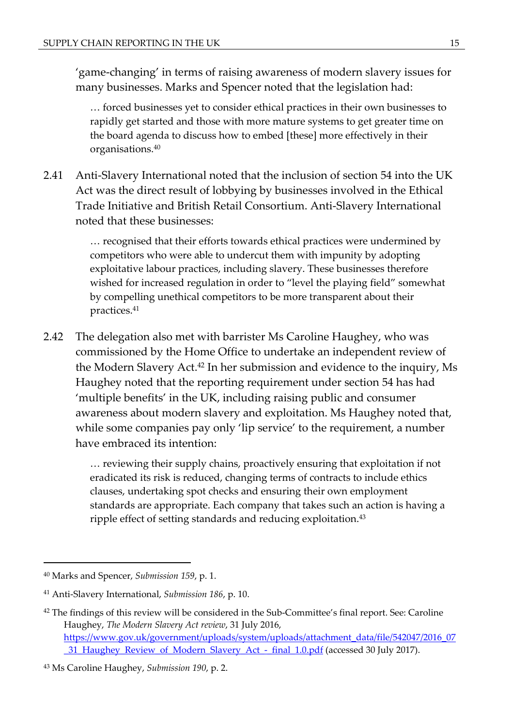'game-changing' in terms of raising awareness of modern slavery issues for many businesses. Marks and Spencer noted that the legislation had:

… forced businesses yet to consider ethical practices in their own businesses to rapidly get started and those with more mature systems to get greater time on the board agenda to discuss how to embed [these] more effectively in their organisations.<sup>40</sup>

2.41 Anti-Slavery International noted that the inclusion of section 54 into the UK Act was the direct result of lobbying by businesses involved in the Ethical Trade Initiative and British Retail Consortium. Anti-Slavery International noted that these businesses:

> … recognised that their efforts towards ethical practices were undermined by competitors who were able to undercut them with impunity by adopting exploitative labour practices, including slavery. These businesses therefore wished for increased regulation in order to "level the playing field" somewhat by compelling unethical competitors to be more transparent about their practices.<sup>41</sup>

2.42 The delegation also met with barrister Ms Caroline Haughey, who was commissioned by the Home Office to undertake an independent review of the Modern Slavery Act.<sup>42</sup> In her submission and evidence to the inquiry, Ms Haughey noted that the reporting requirement under section 54 has had 'multiple benefits' in the UK, including raising public and consumer awareness about modern slavery and exploitation. Ms Haughey noted that, while some companies pay only 'lip service' to the requirement, a number have embraced its intention:

> … reviewing their supply chains, proactively ensuring that exploitation if not eradicated its risk is reduced, changing terms of contracts to include ethics clauses, undertaking spot checks and ensuring their own employment standards are appropriate. Each company that takes such an action is having a ripple effect of setting standards and reducing exploitation.<sup>43</sup>

<sup>40</sup> Marks and Spencer, *Submission 159*, p. 1.

<sup>41</sup> Anti-Slavery International, *Submission 186*, p. 10.

<sup>&</sup>lt;sup>42</sup> The findings of this review will be considered in the Sub-Committee's final report. See: Caroline Haughey, *The Modern Slavery Act review*, 31 July 2016, [https://www.gov.uk/government/uploads/system/uploads/attachment\\_data/file/542047/2016\\_07](https://www.gov.uk/government/uploads/system/uploads/attachment_data/file/542047/2016_07_31_Haughey_Review_of_Modern_Slavery_Act_-_final_1.0.pdf) [\\_31\\_Haughey\\_Review\\_of\\_Modern\\_Slavery\\_Act\\_-\\_final\\_1.0.pdf](https://www.gov.uk/government/uploads/system/uploads/attachment_data/file/542047/2016_07_31_Haughey_Review_of_Modern_Slavery_Act_-_final_1.0.pdf) (accessed 30 July 2017).

<sup>43</sup> Ms Caroline Haughey, *Submission 190*, p. 2.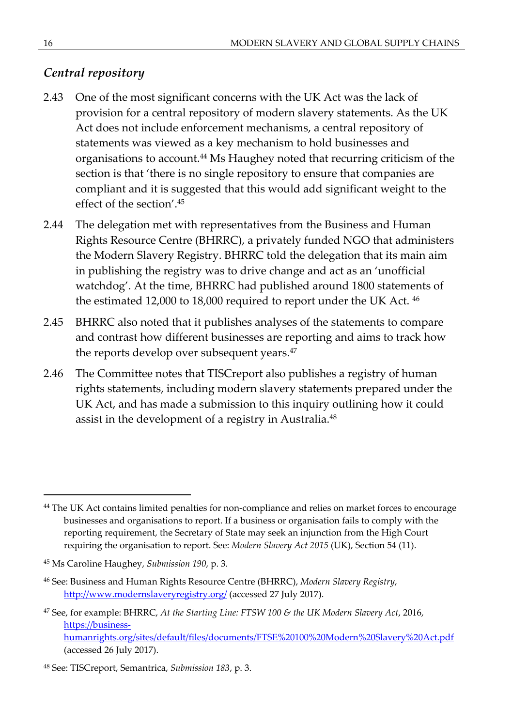#### *Central repository*

- 2.43 One of the most significant concerns with the UK Act was the lack of provision for a central repository of modern slavery statements. As the UK Act does not include enforcement mechanisms, a central repository of statements was viewed as a key mechanism to hold businesses and organisations to account.<sup>44</sup> Ms Haughey noted that recurring criticism of the section is that 'there is no single repository to ensure that companies are compliant and it is suggested that this would add significant weight to the effect of the section'.<sup>45</sup>
- 2.44 The delegation met with representatives from the Business and Human Rights Resource Centre (BHRRC), a privately funded NGO that administers the Modern Slavery Registry. BHRRC told the delegation that its main aim in publishing the registry was to drive change and act as an 'unofficial watchdog'. At the time, BHRRC had published around 1800 statements of the estimated 12,000 to 18,000 required to report under the UK Act. <sup>46</sup>
- 2.45 BHRRC also noted that it publishes analyses of the statements to compare and contrast how different businesses are reporting and aims to track how the reports develop over subsequent years.<sup>47</sup>
- 2.46 The Committee notes that TISCreport also publishes a registry of human rights statements, including modern slavery statements prepared under the UK Act, and has made a submission to this inquiry outlining how it could assist in the development of a registry in Australia.<sup>48</sup>

<sup>44</sup> The UK Act contains limited penalties for non-compliance and relies on market forces to encourage businesses and organisations to report. If a business or organisation fails to comply with the reporting requirement, the Secretary of State may seek an injunction from the High Court requiring the organisation to report. See: *Modern Slavery Act 2015* (UK), Section 54 (11).

<sup>45</sup> Ms Caroline Haughey, *Submission 190*, p. 3.

<sup>46</sup> See: Business and Human Rights Resource Centre (BHRRC), *Modern Slavery Registry*, <http://www.modernslaveryregistry.org/> (accessed 27 July 2017).

<sup>47</sup> See, for example: BHRRC, *At the Starting Line: FTSW 100 & the UK Modern Slavery Act*, 2016, [https://business](https://business-humanrights.org/sites/default/files/documents/FTSE%2520100%2520Modern%2520Slavery%2520Act.pdf)[humanrights.org/sites/default/files/documents/FTSE%20100%20Modern%20Slavery%20Act.pdf](https://business-humanrights.org/sites/default/files/documents/FTSE%2520100%2520Modern%2520Slavery%2520Act.pdf) (accessed 26 July 2017).

<sup>48</sup> See: TISCreport, Semantrica, *Submission 183*, p. 3.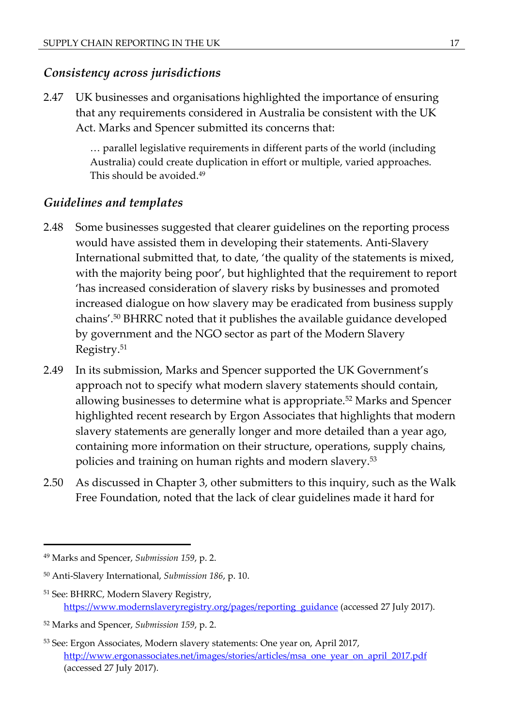#### *Consistency across jurisdictions*

2.47 UK businesses and organisations highlighted the importance of ensuring that any requirements considered in Australia be consistent with the UK Act. Marks and Spencer submitted its concerns that:

> … parallel legislative requirements in different parts of the world (including Australia) could create duplication in effort or multiple, varied approaches. This should be avoided.<sup>49</sup>

#### *Guidelines and templates*

- 2.48 Some businesses suggested that clearer guidelines on the reporting process would have assisted them in developing their statements. Anti-Slavery International submitted that, to date, 'the quality of the statements is mixed, with the majority being poor', but highlighted that the requirement to report 'has increased consideration of slavery risks by businesses and promoted increased dialogue on how slavery may be eradicated from business supply chains'.<sup>50</sup> BHRRC noted that it publishes the available guidance developed by government and the NGO sector as part of the Modern Slavery Registry.<sup>51</sup>
- 2.49 In its submission, Marks and Spencer supported the UK Government's approach not to specify what modern slavery statements should contain, allowing businesses to determine what is appropriate.<sup>52</sup> Marks and Spencer highlighted recent research by Ergon Associates that highlights that modern slavery statements are generally longer and more detailed than a year ago, containing more information on their structure, operations, supply chains, policies and training on human rights and modern slavery.<sup>53</sup>
- 2.50 As discussed in Chapter 3, other submitters to this inquiry, such as the Walk Free Foundation, noted that the lack of clear guidelines made it hard for

<sup>51</sup> See: BHRRC, Modern Slavery Registry, [https://www.modernslaveryregistry.org/pages/reporting\\_guidance](https://www.modernslaveryregistry.org/pages/reporting_guidance) (accessed 27 July 2017).

<sup>49</sup> Marks and Spencer, *Submission 159*, p. 2.

<sup>50</sup> Anti-Slavery International, *Submission 186*, p. 10.

<sup>52</sup> Marks and Spencer, *Submission 159*, p. 2.

<sup>53</sup> See: Ergon Associates, Modern slavery statements: One year on, April 2017, [http://www.ergonassociates.net/images/stories/articles/msa\\_one\\_year\\_on\\_april\\_2017.pdf](http://www.ergonassociates.net/images/stories/articles/msa_one_year_on_april_2017.pdf) (accessed 27 July 2017).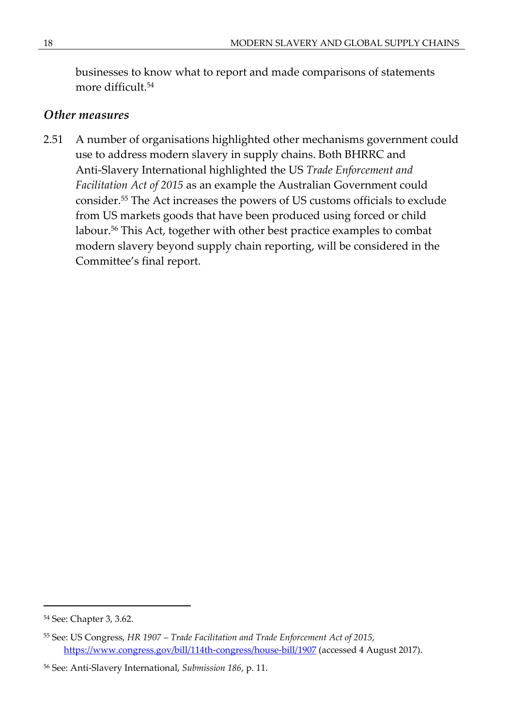businesses to know what to report and made comparisons of statements more difficult.<sup>54</sup>

#### *Other measures*

2.51 A number of organisations highlighted other mechanisms government could use to address modern slavery in supply chains. Both BHRRC and Anti-Slavery International highlighted the US *Trade Enforcement and Facilitation Act of 2015* as an example the Australian Government could consider.<sup>55</sup> The Act increases the powers of US customs officials to exclude from US markets goods that have been produced using forced or child labour.<sup>56</sup> This Act, together with other best practice examples to combat modern slavery beyond supply chain reporting, will be considered in the Committee's final report.

<sup>54</sup> See: Chapter 3, 3.62.

<sup>55</sup> See: US Congress, *HR 1907 – Trade Facilitation and Trade Enforcement Act of 2015*, <https://www.congress.gov/bill/114th-congress/house-bill/1907>(accessed 4 August 2017).

<sup>56</sup> See: Anti-Slavery International, *Submission 186*, p. 11.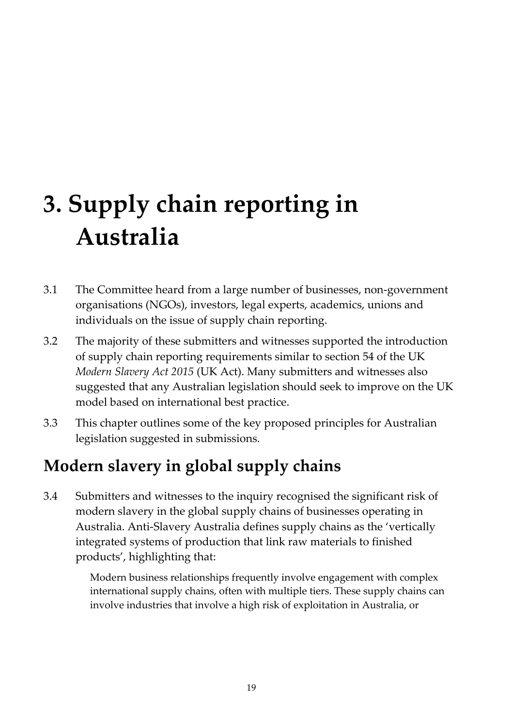# **3. Supply chain reporting in Australia**

- 3.1 The Committee heard from a large number of businesses, non-government organisations (NGOs), investors, legal experts, academics, unions and individuals on the issue of supply chain reporting.
- 3.2 The majority of these submitters and witnesses supported the introduction of supply chain reporting requirements similar to section 54 of the UK *Modern Slavery Act 2015* (UK Act). Many submitters and witnesses also suggested that any Australian legislation should seek to improve on the UK model based on international best practice.
- 3.3 This chapter outlines some of the key proposed principles for Australian legislation suggested in submissions.

# **Modern slavery in global supply chains**

3.4 Submitters and witnesses to the inquiry recognised the significant risk of modern slavery in the global supply chains of businesses operating in Australia. Anti-Slavery Australia defines supply chains as the 'vertically integrated systems of production that link raw materials to finished products', highlighting that:

> Modern business relationships frequently involve engagement with complex international supply chains, often with multiple tiers. These supply chains can involve industries that involve a high risk of exploitation in Australia, or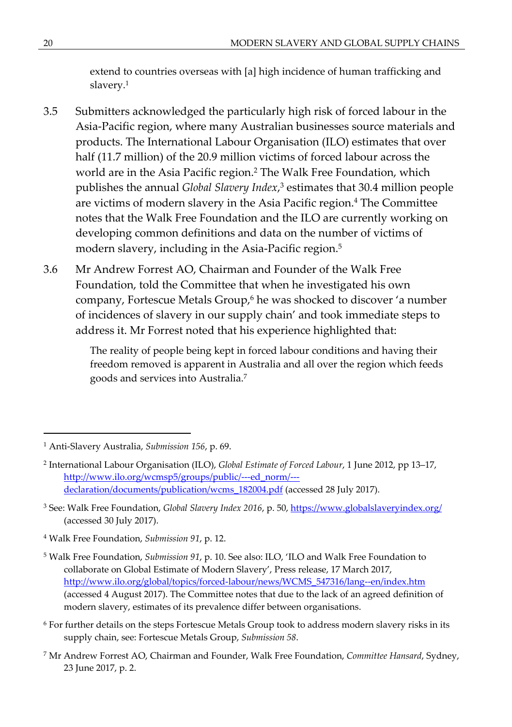extend to countries overseas with [a] high incidence of human trafficking and slavery.<sup>1</sup>

- 3.5 Submitters acknowledged the particularly high risk of forced labour in the Asia-Pacific region, where many Australian businesses source materials and products. The International Labour Organisation (ILO) estimates that over half (11.7 million) of the 20.9 million victims of forced labour across the world are in the Asia Pacific region.<sup>2</sup> The Walk Free Foundation, which publishes the annual *Global Slavery Index*,<sup>3</sup> estimates that 30.4 million people are victims of modern slavery in the Asia Pacific region.<sup>4</sup> The Committee notes that the Walk Free Foundation and the ILO are currently working on developing common definitions and data on the number of victims of modern slavery, including in the Asia-Pacific region.<sup>5</sup>
- 3.6 Mr Andrew Forrest AO, Chairman and Founder of the Walk Free Foundation, told the Committee that when he investigated his own company, Fortescue Metals Group,<sup>6</sup> he was shocked to discover 'a number of incidences of slavery in our supply chain' and took immediate steps to address it. Mr Forrest noted that his experience highlighted that:

The reality of people being kept in forced labour conditions and having their freedom removed is apparent in Australia and all over the region which feeds goods and services into Australia.<sup>7</sup>

- 6 For further details on the steps Fortescue Metals Group took to address modern slavery risks in its supply chain, see: Fortescue Metals Group, *Submission 58*.
- 7 Mr Andrew Forrest AO, Chairman and Founder, Walk Free Foundation, *Committee Hansard*, Sydney, 23 June 2017, p. 2.

<sup>1</sup> Anti-Slavery Australia, *Submission 156*, p. 69.

<sup>2</sup> International Labour Organisation (ILO), *Global Estimate of Forced Labour*, 1 June 2012, pp 13–17, [http://www.ilo.org/wcmsp5/groups/public/---ed\\_norm/--](http://www.ilo.org/wcmsp5/groups/public/---ed_norm/---declaration/documents/publication/wcms_182004.pdf) [declaration/documents/publication/wcms\\_182004.pdf](http://www.ilo.org/wcmsp5/groups/public/---ed_norm/---declaration/documents/publication/wcms_182004.pdf) (accessed 28 July 2017).

<sup>3</sup> See: Walk Free Foundation, *Global Slavery Index 2016*, p. 50, <https://www.globalslaveryindex.org/> (accessed 30 July 2017).

<sup>4</sup> Walk Free Foundation, *Submission 91*, p. 12.

<sup>5</sup> Walk Free Foundation, *Submission 91*, p. 10. See also: ILO, 'ILO and Walk Free Foundation to collaborate on Global Estimate of Modern Slavery', Press release, 17 March 2017, [http://www.ilo.org/global/topics/forced-labour/news/WCMS\\_547316/lang--en/index.htm](http://www.ilo.org/global/topics/forced-labour/news/WCMS_547316/lang--en/index.htm) (accessed 4 August 2017). The Committee notes that due to the lack of an agreed definition of modern slavery, estimates of its prevalence differ between organisations.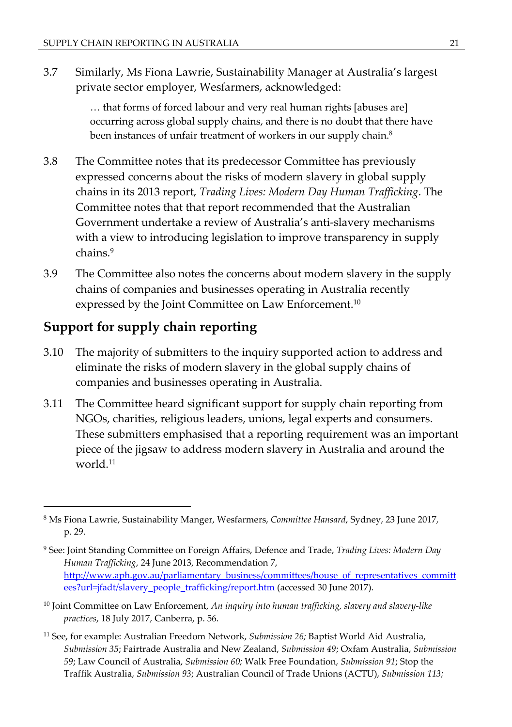3.7 Similarly, Ms Fiona Lawrie, Sustainability Manager at Australia's largest private sector employer, Wesfarmers, acknowledged:

> … that forms of forced labour and very real human rights [abuses are] occurring across global supply chains, and there is no doubt that there have been instances of unfair treatment of workers in our supply chain.<sup>8</sup>

- 3.8 The Committee notes that its predecessor Committee has previously expressed concerns about the risks of modern slavery in global supply chains in its 2013 report, *Trading Lives: Modern Day Human Trafficking*. The Committee notes that that report recommended that the Australian Government undertake a review of Australia's anti-slavery mechanisms with a view to introducing legislation to improve transparency in supply chains.<sup>9</sup>
- 3.9 The Committee also notes the concerns about modern slavery in the supply chains of companies and businesses operating in Australia recently expressed by the Joint Committee on Law Enforcement.<sup>10</sup>

## **Support for supply chain reporting**

- 3.10 The majority of submitters to the inquiry supported action to address and eliminate the risks of modern slavery in the global supply chains of companies and businesses operating in Australia.
- 3.11 The Committee heard significant support for supply chain reporting from NGOs, charities, religious leaders, unions, legal experts and consumers. These submitters emphasised that a reporting requirement was an important piece of the jigsaw to address modern slavery in Australia and around the world.<sup>11</sup>

- <sup>10</sup> Joint Committee on Law Enforcement, *An inquiry into human trafficking, slavery and slavery-like practices*, 18 July 2017, Canberra, p. 56.
- <sup>11</sup> See, for example: Australian Freedom Network, *Submission 26;* Baptist World Aid Australia, *Submission 35*; Fairtrade Australia and New Zealand, *Submission 49*; Oxfam Australia, *Submission 59*; Law Council of Australia, *Submission 60;* Walk Free Foundation, *Submission 91*; Stop the Traffik Australia, *Submission 93*; Australian Council of Trade Unions (ACTU), *Submission 113;*

<sup>8</sup> Ms Fiona Lawrie, Sustainability Manger, Wesfarmers, *Committee Hansard*, Sydney, 23 June 2017, p. 29.

<sup>9</sup> See: Joint Standing Committee on Foreign Affairs, Defence and Trade, *Trading Lives: Modern Day Human Trafficking*, 24 June 2013, Recommendation 7, [http://www.aph.gov.au/parliamentary\\_business/committees/house\\_of\\_representatives\\_committ](http://www.aph.gov.au/parliamentary_business/committees/house_of_representatives_committees?url=jfadt/slavery_people_trafficking/report.htm) [ees?url=jfadt/slavery\\_people\\_trafficking/report.htm](http://www.aph.gov.au/parliamentary_business/committees/house_of_representatives_committees?url=jfadt/slavery_people_trafficking/report.htm) (accessed 30 June 2017).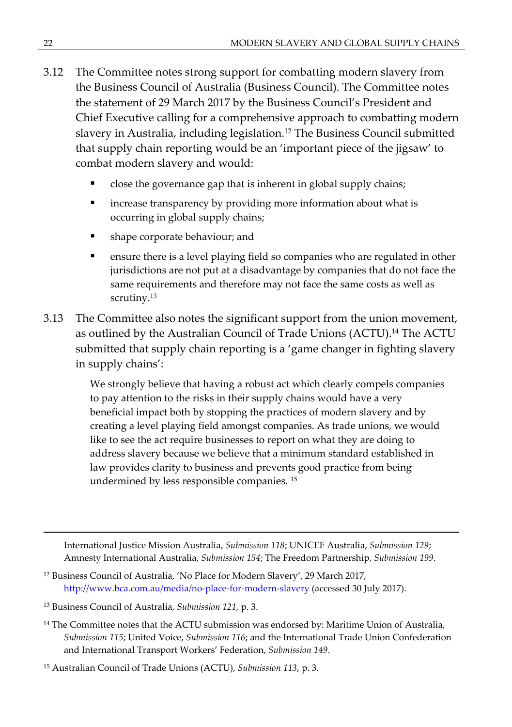- 3.12 The Committee notes strong support for combatting modern slavery from the Business Council of Australia (Business Council). The Committee notes the statement of 29 March 2017 by the Business Council's President and Chief Executive calling for a comprehensive approach to combatting modern slavery in Australia, including legislation.<sup>12</sup> The Business Council submitted that supply chain reporting would be an 'important piece of the jigsaw' to combat modern slavery and would:
	- close the governance gap that is inherent in global supply chains;
	- increase transparency by providing more information about what is occurring in global supply chains;
	- **shape corporate behaviour; and**
	- **EXE** ensure there is a level playing field so companies who are regulated in other jurisdictions are not put at a disadvantage by companies that do not face the same requirements and therefore may not face the same costs as well as scrutiny.<sup>13</sup>
- 3.13 The Committee also notes the significant support from the union movement, as outlined by the Australian Council of Trade Unions (ACTU).<sup>14</sup> The ACTU submitted that supply chain reporting is a 'game changer in fighting slavery in supply chains':

We strongly believe that having a robust act which clearly compels companies to pay attention to the risks in their supply chains would have a very beneficial impact both by stopping the practices of modern slavery and by creating a level playing field amongst companies. As trade unions, we would like to see the act require businesses to report on what they are doing to address slavery because we believe that a minimum standard established in law provides clarity to business and prevents good practice from being undermined by less responsible companies. <sup>15</sup>

International Justice Mission Australia, *Submission 118*; UNICEF Australia, *Submission 129*; Amnesty International Australia, *Submission 154*; The Freedom Partnership, *Submission 199*.

- <sup>12</sup> Business Council of Australia, 'No Place for Modern Slavery', 29 March 2017, <http://www.bca.com.au/media/no-place-for-modern-slavery>(accessed 30 July 2017).
- <sup>13</sup> Business Council of Australia, *Submission 121*, p. 3.
- <sup>14</sup> The Committee notes that the ACTU submission was endorsed by: Maritime Union of Australia, *Submission 115*; United Voice, *Submission 116*; and the International Trade Union Confederation and International Transport Workers' Federation, *Submission 149*.

<sup>15</sup> Australian Council of Trade Unions (ACTU), *Submission 113*, p. 3.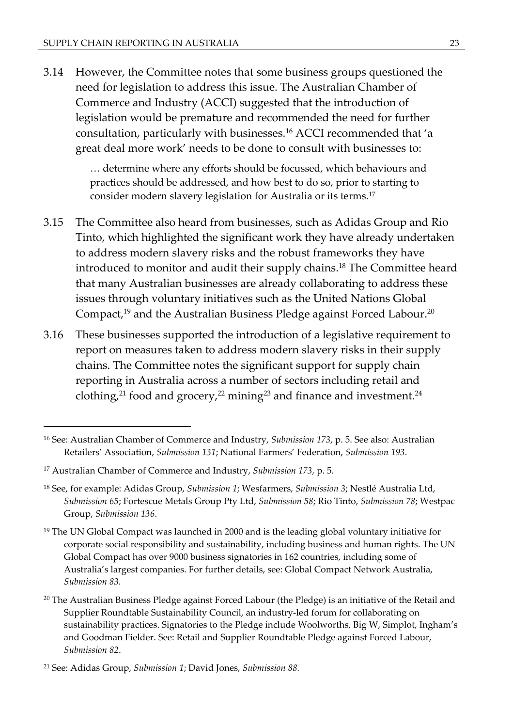3.14 However, the Committee notes that some business groups questioned the need for legislation to address this issue. The Australian Chamber of Commerce and Industry (ACCI) suggested that the introduction of legislation would be premature and recommended the need for further consultation, particularly with businesses.<sup>16</sup> ACCI recommended that 'a great deal more work' needs to be done to consult with businesses to:

> … determine where any efforts should be focussed, which behaviours and practices should be addressed, and how best to do so, prior to starting to consider modern slavery legislation for Australia or its terms.<sup>17</sup>

- 3.15 The Committee also heard from businesses, such as Adidas Group and Rio Tinto, which highlighted the significant work they have already undertaken to address modern slavery risks and the robust frameworks they have introduced to monitor and audit their supply chains.<sup>18</sup> The Committee heard that many Australian businesses are already collaborating to address these issues through voluntary initiatives such as the United Nations Global Compact,<sup>19</sup> and the Australian Business Pledge against Forced Labour.<sup>20</sup>
- 3.16 These businesses supported the introduction of a legislative requirement to report on measures taken to address modern slavery risks in their supply chains. The Committee notes the significant support for supply chain reporting in Australia across a number of sectors including retail and clothing,<sup>21</sup> food and grocery,<sup>22</sup> mining<sup>23</sup> and finance and investment.<sup>24</sup>

<sup>16</sup> See: Australian Chamber of Commerce and Industry, *Submission 173*, p. 5. See also: Australian Retailers' Association, *Submission 131*; National Farmers' Federation, *Submission 193*.

<sup>17</sup> Australian Chamber of Commerce and Industry, *Submission 173*, p. 5.

<sup>18</sup> See, for example: Adidas Group, *Submission 1*; Wesfarmers, *Submission 3*; Nestlé Australia Ltd, *Submission 65*; Fortescue Metals Group Pty Ltd, *Submission 58*; Rio Tinto, *Submission 78*; Westpac Group, *Submission 136*.

 $19$  The UN Global Compact was launched in 2000 and is the leading global voluntary initiative for corporate social responsibility and sustainability, including business and human rights. The UN Global Compact has over 9000 business signatories in 162 countries, including some of Australia's largest companies. For further details, see: Global Compact Network Australia, *Submission 83.*

<sup>&</sup>lt;sup>20</sup> The Australian Business Pledge against Forced Labour (the Pledge) is an initiative of the Retail and Supplier Roundtable Sustainability Council, an industry-led forum for collaborating on sustainability practices. Signatories to the Pledge include Woolworths, Big W, Simplot, Ingham's and Goodman Fielder. See: Retail and Supplier Roundtable Pledge against Forced Labour, *Submission 82*.

<sup>21</sup> See: Adidas Group, *Submission 1*; David Jones, *Submission 88.*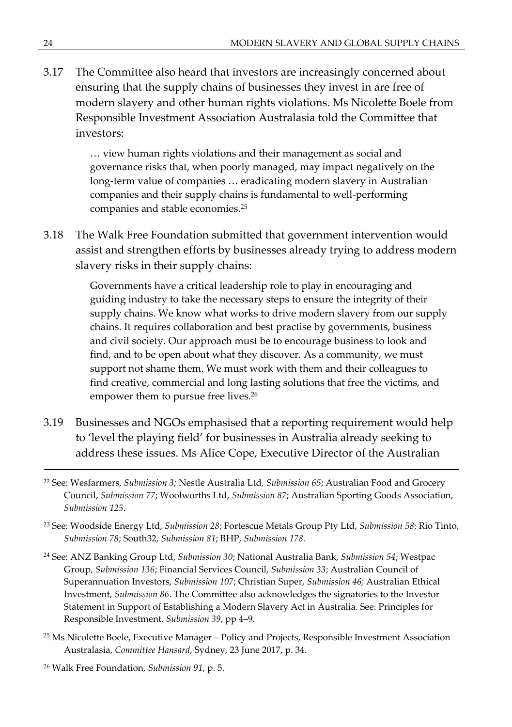3.17 The Committee also heard that investors are increasingly concerned about ensuring that the supply chains of businesses they invest in are free of modern slavery and other human rights violations. Ms Nicolette Boele from Responsible Investment Association Australasia told the Committee that investors:

> … view human rights violations and their management as social and governance risks that, when poorly managed, may impact negatively on the long-term value of companies … eradicating modern slavery in Australian companies and their supply chains is fundamental to well-performing companies and stable economies.<sup>25</sup>

3.18 The Walk Free Foundation submitted that government intervention would assist and strengthen efforts by businesses already trying to address modern slavery risks in their supply chains:

> Governments have a critical leadership role to play in encouraging and guiding industry to take the necessary steps to ensure the integrity of their supply chains. We know what works to drive modern slavery from our supply chains. It requires collaboration and best practise by governments, business and civil society. Our approach must be to encourage business to look and find, and to be open about what they discover. As a community, we must support not shame them. We must work with them and their colleagues to find creative, commercial and long lasting solutions that free the victims, and empower them to pursue free lives.<sup>26</sup>

- 3.19 Businesses and NGOs emphasised that a reporting requirement would help to 'level the playing field' for businesses in Australia already seeking to address these issues. Ms Alice Cope, Executive Director of the Australian
- <sup>22</sup> See: Wesfarmers, *Submission 3;* Nestle Australia Ltd, *Submission 65*; Australian Food and Grocery Council, *Submission 77*; Woolworths Ltd, *Submission 87*; Australian Sporting Goods Association, *Submission 125*.
- <sup>23</sup> See: Woodside Energy Ltd, *Submission 28*; Fortescue Metals Group Pty Ltd, *Submission 58*; Rio Tinto, *Submission 78*; South32, *Submission 81*; BHP, *Submission 178.*
- <sup>24</sup> See: ANZ Banking Group Ltd, *Submission 30*; National Australia Bank, *Submission 54*; Westpac Group, *Submission 136*; Financial Services Council, *Submission 33*; Australian Council of Superannuation Investors, *Submission 107*; Christian Super, *Submission 46;* Australian Ethical Investment, *Submission 86*. The Committee also acknowledges the signatories to the Investor Statement in Support of Establishing a Modern Slavery Act in Australia. See: Principles for Responsible Investment, *Submission 39*, pp 4–9.
- <sup>25</sup> Ms Nicolette Boele, Executive Manager Policy and Projects, Responsible Investment Association Australasia, *Committee Hansard*, Sydney, 23 June 2017, p. 34.
- 26 Walk Free Foundation, *Submission 91*, p. 5.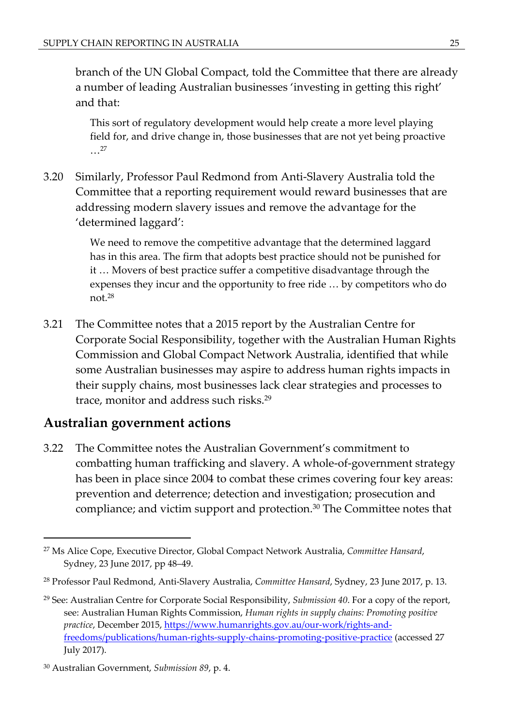branch of the UN Global Compact, told the Committee that there are already a number of leading Australian businesses 'investing in getting this right' and that:

This sort of regulatory development would help create a more level playing field for, and drive change in, those businesses that are not yet being proactive …<sup>27</sup>

3.20 Similarly, Professor Paul Redmond from Anti-Slavery Australia told the Committee that a reporting requirement would reward businesses that are addressing modern slavery issues and remove the advantage for the 'determined laggard':

> We need to remove the competitive advantage that the determined laggard has in this area. The firm that adopts best practice should not be punished for it … Movers of best practice suffer a competitive disadvantage through the expenses they incur and the opportunity to free ride … by competitors who do not.<sup>28</sup>

3.21 The Committee notes that a 2015 report by the Australian Centre for Corporate Social Responsibility, together with the Australian Human Rights Commission and Global Compact Network Australia, identified that while some Australian businesses may aspire to address human rights impacts in their supply chains, most businesses lack clear strategies and processes to trace, monitor and address such risks.<sup>29</sup>

#### **Australian government actions**

3.22 The Committee notes the Australian Government's commitment to combatting human trafficking and slavery. A whole-of-government strategy has been in place since 2004 to combat these crimes covering four key areas: prevention and deterrence; detection and investigation; prosecution and compliance; and victim support and protection.<sup>30</sup> The Committee notes that

<sup>27</sup> Ms Alice Cope, Executive Director, Global Compact Network Australia, *Committee Hansard*, Sydney, 23 June 2017, pp 48–49.

<sup>28</sup> Professor Paul Redmond, Anti-Slavery Australia, *Committee Hansard*, Sydney, 23 June 2017, p. 13.

<sup>29</sup> See: Australian Centre for Corporate Social Responsibility, *Submission 40*. For a copy of the report, see: Australian Human Rights Commission, *Human rights in supply chains: Promoting positive practice*, December 2015, [https://www.humanrights.gov.au/our-work/rights-and](https://www.humanrights.gov.au/our-work/rights-and-freedoms/publications/human-rights-supply-chains-promoting-positive-practice)[freedoms/publications/human-rights-supply-chains-promoting-positive-practice](https://www.humanrights.gov.au/our-work/rights-and-freedoms/publications/human-rights-supply-chains-promoting-positive-practice) (accessed 27 July 2017).

<sup>30</sup> Australian Government, *Submission 89*, p. 4.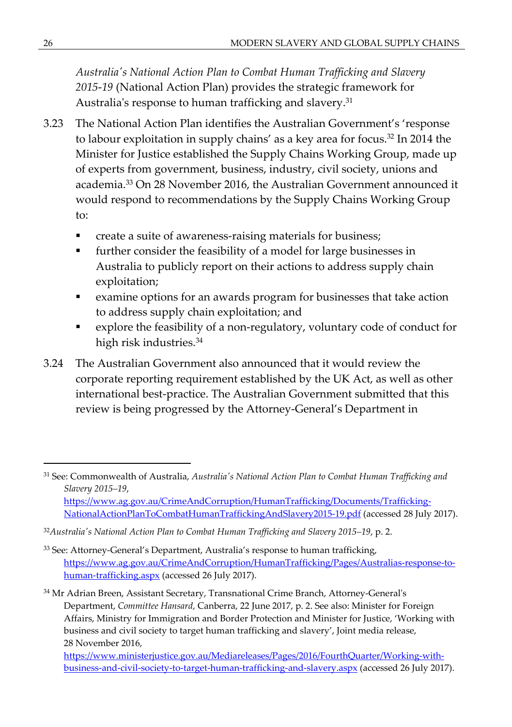*Australia's National Action Plan to Combat Human Trafficking and Slavery 2015*-*19* (National Action Plan) provides the strategic framework for Australia's response to human trafficking and slavery.<sup>31</sup>

- 3.23 The National Action Plan identifies the Australian Government's 'response to labour exploitation in supply chains' as a key area for focus.<sup>32</sup> In 2014 the Minister for Justice established the Supply Chains Working Group, made up of experts from government, business, industry, civil society, unions and academia.<sup>33</sup> On 28 November 2016, the Australian Government announced it would respond to recommendations by the Supply Chains Working Group to:
	- create a suite of awareness-raising materials for business;
	- further consider the feasibility of a model for large businesses in Australia to publicly report on their actions to address supply chain exploitation;
	- examine options for an awards program for businesses that take action to address supply chain exploitation; and
	- explore the feasibility of a non-regulatory, voluntary code of conduct for high risk industries.<sup>34</sup>
- 3.24 The Australian Government also announced that it would review the corporate reporting requirement established by the UK Act, as well as other international best-practice. The Australian Government submitted that this review is being progressed by the Attorney-General's Department in

- [NationalActionPlanToCombatHumanTraffickingAndSlavery2015-19.pdf](https://www.ag.gov.au/CrimeAndCorruption/HumanTrafficking/Documents/Trafficking-NationalActionPlanToCombatHumanTraffickingAndSlavery2015-19.pdf) (accessed 28 July 2017).
- <sup>32</sup>*Australia's National Action Plan to Combat Human Trafficking and Slavery 2015–19*, p. 2.
- <sup>33</sup> See: Attorney-General's Department, Australia's response to human trafficking, [https://www.ag.gov.au/CrimeAndCorruption/HumanTrafficking/Pages/Australias-response-to](https://www.ag.gov.au/CrimeAndCorruption/HumanTrafficking/Pages/Australias-response-to-human-trafficking.aspx)[human-trafficking.aspx](https://www.ag.gov.au/CrimeAndCorruption/HumanTrafficking/Pages/Australias-response-to-human-trafficking.aspx) (accessed 26 July 2017).

<sup>31</sup> See: Commonwealth of Australia, *Australia's National Action Plan to Combat Human Trafficking and Slavery 2015–19*, [https://www.ag.gov.au/CrimeAndCorruption/HumanTrafficking/Documents/Trafficking-](https://www.ag.gov.au/CrimeAndCorruption/HumanTrafficking/Documents/Trafficking-NationalActionPlanToCombatHumanTraffickingAndSlavery2015-19.pdf)

<sup>&</sup>lt;sup>34</sup> Mr Adrian Breen, Assistant Secretary, Transnational Crime Branch, Attorney-General's Department, *Committee Hansard*, Canberra, 22 June 2017, p. 2. See also: Minister for Foreign Affairs, Ministry for Immigration and Border Protection and Minister for Justice, 'Working with business and civil society to target human trafficking and slavery', Joint media release, 28 November 2016,

[https://www.ministerjustice.gov.au/Mediareleases/Pages/2016/FourthQuarter/Working-with](https://www.ministerjustice.gov.au/Mediareleases/Pages/2016/FourthQuarter/Working-with-business-and-civil-society-to-target-human-trafficking-and-slavery.aspx)[business-and-civil-society-to-target-human-trafficking-and-slavery.aspx](https://www.ministerjustice.gov.au/Mediareleases/Pages/2016/FourthQuarter/Working-with-business-and-civil-society-to-target-human-trafficking-and-slavery.aspx) (accessed 26 July 2017).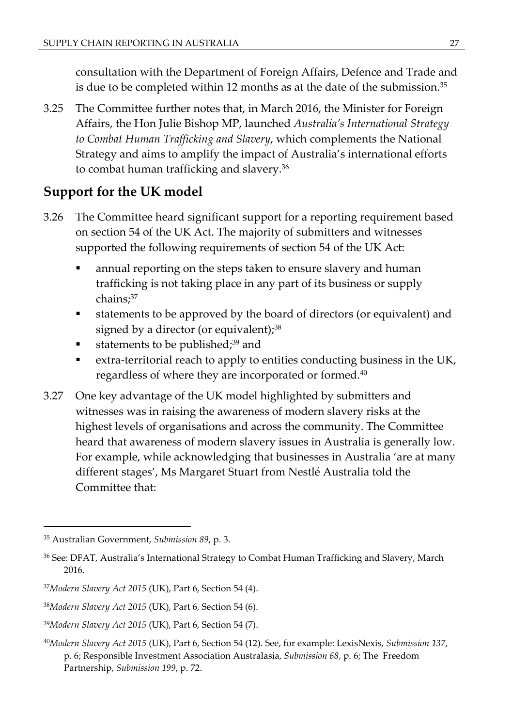consultation with the Department of Foreign Affairs, Defence and Trade and is due to be completed within 12 months as at the date of the submission.<sup>35</sup>

3.25 The Committee further notes that, in March 2016, the Minister for Foreign Affairs, the Hon Julie Bishop MP, launched *Australia's International Strategy to Combat Human Trafficking and Slavery*, which complements the National Strategy and aims to amplify the impact of Australia's international efforts to combat human trafficking and slavery.<sup>36</sup>

## **Support for the UK model**

- 3.26 The Committee heard significant support for a reporting requirement based on section 54 of the UK Act. The majority of submitters and witnesses supported the following requirements of section 54 of the UK Act:
	- annual reporting on the steps taken to ensure slavery and human trafficking is not taking place in any part of its business or supply chains;<sup>37</sup>
	- statements to be approved by the board of directors (or equivalent) and signed by a director (or equivalent); $^{38}$
	- statements to be published; $39$  and
	- extra-territorial reach to apply to entities conducting business in the UK, regardless of where they are incorporated or formed.<sup>40</sup>
- 3.27 One key advantage of the UK model highlighted by submitters and witnesses was in raising the awareness of modern slavery risks at the highest levels of organisations and across the community. The Committee heard that awareness of modern slavery issues in Australia is generally low. For example, while acknowledging that businesses in Australia 'are at many different stages', Ms Margaret Stuart from Nestlé Australia told the Committee that:

<sup>35</sup> Australian Government, *Submission 89*, p. 3.

<sup>36</sup> See: DFAT, Australia's International Strategy to Combat Human Trafficking and Slavery, March 2016.

<sup>37</sup>*Modern Slavery Act 2015* (UK), Part 6, Section 54 (4).

<sup>38</sup>*Modern Slavery Act 2015* (UK), Part 6, Section 54 (6).

<sup>39</sup>*Modern Slavery Act 2015* (UK), Part 6, Section 54 (7).

<sup>40</sup>*Modern Slavery Act 2015* (UK), Part 6, Section 54 (12). See, for example: LexisNexis, *Submission 137*, p. 6; Responsible Investment Association Australasia, *Submission 68*, p. 6; The Freedom Partnership, *Submission 199*, p. 72.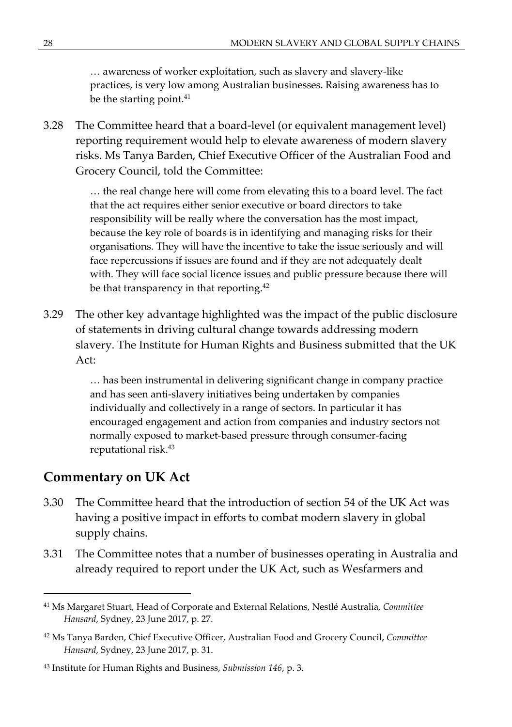… awareness of worker exploitation, such as slavery and slavery-like practices, is very low among Australian businesses. Raising awareness has to be the starting point.<sup>41</sup>

3.28 The Committee heard that a board-level (or equivalent management level) reporting requirement would help to elevate awareness of modern slavery risks. Ms Tanya Barden, Chief Executive Officer of the Australian Food and Grocery Council, told the Committee:

> … the real change here will come from elevating this to a board level. The fact that the act requires either senior executive or board directors to take responsibility will be really where the conversation has the most impact, because the key role of boards is in identifying and managing risks for their organisations. They will have the incentive to take the issue seriously and will face repercussions if issues are found and if they are not adequately dealt with. They will face social licence issues and public pressure because there will be that transparency in that reporting.<sup>42</sup>

3.29 The other key advantage highlighted was the impact of the public disclosure of statements in driving cultural change towards addressing modern slavery. The Institute for Human Rights and Business submitted that the UK Act:

> … has been instrumental in delivering significant change in company practice and has seen anti-slavery initiatives being undertaken by companies individually and collectively in a range of sectors. In particular it has encouraged engagement and action from companies and industry sectors not normally exposed to market-based pressure through consumer-facing reputational risk.<sup>43</sup>

#### **Commentary on UK Act**

- 3.30 The Committee heard that the introduction of section 54 of the UK Act was having a positive impact in efforts to combat modern slavery in global supply chains.
- 3.31 The Committee notes that a number of businesses operating in Australia and already required to report under the UK Act, such as Wesfarmers and

<sup>41</sup> Ms Margaret Stuart, Head of Corporate and External Relations, Nestlé Australia, *Committee Hansard*, Sydney, 23 June 2017, p. 27.

<sup>42</sup> Ms Tanya Barden, Chief Executive Officer, Australian Food and Grocery Council, *Committee Hansard*, Sydney, 23 June 2017, p. 31.

<sup>43</sup> Institute for Human Rights and Business, *Submission 146*, p. 3.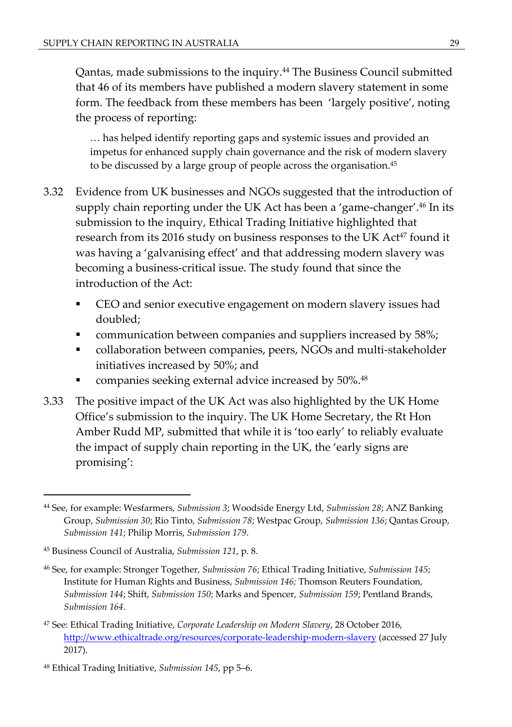Qantas, made submissions to the inquiry.<sup>44</sup> The Business Council submitted that 46 of its members have published a modern slavery statement in some form. The feedback from these members has been 'largely positive', noting the process of reporting:

… has helped identify reporting gaps and systemic issues and provided an impetus for enhanced supply chain governance and the risk of modern slavery to be discussed by a large group of people across the organisation.<sup>45</sup>

- 3.32 Evidence from UK businesses and NGOs suggested that the introduction of supply chain reporting under the UK Act has been a 'game-changer'.<sup>46</sup> In its submission to the inquiry, Ethical Trading Initiative highlighted that research from its 2016 study on business responses to the UK Act<sup>47</sup> found it was having a 'galvanising effect' and that addressing modern slavery was becoming a business-critical issue. The study found that since the introduction of the Act:
	- CEO and senior executive engagement on modern slavery issues had doubled;
	- communication between companies and suppliers increased by 58%;
	- collaboration between companies, peers, NGOs and multi-stakeholder initiatives increased by 50%; and
	- companies seeking external advice increased by 50%.<sup>48</sup>
- 3.33 The positive impact of the UK Act was also highlighted by the UK Home Office's submission to the inquiry. The UK Home Secretary, the Rt Hon Amber Rudd MP, submitted that while it is 'too early' to reliably evaluate the impact of supply chain reporting in the UK, the 'early signs are promising':

<sup>44</sup> See, for example: Wesfarmers, *Submission 3*; Woodside Energy Ltd, *Submission 28*; ANZ Banking Group, *Submission 30*; Rio Tinto, *Submission 78*; Westpac Group, *Submission 136*; Qantas Group, *Submission 141*; Philip Morris, *Submission 179*.

<sup>45</sup> Business Council of Australia, *Submission 121*, p. 8.

<sup>46</sup> See, for example: Stronger Together, *Submission 76*; Ethical Trading Initiative, *Submission 145*; Institute for Human Rights and Business, *Submission 146;* Thomson Reuters Foundation, *Submission 144*; Shift, *Submission 150*; Marks and Spencer, *Submission 159*; Pentland Brands, *Submission 164*.

<sup>47</sup> See: Ethical Trading Initiative, *Corporate Leadership on Modern Slavery*, 28 October 2016, <http://www.ethicaltrade.org/resources/corporate-leadership-modern-slavery> (accessed 27 July 2017).

<sup>48</sup> Ethical Trading Initiative, *Submission 145*, pp 5–6.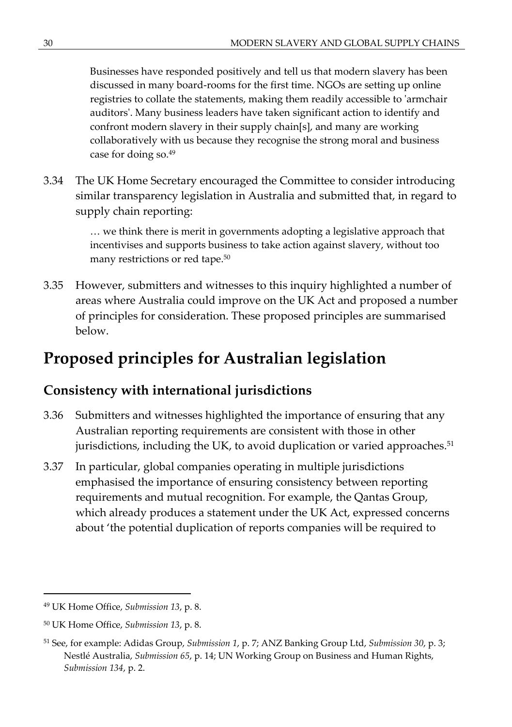Businesses have responded positively and tell us that modern slavery has been discussed in many board-rooms for the first time. NGOs are setting up online registries to collate the statements, making them readily accessible to 'armchair auditors'. Many business leaders have taken significant action to identify and confront modern slavery in their supply chain[s], and many are working collaboratively with us because they recognise the strong moral and business case for doing so.<sup>49</sup>

3.34 The UK Home Secretary encouraged the Committee to consider introducing similar transparency legislation in Australia and submitted that, in regard to supply chain reporting:

> … we think there is merit in governments adopting a legislative approach that incentivises and supports business to take action against slavery, without too many restrictions or red tape.<sup>50</sup>

3.35 However, submitters and witnesses to this inquiry highlighted a number of areas where Australia could improve on the UK Act and proposed a number of principles for consideration. These proposed principles are summarised below.

# **Proposed principles for Australian legislation**

## **Consistency with international jurisdictions**

- 3.36 Submitters and witnesses highlighted the importance of ensuring that any Australian reporting requirements are consistent with those in other jurisdictions, including the UK, to avoid duplication or varied approaches.<sup>51</sup>
- 3.37 In particular, global companies operating in multiple jurisdictions emphasised the importance of ensuring consistency between reporting requirements and mutual recognition. For example, the Qantas Group, which already produces a statement under the UK Act, expressed concerns about 'the potential duplication of reports companies will be required to

<sup>49</sup> UK Home Office, *Submission 13*, p. 8.

<sup>50</sup> UK Home Office, *Submission 13*, p. 8.

<sup>51</sup> See, for example: Adidas Group, *Submission 1*, p. 7; ANZ Banking Group Ltd, *Submission 30*, p. 3; Nestlé Australia, *Submission 65*, p. 14; UN Working Group on Business and Human Rights, *Submission 134*, p. 2.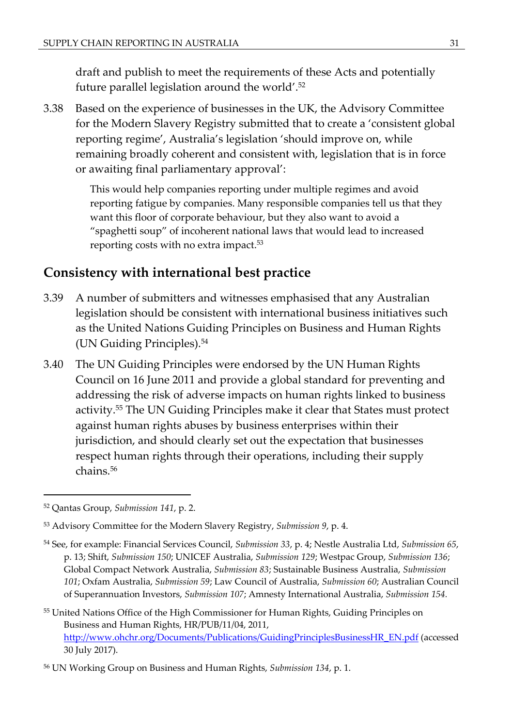draft and publish to meet the requirements of these Acts and potentially future parallel legislation around the world'.<sup>52</sup>

3.38 Based on the experience of businesses in the UK, the Advisory Committee for the Modern Slavery Registry submitted that to create a 'consistent global reporting regime', Australia's legislation 'should improve on, while remaining broadly coherent and consistent with, legislation that is in force or awaiting final parliamentary approval':

> This would help companies reporting under multiple regimes and avoid reporting fatigue by companies. Many responsible companies tell us that they want this floor of corporate behaviour, but they also want to avoid a "spaghetti soup" of incoherent national laws that would lead to increased reporting costs with no extra impact.<sup>53</sup>

## **Consistency with international best practice**

- 3.39 A number of submitters and witnesses emphasised that any Australian legislation should be consistent with international business initiatives such as the United Nations Guiding Principles on Business and Human Rights (UN Guiding Principles).<sup>54</sup>
- 3.40 The UN Guiding Principles were endorsed by the UN Human Rights Council on 16 June 2011 and provide a global standard for preventing and addressing the risk of adverse impacts on human rights linked to business activity.<sup>55</sup> The UN Guiding Principles make it clear that States must protect against human rights abuses by business enterprises within their jurisdiction, and should clearly set out the expectation that businesses respect human rights through their operations, including their supply chains.<sup>56</sup>

<sup>52</sup> Qantas Group, *Submission 141*, p. 2.

<sup>53</sup> Advisory Committee for the Modern Slavery Registry, *Submission 9*, p. 4.

<sup>54</sup> See, for example: Financial Services Council, *Submission 33*, p. 4; Nestle Australia Ltd, *Submission 65*, p. 13; Shift, *Submission 150*; UNICEF Australia, *Submission 129*; Westpac Group, *Submission 136*; Global Compact Network Australia, *Submission 83*; Sustainable Business Australia, *Submission 101*; Oxfam Australia, *Submission 59*; Law Council of Australia, *Submission 60*; Australian Council of Superannuation Investors, *Submission 107*; Amnesty International Australia, *Submission 154.*

<sup>55</sup> United Nations Office of the High Commissioner for Human Rights, Guiding Principles on Business and Human Rights, HR/PUB/11/04, 2011, [http://www.ohchr.org/Documents/Publications/GuidingPrinciplesBusinessHR\\_EN.pdf](http://www.ohchr.org/Documents/Publications/GuidingPrinciplesBusinessHR_EN.pdf) (accessed 30 July 2017).

<sup>56</sup> UN Working Group on Business and Human Rights, *Submission 134*, p. 1.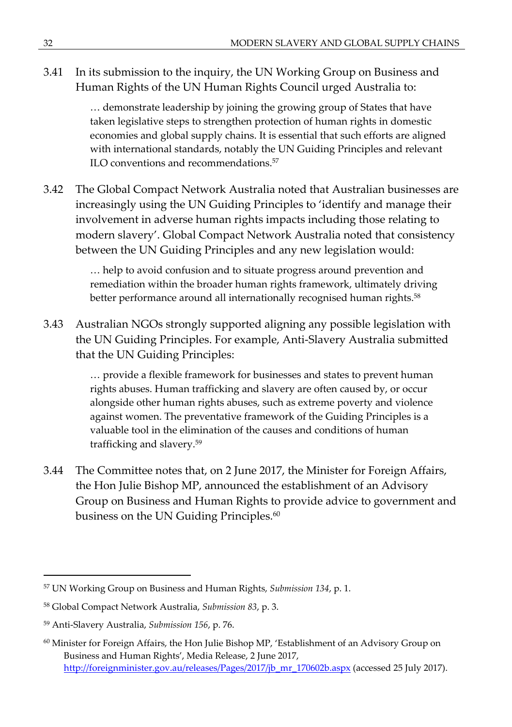3.41 In its submission to the inquiry, the UN Working Group on Business and Human Rights of the UN Human Rights Council urged Australia to:

> … demonstrate leadership by joining the growing group of States that have taken legislative steps to strengthen protection of human rights in domestic economies and global supply chains. It is essential that such efforts are aligned with international standards, notably the UN Guiding Principles and relevant ILO conventions and recommendations.<sup>57</sup>

3.42 The Global Compact Network Australia noted that Australian businesses are increasingly using the UN Guiding Principles to 'identify and manage their involvement in adverse human rights impacts including those relating to modern slavery'. Global Compact Network Australia noted that consistency between the UN Guiding Principles and any new legislation would:

> … help to avoid confusion and to situate progress around prevention and remediation within the broader human rights framework, ultimately driving better performance around all internationally recognised human rights.<sup>58</sup>

3.43 Australian NGOs strongly supported aligning any possible legislation with the UN Guiding Principles. For example, Anti-Slavery Australia submitted that the UN Guiding Principles:

> … provide a flexible framework for businesses and states to prevent human rights abuses. Human trafficking and slavery are often caused by, or occur alongside other human rights abuses, such as extreme poverty and violence against women. The preventative framework of the Guiding Principles is a valuable tool in the elimination of the causes and conditions of human trafficking and slavery.<sup>59</sup>

3.44 The Committee notes that, on 2 June 2017, the Minister for Foreign Affairs, the Hon Julie Bishop MP, announced the establishment of an Advisory Group on Business and Human Rights to provide advice to government and business on the UN Guiding Principles.<sup>60</sup>

<sup>57</sup> UN Working Group on Business and Human Rights, *Submission 134*, p. 1.

<sup>58</sup> Global Compact Network Australia, *Submission 83*, p. 3.

<sup>59</sup> Anti-Slavery Australia, *Submission 156*, p. 76.

 $60$  Minister for Foreign Affairs, the Hon Julie Bishop MP, 'Establishment of an Advisory Group on Business and Human Rights', Media Release, 2 June 2017, [http://foreignminister.gov.au/releases/Pages/2017/jb\\_mr\\_170602b.aspx](http://foreignminister.gov.au/releases/Pages/2017/jb_mr_170602b.aspx) (accessed 25 July 2017).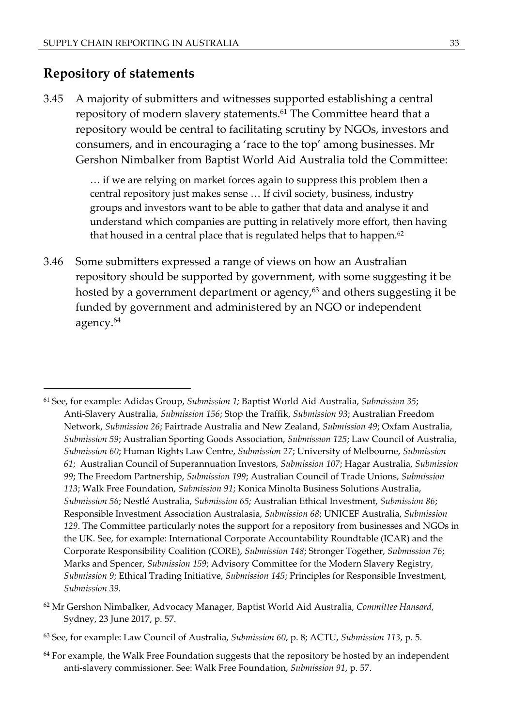#### **Repository of statements**

3.45 A majority of submitters and witnesses supported establishing a central repository of modern slavery statements.<sup>61</sup> The Committee heard that a repository would be central to facilitating scrutiny by NGOs, investors and consumers, and in encouraging a 'race to the top' among businesses. Mr Gershon Nimbalker from Baptist World Aid Australia told the Committee:

> … if we are relying on market forces again to suppress this problem then a central repository just makes sense … If civil society, business, industry groups and investors want to be able to gather that data and analyse it and understand which companies are putting in relatively more effort, then having that housed in a central place that is regulated helps that to happen. $62$

3.46 Some submitters expressed a range of views on how an Australian repository should be supported by government, with some suggesting it be hosted by a government department or agency, $63$  and others suggesting it be funded by government and administered by an NGO or independent agency.<sup>64</sup>

<sup>62</sup> Mr Gershon Nimbalker, Advocacy Manager, Baptist World Aid Australia, *Committee Hansard*, Sydney, 23 June 2017, p. 57.

 $64$  For example, the Walk Free Foundation suggests that the repository be hosted by an independent anti-slavery commissioner. See: Walk Free Foundation, *Submission 91*, p. 57.

<sup>61</sup> See, for example: Adidas Group, *Submission 1;* Baptist World Aid Australia, *Submission 35*; Anti-Slavery Australia, *Submission 156*; Stop the Traffik, *Submission 93*; Australian Freedom Network, *Submission 26*; Fairtrade Australia and New Zealand, *Submission 49*; Oxfam Australia, *Submission 59*; Australian Sporting Goods Association, *Submission 125*; Law Council of Australia, *Submission 60*; Human Rights Law Centre, *Submission 27*; University of Melbourne, *Submission 61*; Australian Council of Superannuation Investors, *Submission 107*; Hagar Australia, *Submission 99*; The Freedom Partnership, *Submission 199*; Australian Council of Trade Unions, *Submission 113*; Walk Free Foundation, *Submission 91*; Konica Minolta Business Solutions Australia, *Submission 56*; Nestlé Australia, *Submission 65;* Australian Ethical Investment, *Submission 86*; Responsible Investment Association Australasia, *Submission 68*; UNICEF Australia, *Submission 129*. The Committee particularly notes the support for a repository from businesses and NGOs in the UK. See, for example: International Corporate Accountability Roundtable (ICAR) and the Corporate Responsibility Coalition (CORE), *Submission 148*; Stronger Together, *Submission 76*; Marks and Spencer, *Submission 159*; Advisory Committee for the Modern Slavery Registry, *Submission 9*; Ethical Trading Initiative, *Submission 145*; Principles for Responsible Investment, *Submission 39.*

<sup>63</sup> See, for example: Law Council of Australia, *Submission 60*, p. 8; ACTU, *Submission 113*, p. 5.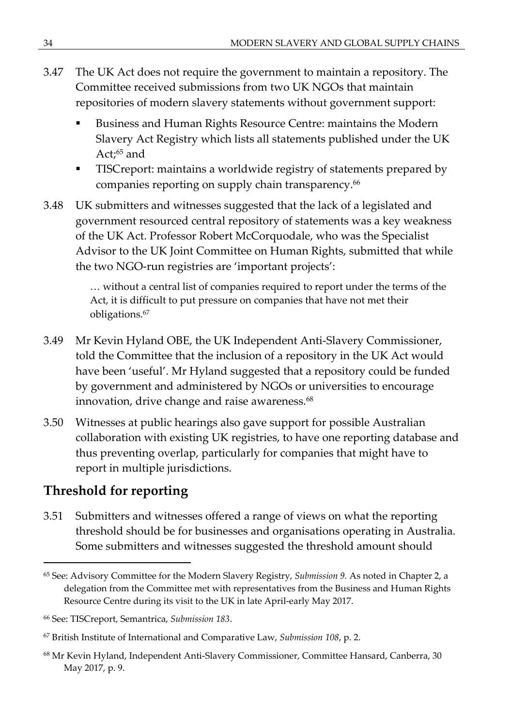- 3.47 The UK Act does not require the government to maintain a repository. The Committee received submissions from two UK NGOs that maintain repositories of modern slavery statements without government support:
	- Business and Human Rights Resource Centre: maintains the Modern Slavery Act Registry which lists all statements published under the UK Act;<sup>65</sup> and
	- **TISCreport: maintains a worldwide registry of statements prepared by** companies reporting on supply chain transparency.<sup>66</sup>
- 3.48 UK submitters and witnesses suggested that the lack of a legislated and government resourced central repository of statements was a key weakness of the UK Act. Professor Robert McCorquodale, who was the Specialist Advisor to the UK Joint Committee on Human Rights, submitted that while the two NGO-run registries are 'important projects':

… without a central list of companies required to report under the terms of the Act, it is difficult to put pressure on companies that have not met their obligations.<sup>67</sup>

- 3.49 Mr Kevin Hyland OBE, the UK Independent Anti-Slavery Commissioner, told the Committee that the inclusion of a repository in the UK Act would have been 'useful'. Mr Hyland suggested that a repository could be funded by government and administered by NGOs or universities to encourage innovation, drive change and raise awareness.<sup>68</sup>
- 3.50 Witnesses at public hearings also gave support for possible Australian collaboration with existing UK registries, to have one reporting database and thus preventing overlap, particularly for companies that might have to report in multiple jurisdictions.

# **Threshold for reporting**

3.51 Submitters and witnesses offered a range of views on what the reporting threshold should be for businesses and organisations operating in Australia. Some submitters and witnesses suggested the threshold amount should

<sup>65</sup> See: Advisory Committee for the Modern Slavery Registry, *Submission 9.* As noted in Chapter 2, a delegation from the Committee met with representatives from the Business and Human Rights Resource Centre during its visit to the UK in late April-early May 2017.

<sup>66</sup> See: TISCreport, Semantrica, *Submission 183*.

<sup>67</sup> British Institute of International and Comparative Law, *Submission 108*, p. 2.

<sup>68</sup> Mr Kevin Hyland, Independent Anti-Slavery Commissioner, Committee Hansard, Canberra, 30 May 2017, p. 9.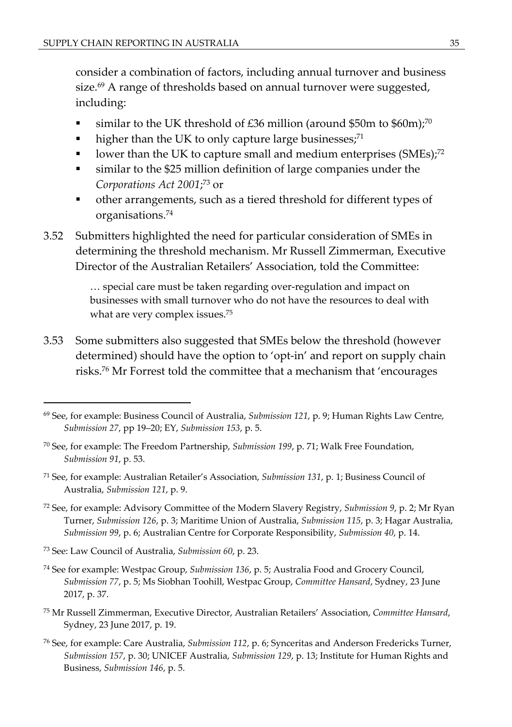consider a combination of factors, including annual turnover and business size.<sup>69</sup> A range of thresholds based on annual turnover were suggested, including:

- similar to the UK threshold of £36 million (around \$50m to \$60m);<sup>70</sup>
- higher than the UK to only capture large businesses;<sup>71</sup>
- Using lower than the UK to capture small and medium enterprises  $(SMEs)$ <sup>72</sup>
- similar to the \$25 million definition of large companies under the *Corporations Act 2001*; <sup>73</sup> or
- other arrangements, such as a tiered threshold for different types of organisations.<sup>74</sup>
- 3.52 Submitters highlighted the need for particular consideration of SMEs in determining the threshold mechanism. Mr Russell Zimmerman, Executive Director of the Australian Retailers' Association, told the Committee:

… special care must be taken regarding over-regulation and impact on businesses with small turnover who do not have the resources to deal with what are very complex issues.<sup>75</sup>

3.53 Some submitters also suggested that SMEs below the threshold (however determined) should have the option to 'opt-in' and report on supply chain risks.<sup>76</sup> Mr Forrest told the committee that a mechanism that 'encourages

- <sup>71</sup> See, for example: Australian Retailer's Association, *Submission 131*, p. 1; Business Council of Australia, *Submission 121*, p. 9.
- <sup>72</sup> See, for example: Advisory Committee of the Modern Slavery Registry, *Submission 9*, p. 2; Mr Ryan Turner, *Submission 126*, p. 3; Maritime Union of Australia, *Submission 115*, p. 3; Hagar Australia, *Submission 99*, p. 6; Australian Centre for Corporate Responsibility, *Submission 40*, p. 14.
- <sup>73</sup> See: Law Council of Australia, *Submission 60*, p. 23.
- <sup>74</sup> See for example: Westpac Group, *Submission 136*, p. 5; Australia Food and Grocery Council, *Submission 77*, p. 5; Ms Siobhan Toohill, Westpac Group, *Committee Hansard*, Sydney, 23 June 2017, p. 37.
- <sup>75</sup> Mr Russell Zimmerman, Executive Director, Australian Retailers' Association, *Committee Hansard*, Sydney, 23 June 2017, p. 19.
- <sup>76</sup> See, for example: Care Australia, *Submission 112*, p. 6; Synceritas and Anderson Fredericks Turner, *Submission 157*, p. 30; UNICEF Australia, *Submission 129*, p. 13; Institute for Human Rights and Business, *Submission 146*, p. 5.

<sup>69</sup> See, for example: Business Council of Australia, *Submission 121*, p. 9; Human Rights Law Centre, *Submission 27*, pp 19–20; EY, *Submission 153*, p. 5.

<sup>70</sup> See, for example: The Freedom Partnership, *Submission 199*, p. 71; Walk Free Foundation, *Submission 91*, p. 53.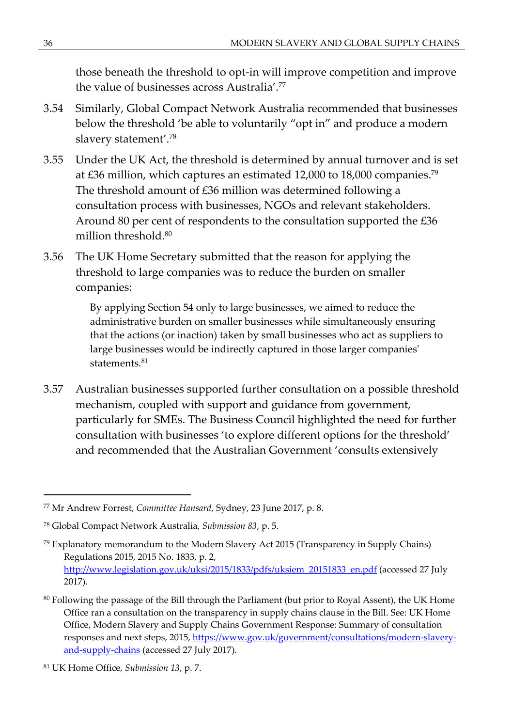those beneath the threshold to opt-in will improve competition and improve the value of businesses across Australia'.<sup>77</sup>

- 3.54 Similarly, Global Compact Network Australia recommended that businesses below the threshold 'be able to voluntarily "opt in" and produce a modern slavery statement'.<sup>78</sup>
- 3.55 Under the UK Act, the threshold is determined by annual turnover and is set at £36 million, which captures an estimated 12,000 to 18,000 companies.<sup>79</sup> The threshold amount of £36 million was determined following a consultation process with businesses, NGOs and relevant stakeholders. Around 80 per cent of respondents to the consultation supported the £36 million threshold.<sup>80</sup>
- 3.56 The UK Home Secretary submitted that the reason for applying the threshold to large companies was to reduce the burden on smaller companies:

By applying Section 54 only to large businesses, we aimed to reduce the administrative burden on smaller businesses while simultaneously ensuring that the actions (or inaction) taken by small businesses who act as suppliers to large businesses would be indirectly captured in those larger companies' statements.<sup>81</sup>

3.57 Australian businesses supported further consultation on a possible threshold mechanism, coupled with support and guidance from government, particularly for SMEs. The Business Council highlighted the need for further consultation with businesses 'to explore different options for the threshold' and recommended that the Australian Government 'consults extensively

<sup>77</sup> Mr Andrew Forrest, *Committee Hansard*, Sydney, 23 June 2017, p. 8.

<sup>78</sup> Global Compact Network Australia, *Submission 83*, p. 5.

 $79$  Explanatory memorandum to the Modern Slavery Act 2015 (Transparency in Supply Chains) Regulations 2015, 2015 No. 1833, p. 2, [http://www.legislation.gov.uk/uksi/2015/1833/pdfs/uksiem\\_20151833\\_en.pdf](http://www.legislation.gov.uk/uksi/2015/1833/pdfs/uksiem_20151833_en.pdf) (accessed 27 July 2017).

<sup>&</sup>lt;sup>80</sup> Following the passage of the Bill through the Parliament (but prior to Royal Assent), the UK Home Office ran a consultation on the transparency in supply chains clause in the Bill. See: UK Home Office, Modern Slavery and Supply Chains Government Response: Summary of consultation responses and next steps, 2015, [https://www.gov.uk/government/consultations/modern-slavery](https://www.gov.uk/government/consultations/modern-slavery-and-supply-chains)[and-supply-chains](https://www.gov.uk/government/consultations/modern-slavery-and-supply-chains) (accessed 27 July 2017).

<sup>81</sup> UK Home Office, *Submission 13*, p. 7.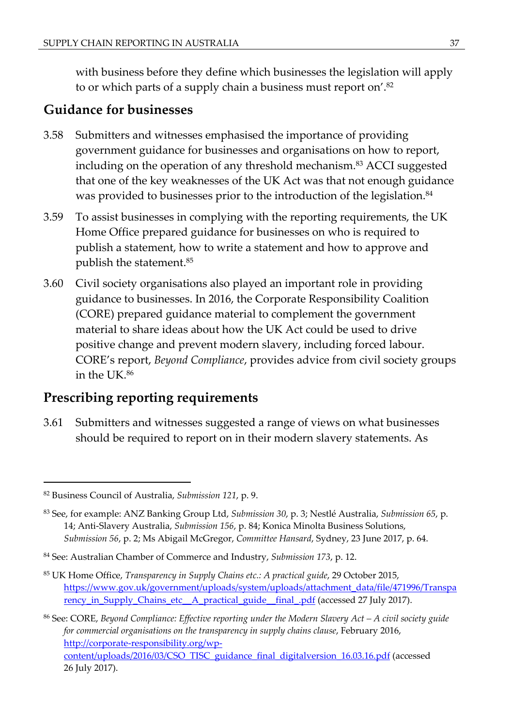with business before they define which businesses the legislation will apply to or which parts of a supply chain a business must report on'.<sup>82</sup>

#### **Guidance for businesses**

- 3.58 Submitters and witnesses emphasised the importance of providing government guidance for businesses and organisations on how to report, including on the operation of any threshold mechanism.<sup>83</sup> ACCI suggested that one of the key weaknesses of the UK Act was that not enough guidance was provided to businesses prior to the introduction of the legislation.<sup>84</sup>
- 3.59 To assist businesses in complying with the reporting requirements, the UK Home Office prepared guidance for businesses on who is required to publish a statement, how to write a statement and how to approve and publish the statement.<sup>85</sup>
- 3.60 Civil society organisations also played an important role in providing guidance to businesses. In 2016, the Corporate Responsibility Coalition (CORE) prepared guidance material to complement the government material to share ideas about how the UK Act could be used to drive positive change and prevent modern slavery, including forced labour. CORE's report, *Beyond Compliance*, provides advice from civil society groups in the UK.<sup>86</sup>

#### **Prescribing reporting requirements**

3.61 Submitters and witnesses suggested a range of views on what businesses should be required to report on in their modern slavery statements. As

<sup>82</sup> Business Council of Australia, *Submission 121*, p. 9.

<sup>83</sup> See, for example: ANZ Banking Group Ltd, *Submission 30*, p. 3; Nestlé Australia, *Submission 65*, p. 14; Anti-Slavery Australia, *Submission 156*, p. 84; Konica Minolta Business Solutions, *Submission 56*, p. 2; Ms Abigail McGregor, *Committee Hansard*, Sydney, 23 June 2017, p. 64.

<sup>84</sup> See: Australian Chamber of Commerce and Industry, *Submission 173*, p. 12.

<sup>85</sup> UK Home Office, *Transparency in Supply Chains etc.: A practical guide*, 29 October 2015, [https://www.gov.uk/government/uploads/system/uploads/attachment\\_data/file/471996/Transpa](https://www.gov.uk/government/uploads/system/uploads/attachment_data/file/471996/Transparency_in_Supply_Chains_etc__A_practical_guide__final_.pdf) [rency\\_in\\_Supply\\_Chains\\_etc\\_\\_A\\_practical\\_guide\\_\\_final\\_.pdf](https://www.gov.uk/government/uploads/system/uploads/attachment_data/file/471996/Transparency_in_Supply_Chains_etc__A_practical_guide__final_.pdf) (accessed 27 July 2017).

<sup>86</sup> See: CORE, *Beyond Compliance: Effective reporting under the Modern Slavery Act – A civil society guide for commercial organisations on the transparency in supply chains clause*, February 2016, [http://corporate-responsibility.org/wp](http://corporate-responsibility.org/wp-content/uploads/2016/03/CSO_TISC_guidance_final_digitalversion_16.03.16.pdf)[content/uploads/2016/03/CSO\\_TISC\\_guidance\\_final\\_digitalversion\\_16.03.16.pdf](http://corporate-responsibility.org/wp-content/uploads/2016/03/CSO_TISC_guidance_final_digitalversion_16.03.16.pdf) (accessed 26 July 2017).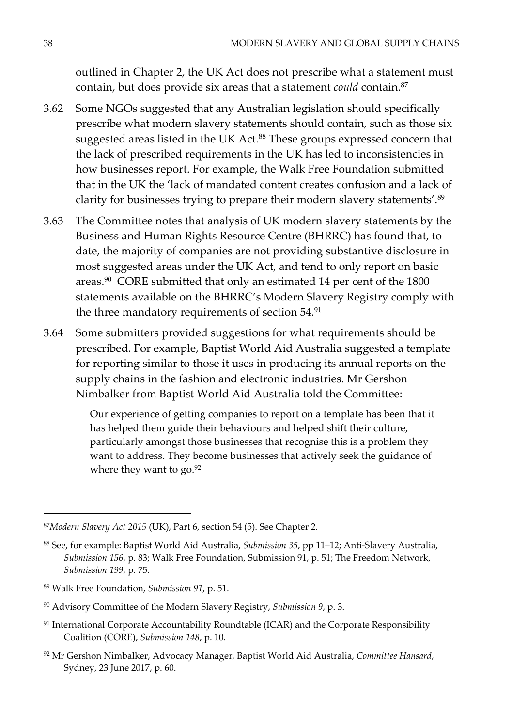outlined in Chapter 2, the UK Act does not prescribe what a statement must contain, but does provide six areas that a statement *could* contain.<sup>87</sup>

- 3.62 Some NGOs suggested that any Australian legislation should specifically prescribe what modern slavery statements should contain, such as those six suggested areas listed in the UK Act.<sup>88</sup> These groups expressed concern that the lack of prescribed requirements in the UK has led to inconsistencies in how businesses report. For example, the Walk Free Foundation submitted that in the UK the 'lack of mandated content creates confusion and a lack of clarity for businesses trying to prepare their modern slavery statements'.<sup>89</sup>
- 3.63 The Committee notes that analysis of UK modern slavery statements by the Business and Human Rights Resource Centre (BHRRC) has found that, to date, the majority of companies are not providing substantive disclosure in most suggested areas under the UK Act, and tend to only report on basic areas.<sup>90</sup> CORE submitted that only an estimated 14 per cent of the 1800 statements available on the BHRRC's Modern Slavery Registry comply with the three mandatory requirements of section 54.<sup>91</sup>
- 3.64 Some submitters provided suggestions for what requirements should be prescribed. For example, Baptist World Aid Australia suggested a template for reporting similar to those it uses in producing its annual reports on the supply chains in the fashion and electronic industries. Mr Gershon Nimbalker from Baptist World Aid Australia told the Committee:

Our experience of getting companies to report on a template has been that it has helped them guide their behaviours and helped shift their culture, particularly amongst those businesses that recognise this is a problem they want to address. They become businesses that actively seek the guidance of where they want to  $\text{go.}^{92}$ 

- $91$  International Corporate Accountability Roundtable (ICAR) and the Corporate Responsibility Coalition (CORE), *Submission 148*, p. 10.
- <sup>92</sup> Mr Gershon Nimbalker, Advocacy Manager, Baptist World Aid Australia, *Committee Hansard*, Sydney, 23 June 2017, p. 60.

<sup>87</sup>*Modern Slavery Act 2015* (UK), Part 6, section 54 (5). See Chapter 2.

<sup>88</sup> See, for example: Baptist World Aid Australia, *Submission 35*, pp 11–12; Anti-Slavery Australia, *Submission 156*, p. 83; Walk Free Foundation, Submission 91, p. 51; The Freedom Network, *Submission 199*, p. 75.

<sup>89</sup> Walk Free Foundation, *Submission 91*, p. 51.

<sup>90</sup> Advisory Committee of the Modern Slavery Registry, *Submission 9*, p. 3.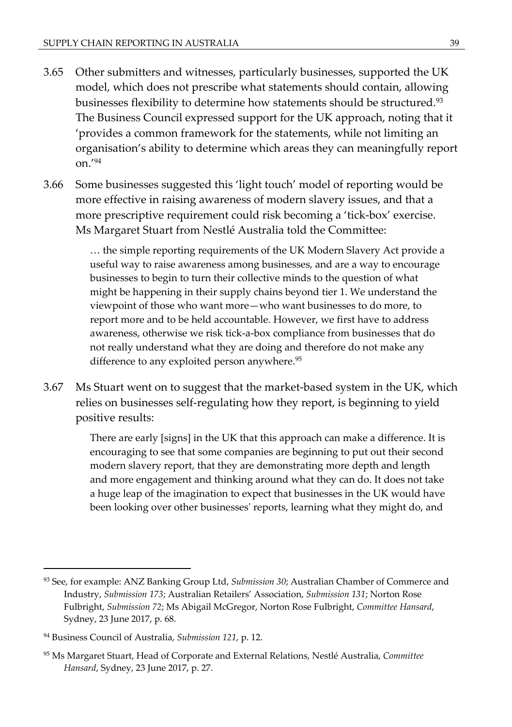- 3.65 Other submitters and witnesses, particularly businesses, supported the UK model, which does not prescribe what statements should contain, allowing businesses flexibility to determine how statements should be structured.<sup>93</sup> The Business Council expressed support for the UK approach, noting that it 'provides a common framework for the statements, while not limiting an organisation's ability to determine which areas they can meaningfully report on.'<sup>94</sup>
- 3.66 Some businesses suggested this 'light touch' model of reporting would be more effective in raising awareness of modern slavery issues, and that a more prescriptive requirement could risk becoming a 'tick-box' exercise. Ms Margaret Stuart from Nestlé Australia told the Committee:

… the simple reporting requirements of the UK Modern Slavery Act provide a useful way to raise awareness among businesses, and are a way to encourage businesses to begin to turn their collective minds to the question of what might be happening in their supply chains beyond tier 1. We understand the viewpoint of those who want more—who want businesses to do more, to report more and to be held accountable. However, we first have to address awareness, otherwise we risk tick-a-box compliance from businesses that do not really understand what they are doing and therefore do not make any difference to any exploited person anywhere.<sup>95</sup>

3.67 Ms Stuart went on to suggest that the market-based system in the UK, which relies on businesses self-regulating how they report, is beginning to yield positive results:

> There are early [signs] in the UK that this approach can make a difference. It is encouraging to see that some companies are beginning to put out their second modern slavery report, that they are demonstrating more depth and length and more engagement and thinking around what they can do. It does not take a huge leap of the imagination to expect that businesses in the UK would have been looking over other businesses' reports, learning what they might do, and

<sup>93</sup> See, for example: ANZ Banking Group Ltd, *Submission 30*; Australian Chamber of Commerce and Industry, *Submission 173*; Australian Retailers' Association, *Submission 131*; Norton Rose Fulbright, *Submission 72*; Ms Abigail McGregor, Norton Rose Fulbright, *Committee Hansard*, Sydney, 23 June 2017, p. 68.

<sup>94</sup> Business Council of Australia, *Submission 121*, p. 12.

<sup>95</sup> Ms Margaret Stuart, Head of Corporate and External Relations, Nestlé Australia, *Committee Hansard*, Sydney, 23 June 2017, p. 27.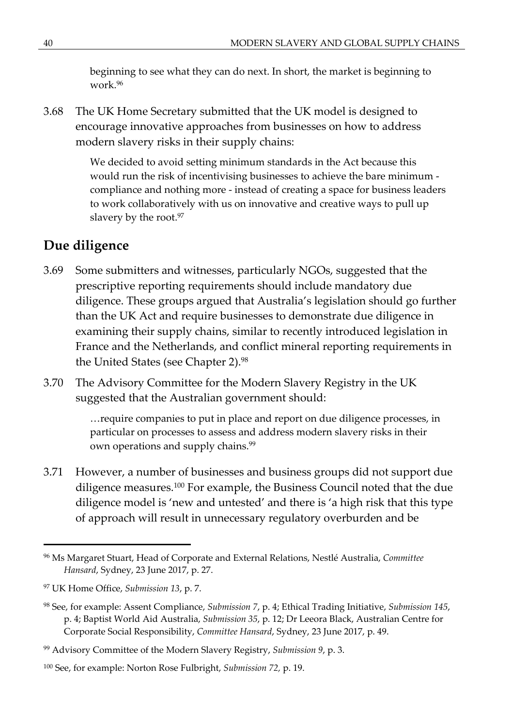beginning to see what they can do next. In short, the market is beginning to work.<sup>96</sup>

3.68 The UK Home Secretary submitted that the UK model is designed to encourage innovative approaches from businesses on how to address modern slavery risks in their supply chains:

> We decided to avoid setting minimum standards in the Act because this would run the risk of incentivising businesses to achieve the bare minimum compliance and nothing more - instead of creating a space for business leaders to work collaboratively with us on innovative and creative ways to pull up slavery by the root.<sup>97</sup>

## **Due diligence**

- 3.69 Some submitters and witnesses, particularly NGOs, suggested that the prescriptive reporting requirements should include mandatory due diligence. These groups argued that Australia's legislation should go further than the UK Act and require businesses to demonstrate due diligence in examining their supply chains, similar to recently introduced legislation in France and the Netherlands, and conflict mineral reporting requirements in the United States (see Chapter 2).<sup>98</sup>
- 3.70 The Advisory Committee for the Modern Slavery Registry in the UK suggested that the Australian government should:

…require companies to put in place and report on due diligence processes, in particular on processes to assess and address modern slavery risks in their own operations and supply chains.<sup>99</sup>

3.71 However, a number of businesses and business groups did not support due diligence measures.<sup>100</sup> For example, the Business Council noted that the due diligence model is 'new and untested' and there is 'a high risk that this type of approach will result in unnecessary regulatory overburden and be

<sup>96</sup> Ms Margaret Stuart, Head of Corporate and External Relations, Nestlé Australia, *Committee Hansard*, Sydney, 23 June 2017, p. 27.

<sup>97</sup> UK Home Office, *Submission 13*, p. 7.

<sup>98</sup> See, for example: Assent Compliance, *Submission 7*, p. 4; Ethical Trading Initiative, *Submission 145*, p. 4; Baptist World Aid Australia, *Submission 35*, p. 12; Dr Leeora Black, Australian Centre for Corporate Social Responsibility, *Committee Hansard*, Sydney, 23 June 2017, p. 49.

<sup>99</sup> Advisory Committee of the Modern Slavery Registry, *Submission 9*, p. 3.

<sup>100</sup> See, for example: Norton Rose Fulbright, *Submission 72,* p. 19.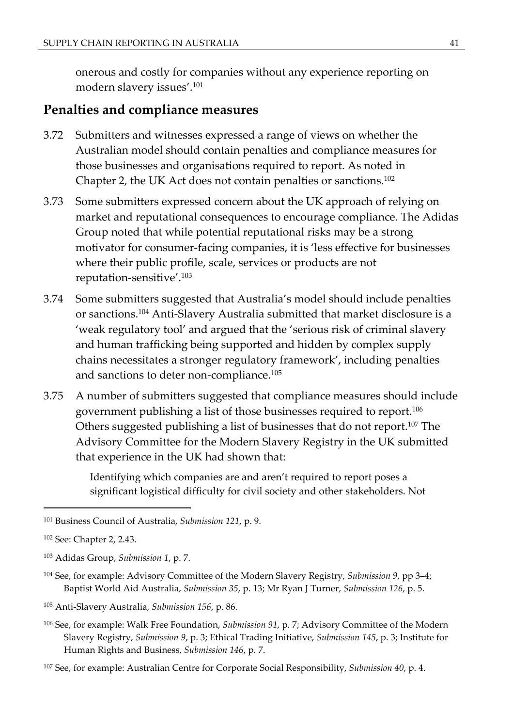onerous and costly for companies without any experience reporting on modern slavery issues'.<sup>101</sup>

#### **Penalties and compliance measures**

- 3.72 Submitters and witnesses expressed a range of views on whether the Australian model should contain penalties and compliance measures for those businesses and organisations required to report. As noted in Chapter 2, the UK Act does not contain penalties or sanctions.<sup>102</sup>
- 3.73 Some submitters expressed concern about the UK approach of relying on market and reputational consequences to encourage compliance. The Adidas Group noted that while potential reputational risks may be a strong motivator for consumer-facing companies, it is 'less effective for businesses where their public profile, scale, services or products are not reputation-sensitive'.<sup>103</sup>
- 3.74 Some submitters suggested that Australia's model should include penalties or sanctions.<sup>104</sup> Anti-Slavery Australia submitted that market disclosure is a 'weak regulatory tool' and argued that the 'serious risk of criminal slavery and human trafficking being supported and hidden by complex supply chains necessitates a stronger regulatory framework', including penalties and sanctions to deter non-compliance.<sup>105</sup>
- 3.75 A number of submitters suggested that compliance measures should include government publishing a list of those businesses required to report.<sup>106</sup> Others suggested publishing a list of businesses that do not report.<sup>107</sup> The Advisory Committee for the Modern Slavery Registry in the UK submitted that experience in the UK had shown that:

Identifying which companies are and aren't required to report poses a significant logistical difficulty for civil society and other stakeholders. Not

- <sup>104</sup> See, for example: Advisory Committee of the Modern Slavery Registry, *Submission 9*, pp 3–4; Baptist World Aid Australia, *Submission 35*, p. 13; Mr Ryan J Turner, *Submission 126*, p. 5.
- <sup>105</sup> Anti-Slavery Australia, *Submission 156*, p. 86.
- <sup>106</sup> See, for example: Walk Free Foundation, *Submission 91*, p. 7; Advisory Committee of the Modern Slavery Registry, *Submission 9*, p. 3; Ethical Trading Initiative, *Submission 145*, p. 3; Institute for Human Rights and Business, *Submission 146*, p. 7.

<sup>101</sup> Business Council of Australia, *Submission 121*, p. 9.

<sup>102</sup> See: Chapter 2, 2.43.

<sup>103</sup> Adidas Group, *Submission 1*, p. 7.

<sup>107</sup> See, for example: Australian Centre for Corporate Social Responsibility, *Submission 40*, p. 4.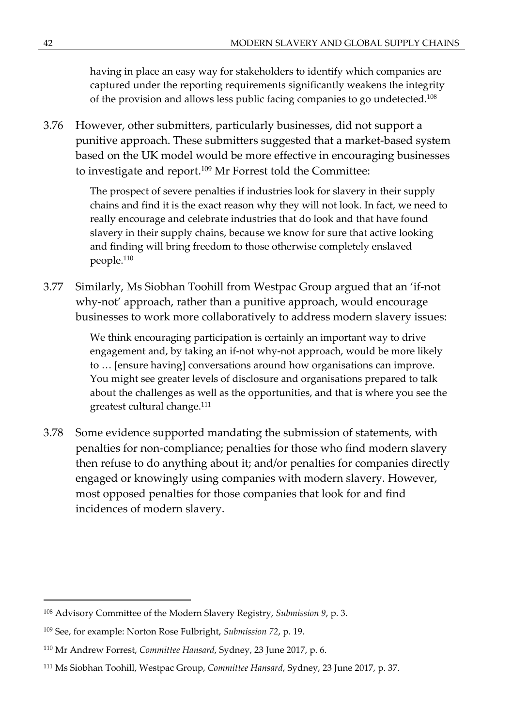having in place an easy way for stakeholders to identify which companies are captured under the reporting requirements significantly weakens the integrity of the provision and allows less public facing companies to go undetected.<sup>108</sup>

3.76 However, other submitters, particularly businesses, did not support a punitive approach. These submitters suggested that a market-based system based on the UK model would be more effective in encouraging businesses to investigate and report.<sup>109</sup> Mr Forrest told the Committee:

> The prospect of severe penalties if industries look for slavery in their supply chains and find it is the exact reason why they will not look. In fact, we need to really encourage and celebrate industries that do look and that have found slavery in their supply chains, because we know for sure that active looking and finding will bring freedom to those otherwise completely enslaved people.<sup>110</sup>

3.77 Similarly, Ms Siobhan Toohill from Westpac Group argued that an 'if-not why-not' approach, rather than a punitive approach, would encourage businesses to work more collaboratively to address modern slavery issues:

> We think encouraging participation is certainly an important way to drive engagement and, by taking an if-not why-not approach, would be more likely to … [ensure having] conversations around how organisations can improve. You might see greater levels of disclosure and organisations prepared to talk about the challenges as well as the opportunities, and that is where you see the greatest cultural change.<sup>111</sup>

3.78 Some evidence supported mandating the submission of statements, with penalties for non-compliance; penalties for those who find modern slavery then refuse to do anything about it; and/or penalties for companies directly engaged or knowingly using companies with modern slavery. However, most opposed penalties for those companies that look for and find incidences of modern slavery.

<sup>108</sup> Advisory Committee of the Modern Slavery Registry, *Submission 9*, p. 3.

<sup>109</sup> See, for example: Norton Rose Fulbright, *Submission 72*, p. 19.

<sup>110</sup> Mr Andrew Forrest, *Committee Hansard*, Sydney, 23 June 2017, p. 6.

<sup>111</sup> Ms Siobhan Toohill, Westpac Group, *Committee Hansard*, Sydney, 23 June 2017, p. 37.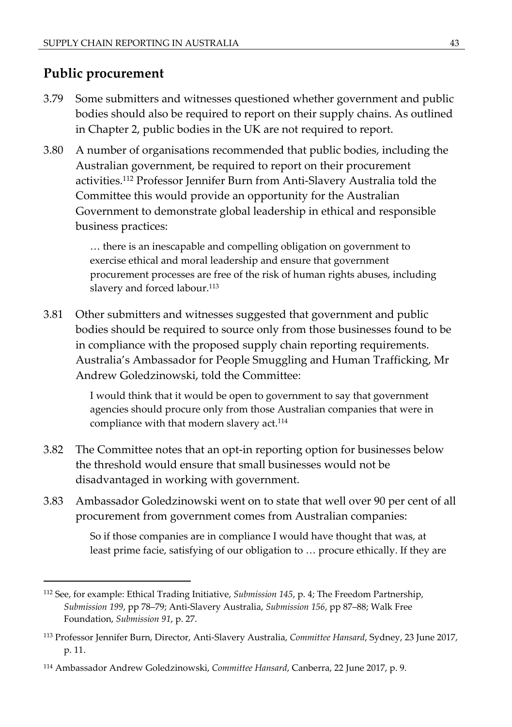#### **Public procurement**

- 3.79 Some submitters and witnesses questioned whether government and public bodies should also be required to report on their supply chains. As outlined in Chapter 2, public bodies in the UK are not required to report.
- 3.80 A number of organisations recommended that public bodies, including the Australian government, be required to report on their procurement activities.<sup>112</sup> Professor Jennifer Burn from Anti-Slavery Australia told the Committee this would provide an opportunity for the Australian Government to demonstrate global leadership in ethical and responsible business practices:

… there is an inescapable and compelling obligation on government to exercise ethical and moral leadership and ensure that government procurement processes are free of the risk of human rights abuses, including slavery and forced labour.<sup>113</sup>

3.81 Other submitters and witnesses suggested that government and public bodies should be required to source only from those businesses found to be in compliance with the proposed supply chain reporting requirements. Australia's Ambassador for People Smuggling and Human Trafficking, Mr Andrew Goledzinowski, told the Committee:

> I would think that it would be open to government to say that government agencies should procure only from those Australian companies that were in compliance with that modern slavery act.<sup>114</sup>

- 3.82 The Committee notes that an opt-in reporting option for businesses below the threshold would ensure that small businesses would not be disadvantaged in working with government.
- 3.83 Ambassador Goledzinowski went on to state that well over 90 per cent of all procurement from government comes from Australian companies:

So if those companies are in compliance I would have thought that was, at least prime facie, satisfying of our obligation to … procure ethically. If they are

<sup>112</sup> See, for example: Ethical Trading Initiative, *Submission 145*, p. 4; The Freedom Partnership, *Submission 199*, pp 78–79; Anti-Slavery Australia, *Submission 156*, pp 87–88; Walk Free Foundation, *Submission 91*, p. 27.

<sup>113</sup> Professor Jennifer Burn, Director, Anti-Slavery Australia, *Committee Hansard*, Sydney, 23 June 2017, p. 11.

<sup>114</sup> Ambassador Andrew Goledzinowski, *Committee Hansard*, Canberra, 22 June 2017, p. 9.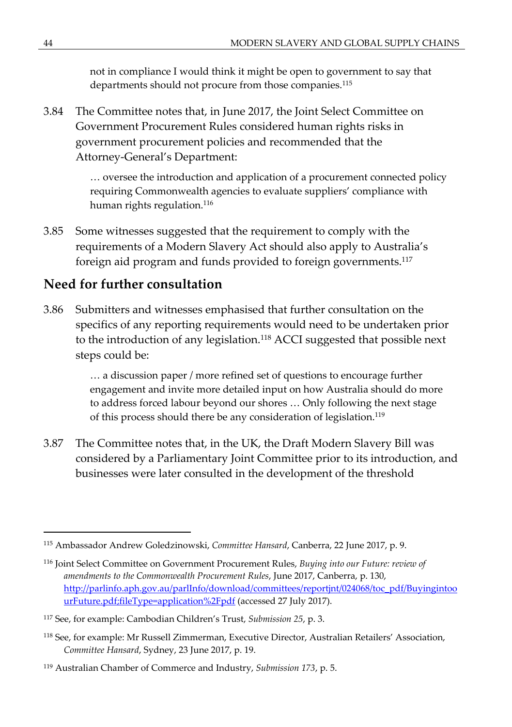not in compliance I would think it might be open to government to say that departments should not procure from those companies.<sup>115</sup>

3.84 The Committee notes that, in June 2017, the Joint Select Committee on Government Procurement Rules considered human rights risks in government procurement policies and recommended that the Attorney-General's Department:

> … oversee the introduction and application of a procurement connected policy requiring Commonwealth agencies to evaluate suppliers' compliance with human rights regulation.<sup>116</sup>

3.85 Some witnesses suggested that the requirement to comply with the requirements of a Modern Slavery Act should also apply to Australia's foreign aid program and funds provided to foreign governments.<sup>117</sup>

#### **Need for further consultation**

3.86 Submitters and witnesses emphasised that further consultation on the specifics of any reporting requirements would need to be undertaken prior to the introduction of any legislation.<sup>118</sup> ACCI suggested that possible next steps could be:

> … a discussion paper / more refined set of questions to encourage further engagement and invite more detailed input on how Australia should do more to address forced labour beyond our shores … Only following the next stage of this process should there be any consideration of legislation.<sup>119</sup>

3.87 The Committee notes that, in the UK, the Draft Modern Slavery Bill was considered by a Parliamentary Joint Committee prior to its introduction, and businesses were later consulted in the development of the threshold

<sup>115</sup> Ambassador Andrew Goledzinowski, *Committee Hansard*, Canberra, 22 June 2017, p. 9.

<sup>116</sup> Joint Select Committee on Government Procurement Rules, *Buying into our Future: review of amendments to the Commonwealth Procurement Rules*, June 2017, Canberra, p. 130, [http://parlinfo.aph.gov.au/parlInfo/download/committees/reportjnt/024068/toc\\_pdf/Buyingintoo](http://parlinfo.aph.gov.au/parlInfo/download/committees/reportjnt/024068/toc_pdf/BuyingintoourFuture.pdf;fileType=application%252Fpdf) [urFuture.pdf;fileType=application%2Fpdf](http://parlinfo.aph.gov.au/parlInfo/download/committees/reportjnt/024068/toc_pdf/BuyingintoourFuture.pdf;fileType=application%252Fpdf) (accessed 27 July 2017).

<sup>117</sup> See, for example: Cambodian Children's Trust, *Submission 25*, p. 3.

<sup>118</sup> See, for example: Mr Russell Zimmerman, Executive Director, Australian Retailers' Association, *Committee Hansard*, Sydney, 23 June 2017, p. 19.

<sup>119</sup> Australian Chamber of Commerce and Industry, *Submission 173*, p. 5.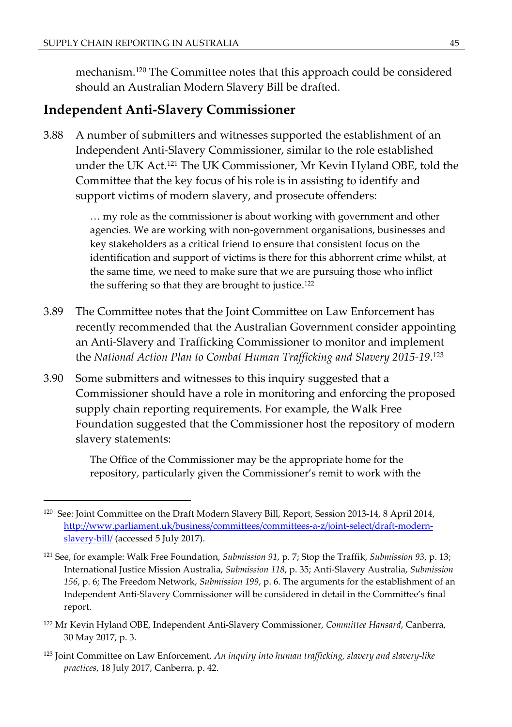mechanism.<sup>120</sup> The Committee notes that this approach could be considered should an Australian Modern Slavery Bill be drafted.

#### **Independent Anti-Slavery Commissioner**

3.88 A number of submitters and witnesses supported the establishment of an Independent Anti-Slavery Commissioner, similar to the role established under the UK Act.<sup>121</sup> The UK Commissioner, Mr Kevin Hyland OBE, told the Committee that the key focus of his role is in assisting to identify and support victims of modern slavery, and prosecute offenders:

> … my role as the commissioner is about working with government and other agencies. We are working with non-government organisations, businesses and key stakeholders as a critical friend to ensure that consistent focus on the identification and support of victims is there for this abhorrent crime whilst, at the same time, we need to make sure that we are pursuing those who inflict the suffering so that they are brought to justice.<sup>122</sup>

- 3.89 The Committee notes that the Joint Committee on Law Enforcement has recently recommended that the Australian Government consider appointing an Anti-Slavery and Trafficking Commissioner to monitor and implement the *National Action Plan to Combat Human Trafficking and Slavery 2015-19*. 123
- 3.90 Some submitters and witnesses to this inquiry suggested that a Commissioner should have a role in monitoring and enforcing the proposed supply chain reporting requirements. For example, the Walk Free Foundation suggested that the Commissioner host the repository of modern slavery statements:

The Office of the Commissioner may be the appropriate home for the repository, particularly given the Commissioner's remit to work with the

- <sup>122</sup> Mr Kevin Hyland OBE, Independent Anti-Slavery Commissioner, *Committee Hansard*, Canberra, 30 May 2017, p. 3.
- <sup>123</sup> Joint Committee on Law Enforcement, *An inquiry into human trafficking, slavery and slavery-like practices*, 18 July 2017, Canberra, p. 42.

<sup>&</sup>lt;sup>120</sup> See: Joint Committee on the Draft Modern Slavery Bill, Report, Session 2013-14, 8 April 2014, [http://www.parliament.uk/business/committees/committees-a-z/joint-select/draft-modern](http://www.parliament.uk/business/committees/committees-a-z/joint-select/draft-modern-slavery-bill/)[slavery-bill/](http://www.parliament.uk/business/committees/committees-a-z/joint-select/draft-modern-slavery-bill/) (accessed 5 July 2017).

<sup>121</sup> See, for example: Walk Free Foundation, *Submission 91*, p. 7; Stop the Traffik, *Submission 93*, p. 13; International Justice Mission Australia, *Submission 118*, p. 35; Anti-Slavery Australia, *Submission 156*, p. 6; The Freedom Network, *Submission 199*, p. 6. The arguments for the establishment of an Independent Anti-Slavery Commissioner will be considered in detail in the Committee's final report.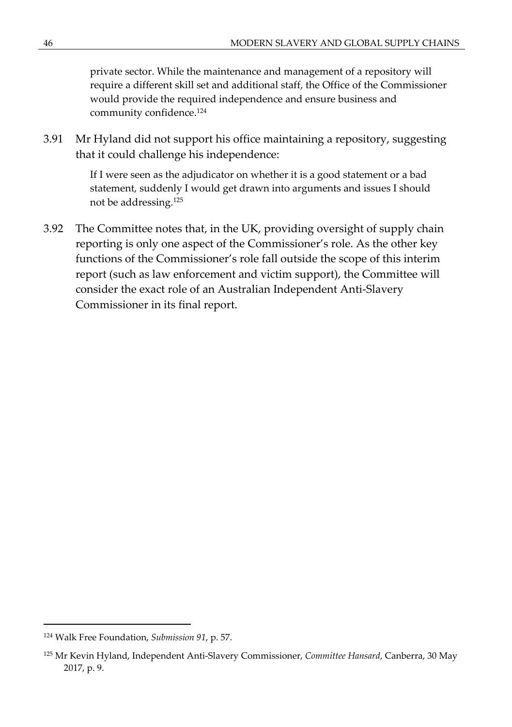private sector. While the maintenance and management of a repository will require a different skill set and additional staff, the Office of the Commissioner would provide the required independence and ensure business and community confidence.<sup>124</sup>

3.91 Mr Hyland did not support his office maintaining a repository, suggesting that it could challenge his independence:

> If I were seen as the adjudicator on whether it is a good statement or a bad statement, suddenly I would get drawn into arguments and issues I should not be addressing.<sup>125</sup>

3.92 The Committee notes that, in the UK, providing oversight of supply chain reporting is only one aspect of the Commissioner's role. As the other key functions of the Commissioner's role fall outside the scope of this interim report (such as law enforcement and victim support), the Committee will consider the exact role of an Australian Independent Anti-Slavery Commissioner in its final report.

<sup>124</sup> Walk Free Foundation, *Submission 91*, p. 57.

<sup>125</sup> Mr Kevin Hyland, Independent Anti-Slavery Commissioner, *Committee Hansard*, Canberra, 30 May 2017, p. 9.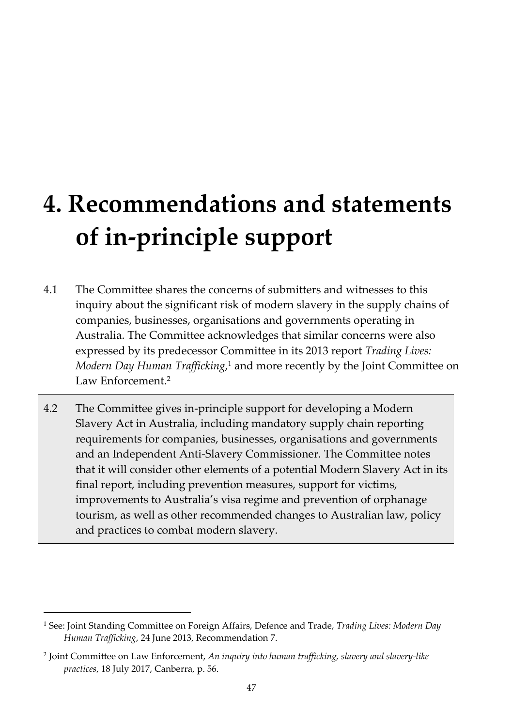# **4. Recommendations and statements of in-principle support**

- 4.1 The Committee shares the concerns of submitters and witnesses to this inquiry about the significant risk of modern slavery in the supply chains of companies, businesses, organisations and governments operating in Australia. The Committee acknowledges that similar concerns were also expressed by its predecessor Committee in its 2013 report *Trading Lives:*  Modern Day Human Trafficking,<sup>1</sup> and more recently by the Joint Committee on Law Enforcement.<sup>2</sup>
- 4.2 The Committee gives in-principle support for developing a Modern Slavery Act in Australia, including mandatory supply chain reporting requirements for companies, businesses, organisations and governments and an Independent Anti-Slavery Commissioner. The Committee notes that it will consider other elements of a potential Modern Slavery Act in its final report, including prevention measures, support for victims, improvements to Australia's visa regime and prevention of orphanage tourism, as well as other recommended changes to Australian law, policy and practices to combat modern slavery.

<sup>&</sup>lt;sup>1</sup> See: Joint Standing Committee on Foreign Affairs, Defence and Trade, *Trading Lives: Modern Day Human Trafficking*, 24 June 2013, Recommendation 7.

<sup>2</sup> Joint Committee on Law Enforcement, *An inquiry into human trafficking, slavery and slavery-like practices*, 18 July 2017, Canberra, p. 56.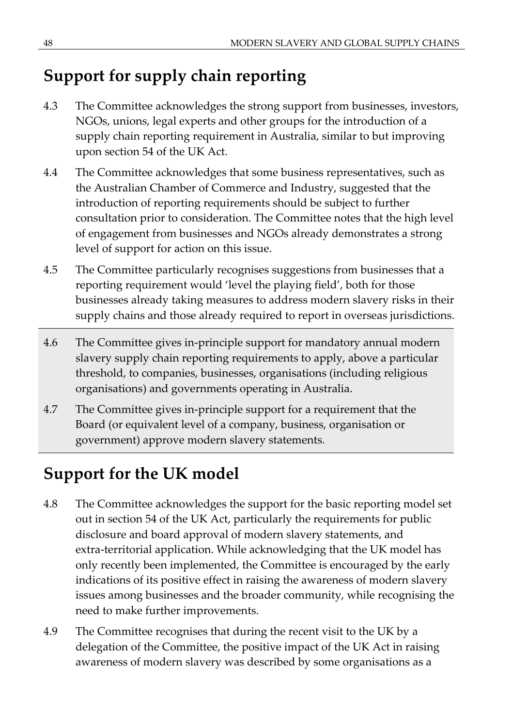# **Support for supply chain reporting**

- 4.3 The Committee acknowledges the strong support from businesses, investors, NGOs, unions, legal experts and other groups for the introduction of a supply chain reporting requirement in Australia, similar to but improving upon section 54 of the UK Act.
- 4.4 The Committee acknowledges that some business representatives, such as the Australian Chamber of Commerce and Industry, suggested that the introduction of reporting requirements should be subject to further consultation prior to consideration. The Committee notes that the high level of engagement from businesses and NGOs already demonstrates a strong level of support for action on this issue.
- 4.5 The Committee particularly recognises suggestions from businesses that a reporting requirement would 'level the playing field', both for those businesses already taking measures to address modern slavery risks in their supply chains and those already required to report in overseas jurisdictions.
- 4.6 The Committee gives in-principle support for mandatory annual modern slavery supply chain reporting requirements to apply, above a particular threshold, to companies, businesses, organisations (including religious organisations) and governments operating in Australia.
- 4.7 The Committee gives in-principle support for a requirement that the Board (or equivalent level of a company, business, organisation or government) approve modern slavery statements.

# **Support for the UK model**

- 4.8 The Committee acknowledges the support for the basic reporting model set out in section 54 of the UK Act, particularly the requirements for public disclosure and board approval of modern slavery statements, and extra-territorial application. While acknowledging that the UK model has only recently been implemented, the Committee is encouraged by the early indications of its positive effect in raising the awareness of modern slavery issues among businesses and the broader community, while recognising the need to make further improvements.
- 4.9 The Committee recognises that during the recent visit to the UK by a delegation of the Committee, the positive impact of the UK Act in raising awareness of modern slavery was described by some organisations as a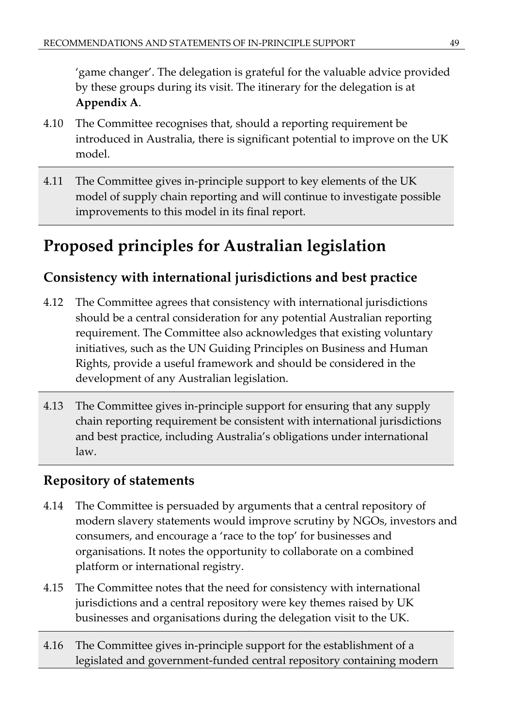'game changer'. The delegation is grateful for the valuable advice provided by these groups during its visit. The itinerary for the delegation is at **Appendix A**.

- 4.10 The Committee recognises that, should a reporting requirement be introduced in Australia, there is significant potential to improve on the UK model.
- 4.11 The Committee gives in-principle support to key elements of the UK model of supply chain reporting and will continue to investigate possible improvements to this model in its final report.

# **Proposed principles for Australian legislation**

# **Consistency with international jurisdictions and best practice**

- 4.12 The Committee agrees that consistency with international jurisdictions should be a central consideration for any potential Australian reporting requirement. The Committee also acknowledges that existing voluntary initiatives, such as the UN Guiding Principles on Business and Human Rights, provide a useful framework and should be considered in the development of any Australian legislation.
- 4.13 The Committee gives in-principle support for ensuring that any supply chain reporting requirement be consistent with international jurisdictions and best practice, including Australia's obligations under international law.

# **Repository of statements**

- 4.14 The Committee is persuaded by arguments that a central repository of modern slavery statements would improve scrutiny by NGOs, investors and consumers, and encourage a 'race to the top' for businesses and organisations. It notes the opportunity to collaborate on a combined platform or international registry.
- 4.15 The Committee notes that the need for consistency with international jurisdictions and a central repository were key themes raised by UK businesses and organisations during the delegation visit to the UK.
- 4.16 The Committee gives in-principle support for the establishment of a legislated and government-funded central repository containing modern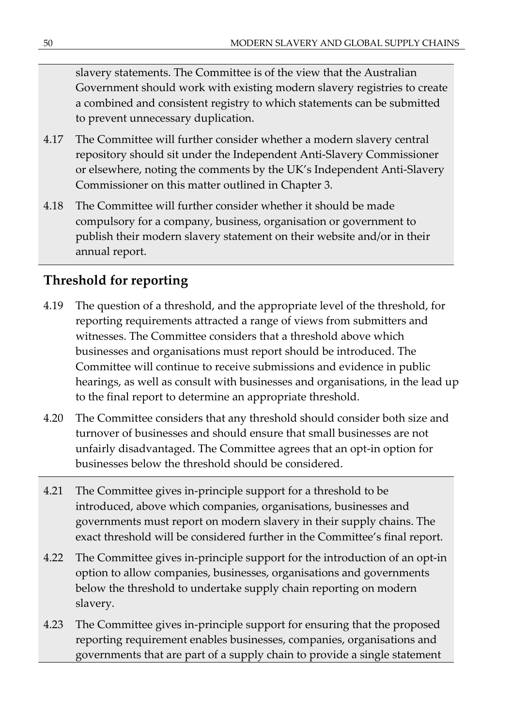slavery statements. The Committee is of the view that the Australian Government should work with existing modern slavery registries to create a combined and consistent registry to which statements can be submitted to prevent unnecessary duplication.

- 4.17 The Committee will further consider whether a modern slavery central repository should sit under the Independent Anti-Slavery Commissioner or elsewhere, noting the comments by the UK's Independent Anti-Slavery Commissioner on this matter outlined in Chapter 3.
- 4.18 The Committee will further consider whether it should be made compulsory for a company, business, organisation or government to publish their modern slavery statement on their website and/or in their annual report.

# **Threshold for reporting**

- 4.19 The question of a threshold, and the appropriate level of the threshold, for reporting requirements attracted a range of views from submitters and witnesses. The Committee considers that a threshold above which businesses and organisations must report should be introduced. The Committee will continue to receive submissions and evidence in public hearings, as well as consult with businesses and organisations, in the lead up to the final report to determine an appropriate threshold.
- 4.20 The Committee considers that any threshold should consider both size and turnover of businesses and should ensure that small businesses are not unfairly disadvantaged. The Committee agrees that an opt-in option for businesses below the threshold should be considered.
- 4.21 The Committee gives in-principle support for a threshold to be introduced, above which companies, organisations, businesses and governments must report on modern slavery in their supply chains. The exact threshold will be considered further in the Committee's final report.
- 4.22 The Committee gives in-principle support for the introduction of an opt-in option to allow companies, businesses, organisations and governments below the threshold to undertake supply chain reporting on modern slavery.
- 4.23 The Committee gives in-principle support for ensuring that the proposed reporting requirement enables businesses, companies, organisations and governments that are part of a supply chain to provide a single statement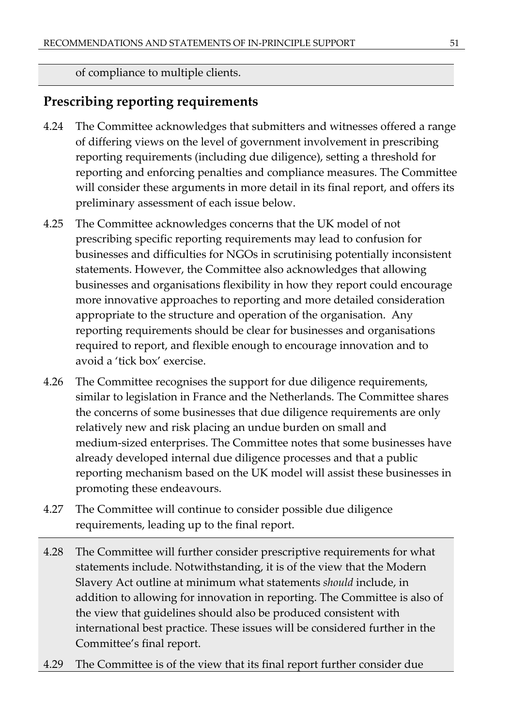of compliance to multiple clients.

## **Prescribing reporting requirements**

- 4.24 The Committee acknowledges that submitters and witnesses offered a range of differing views on the level of government involvement in prescribing reporting requirements (including due diligence), setting a threshold for reporting and enforcing penalties and compliance measures. The Committee will consider these arguments in more detail in its final report, and offers its preliminary assessment of each issue below.
- 4.25 The Committee acknowledges concerns that the UK model of not prescribing specific reporting requirements may lead to confusion for businesses and difficulties for NGOs in scrutinising potentially inconsistent statements. However, the Committee also acknowledges that allowing businesses and organisations flexibility in how they report could encourage more innovative approaches to reporting and more detailed consideration appropriate to the structure and operation of the organisation. Any reporting requirements should be clear for businesses and organisations required to report, and flexible enough to encourage innovation and to avoid a 'tick box' exercise.
- 4.26 The Committee recognises the support for due diligence requirements, similar to legislation in France and the Netherlands. The Committee shares the concerns of some businesses that due diligence requirements are only relatively new and risk placing an undue burden on small and medium-sized enterprises. The Committee notes that some businesses have already developed internal due diligence processes and that a public reporting mechanism based on the UK model will assist these businesses in promoting these endeavours.
- 4.27 The Committee will continue to consider possible due diligence requirements, leading up to the final report.
- 4.28 The Committee will further consider prescriptive requirements for what statements include. Notwithstanding, it is of the view that the Modern Slavery Act outline at minimum what statements *should* include, in addition to allowing for innovation in reporting. The Committee is also of the view that guidelines should also be produced consistent with international best practice. These issues will be considered further in the Committee's final report.
- 4.29 The Committee is of the view that its final report further consider due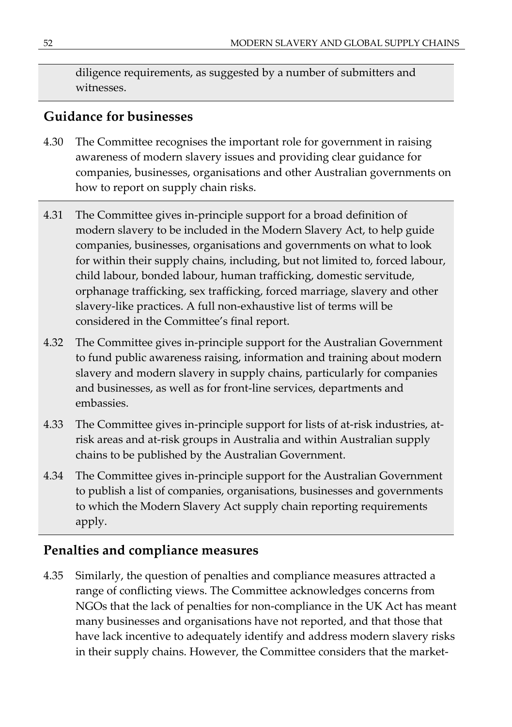diligence requirements, as suggested by a number of submitters and witnesses.

## **Guidance for businesses**

- 4.30 The Committee recognises the important role for government in raising awareness of modern slavery issues and providing clear guidance for companies, businesses, organisations and other Australian governments on how to report on supply chain risks.
- 4.31 The Committee gives in-principle support for a broad definition of modern slavery to be included in the Modern Slavery Act, to help guide companies, businesses, organisations and governments on what to look for within their supply chains, including, but not limited to, forced labour, child labour, bonded labour, human trafficking, domestic servitude, orphanage trafficking, sex trafficking, forced marriage, slavery and other slavery-like practices. A full non-exhaustive list of terms will be considered in the Committee's final report.
- 4.32 The Committee gives in-principle support for the Australian Government to fund public awareness raising, information and training about modern slavery and modern slavery in supply chains, particularly for companies and businesses, as well as for front-line services, departments and embassies.
- 4.33 The Committee gives in-principle support for lists of at-risk industries, atrisk areas and at-risk groups in Australia and within Australian supply chains to be published by the Australian Government.
- 4.34 The Committee gives in-principle support for the Australian Government to publish a list of companies, organisations, businesses and governments to which the Modern Slavery Act supply chain reporting requirements apply.

## **Penalties and compliance measures**

4.35 Similarly, the question of penalties and compliance measures attracted a range of conflicting views. The Committee acknowledges concerns from NGOs that the lack of penalties for non-compliance in the UK Act has meant many businesses and organisations have not reported, and that those that have lack incentive to adequately identify and address modern slavery risks in their supply chains. However, the Committee considers that the market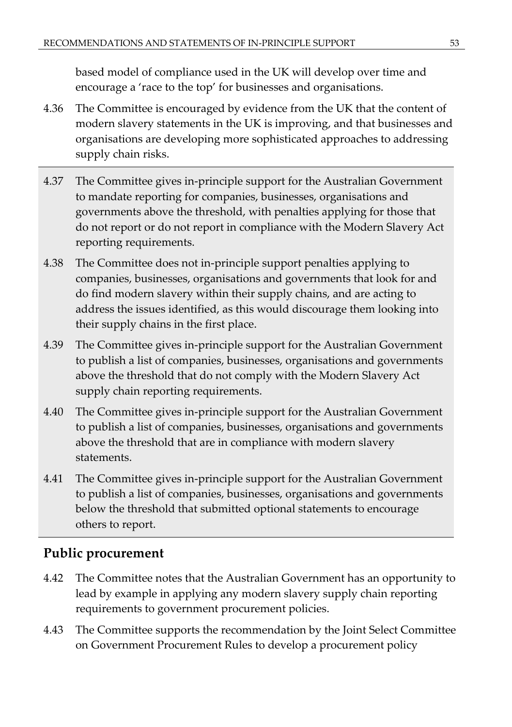based model of compliance used in the UK will develop over time and encourage a 'race to the top' for businesses and organisations.

- 4.36 The Committee is encouraged by evidence from the UK that the content of modern slavery statements in the UK is improving, and that businesses and organisations are developing more sophisticated approaches to addressing supply chain risks.
- 4.37 The Committee gives in-principle support for the Australian Government to mandate reporting for companies, businesses, organisations and governments above the threshold, with penalties applying for those that do not report or do not report in compliance with the Modern Slavery Act reporting requirements.
- 4.38 The Committee does not in-principle support penalties applying to companies, businesses, organisations and governments that look for and do find modern slavery within their supply chains, and are acting to address the issues identified, as this would discourage them looking into their supply chains in the first place.
- 4.39 The Committee gives in-principle support for the Australian Government to publish a list of companies, businesses, organisations and governments above the threshold that do not comply with the Modern Slavery Act supply chain reporting requirements.
- 4.40 The Committee gives in-principle support for the Australian Government to publish a list of companies, businesses, organisations and governments above the threshold that are in compliance with modern slavery statements.
- 4.41 The Committee gives in-principle support for the Australian Government to publish a list of companies, businesses, organisations and governments below the threshold that submitted optional statements to encourage others to report.

## **Public procurement**

- 4.42 The Committee notes that the Australian Government has an opportunity to lead by example in applying any modern slavery supply chain reporting requirements to government procurement policies.
- 4.43 The Committee supports the recommendation by the Joint Select Committee on Government Procurement Rules to develop a procurement policy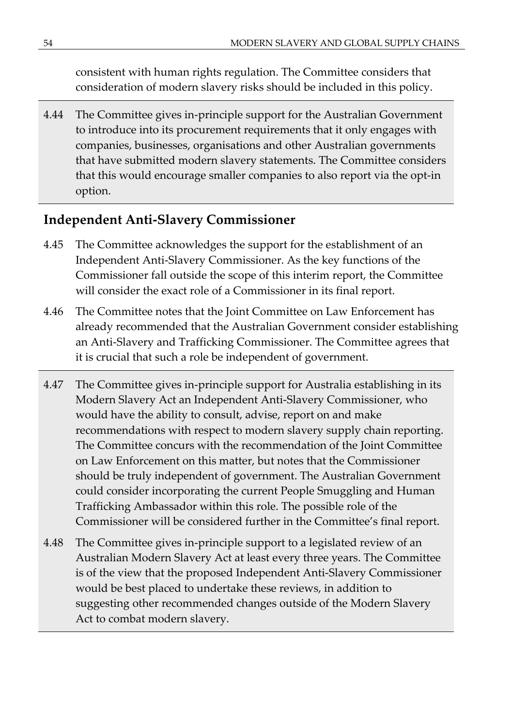consistent with human rights regulation. The Committee considers that consideration of modern slavery risks should be included in this policy.

4.44 The Committee gives in-principle support for the Australian Government to introduce into its procurement requirements that it only engages with companies, businesses, organisations and other Australian governments that have submitted modern slavery statements. The Committee considers that this would encourage smaller companies to also report via the opt-in option.

## **Independent Anti-Slavery Commissioner**

- 4.45 The Committee acknowledges the support for the establishment of an Independent Anti-Slavery Commissioner. As the key functions of the Commissioner fall outside the scope of this interim report, the Committee will consider the exact role of a Commissioner in its final report.
- 4.46 The Committee notes that the Joint Committee on Law Enforcement has already recommended that the Australian Government consider establishing an Anti-Slavery and Trafficking Commissioner. The Committee agrees that it is crucial that such a role be independent of government.
- 4.47 The Committee gives in-principle support for Australia establishing in its Modern Slavery Act an Independent Anti-Slavery Commissioner, who would have the ability to consult, advise, report on and make recommendations with respect to modern slavery supply chain reporting. The Committee concurs with the recommendation of the Joint Committee on Law Enforcement on this matter, but notes that the Commissioner should be truly independent of government. The Australian Government could consider incorporating the current People Smuggling and Human Trafficking Ambassador within this role. The possible role of the Commissioner will be considered further in the Committee's final report.
- 4.48 The Committee gives in-principle support to a legislated review of an Australian Modern Slavery Act at least every three years. The Committee is of the view that the proposed Independent Anti-Slavery Commissioner would be best placed to undertake these reviews, in addition to suggesting other recommended changes outside of the Modern Slavery Act to combat modern slavery.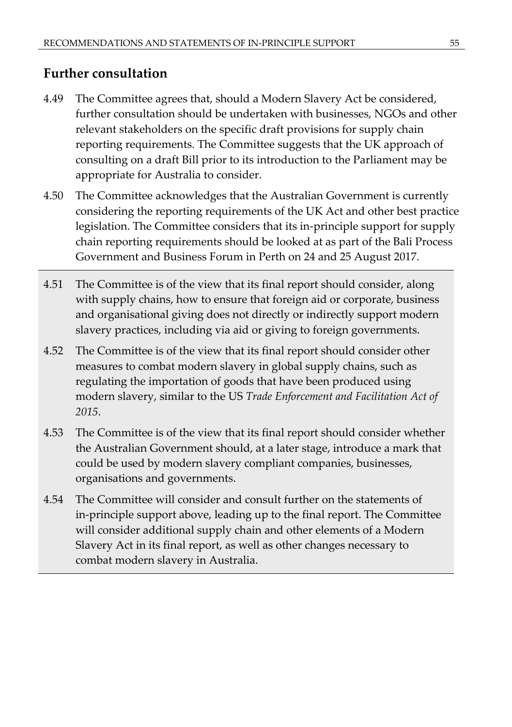## **Further consultation**

- 4.49 The Committee agrees that, should a Modern Slavery Act be considered, further consultation should be undertaken with businesses, NGOs and other relevant stakeholders on the specific draft provisions for supply chain reporting requirements. The Committee suggests that the UK approach of consulting on a draft Bill prior to its introduction to the Parliament may be appropriate for Australia to consider.
- 4.50 The Committee acknowledges that the Australian Government is currently considering the reporting requirements of the UK Act and other best practice legislation. The Committee considers that its in-principle support for supply chain reporting requirements should be looked at as part of the Bali Process Government and Business Forum in Perth on 24 and 25 August 2017.
- 4.51 The Committee is of the view that its final report should consider, along with supply chains, how to ensure that foreign aid or corporate, business and organisational giving does not directly or indirectly support modern slavery practices, including via aid or giving to foreign governments.
- 4.52 The Committee is of the view that its final report should consider other measures to combat modern slavery in global supply chains, such as regulating the importation of goods that have been produced using modern slavery, similar to the US *Trade Enforcement and Facilitation Act of 2015*.
- 4.53 The Committee is of the view that its final report should consider whether the Australian Government should, at a later stage, introduce a mark that could be used by modern slavery compliant companies, businesses, organisations and governments.
- 4.54 The Committee will consider and consult further on the statements of in-principle support above, leading up to the final report. The Committee will consider additional supply chain and other elements of a Modern Slavery Act in its final report, as well as other changes necessary to combat modern slavery in Australia.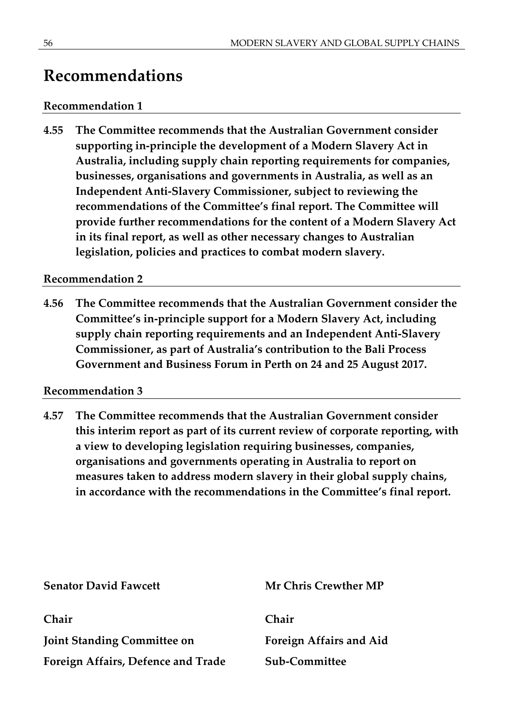## **Recommendations**

### **Recommendation 1**

**4.55 The Committee recommends that the Australian Government consider supporting in-principle the development of a Modern Slavery Act in Australia, including supply chain reporting requirements for companies, businesses, organisations and governments in Australia, as well as an Independent Anti-Slavery Commissioner, subject to reviewing the recommendations of the Committee's final report. The Committee will provide further recommendations for the content of a Modern Slavery Act in its final report, as well as other necessary changes to Australian legislation, policies and practices to combat modern slavery.**

#### **Recommendation 2**

**4.56 The Committee recommends that the Australian Government consider the Committee's in-principle support for a Modern Slavery Act, including supply chain reporting requirements and an Independent Anti-Slavery Commissioner, as part of Australia's contribution to the Bali Process Government and Business Forum in Perth on 24 and 25 August 2017.**

#### **Recommendation 3**

**4.57 The Committee recommends that the Australian Government consider this interim report as part of its current review of corporate reporting, with a view to developing legislation requiring businesses, companies, organisations and governments operating in Australia to report on measures taken to address modern slavery in their global supply chains, in accordance with the recommendations in the Committee's final report.** 

| <b>Senator David Fawcett</b>       | <b>Mr Chris Crewther MP</b> |
|------------------------------------|-----------------------------|
| Chair                              | Chair                       |
| <b>Joint Standing Committee on</b> | Foreign Affairs and Aid     |
| Foreign Affairs, Defence and Trade | Sub-Committee               |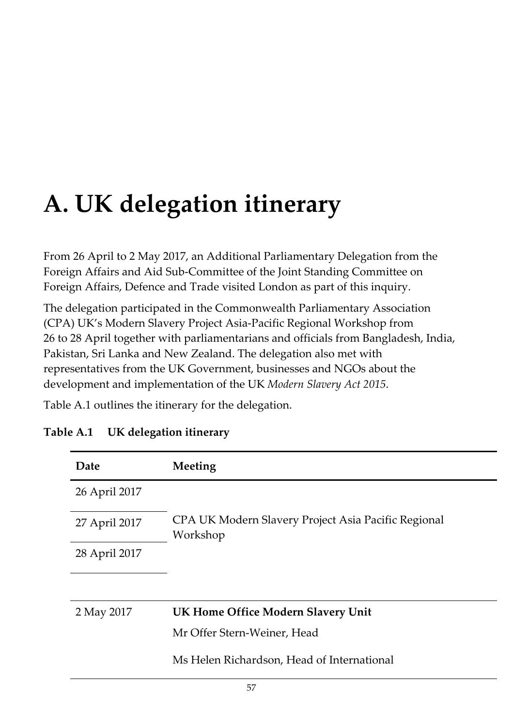# **A. UK delegation itinerary**

From 26 April to 2 May 2017, an Additional Parliamentary Delegation from the Foreign Affairs and Aid Sub-Committee of the Joint Standing Committee on Foreign Affairs, Defence and Trade visited London as part of this inquiry.

The delegation participated in the Commonwealth Parliamentary Association (CPA) UK's Modern Slavery Project Asia-Pacific Regional Workshop from 26 to 28 April together with parliamentarians and officials from Bangladesh, India, Pakistan, Sri Lanka and New Zealand. The delegation also met with representatives from the UK Government, businesses and NGOs about the development and implementation of the UK *Modern Slavery Act 2015*.

Table A.1 outlines the itinerary for the delegation.

| Date          | Meeting                                                         |
|---------------|-----------------------------------------------------------------|
| 26 April 2017 |                                                                 |
| 27 April 2017 | CPA UK Modern Slavery Project Asia Pacific Regional<br>Workshop |
| 28 April 2017 |                                                                 |
|               |                                                                 |
| 2 May 2017    | UK Home Office Modern Slavery Unit                              |
|               | Mr Offer Stern-Weiner, Head                                     |
|               | Ms Helen Richardson, Head of International                      |

## **Table A.1 UK delegation itinerary**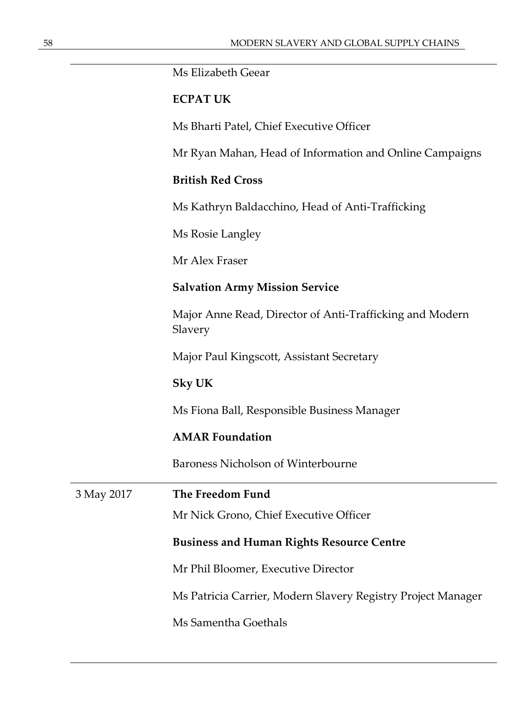Ms Elizabeth Geear

## **ECPAT UK**

Ms Bharti Patel, Chief Executive Officer

Mr Ryan Mahan, Head of Information and Online Campaigns

#### **British Red Cross**

Ms Kathryn Baldacchino, Head of Anti-Trafficking

Ms Rosie Langley

Mr Alex Fraser

#### **Salvation Army Mission Service**

Major Anne Read, Director of Anti-Trafficking and Modern Slavery

Major Paul Kingscott, Assistant Secretary

#### **Sky UK**

Ms Fiona Ball, Responsible Business Manager

#### **AMAR Foundation**

Baroness Nicholson of Winterbourne

| 3 May 2017 | The Freedom Fund                                             |
|------------|--------------------------------------------------------------|
|            | Mr Nick Grono, Chief Executive Officer                       |
|            | <b>Business and Human Rights Resource Centre</b>             |
|            | Mr Phil Bloomer, Executive Director                          |
|            | Ms Patricia Carrier, Modern Slavery Registry Project Manager |
|            | Ms Samentha Goethals                                         |